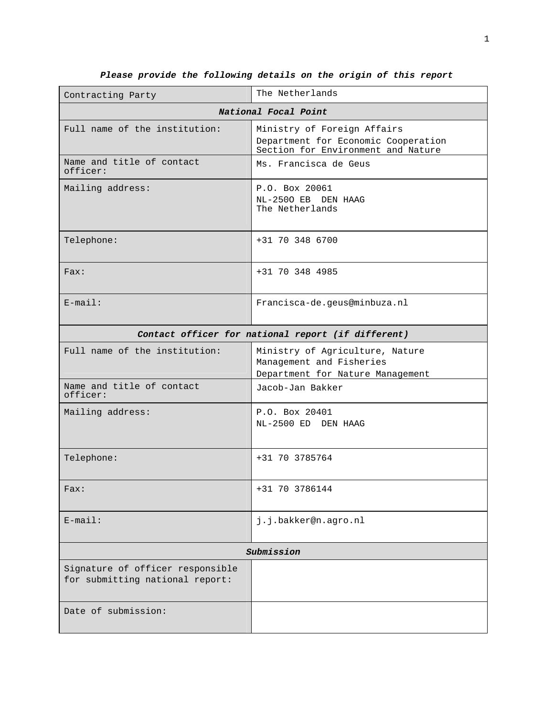| Contracting Party                                                   | The Netherlands                                                                                          |  |  |  |
|---------------------------------------------------------------------|----------------------------------------------------------------------------------------------------------|--|--|--|
| National Focal Point                                                |                                                                                                          |  |  |  |
| Full name of the institution:                                       | Ministry of Foreign Affairs<br>Department for Economic Cooperation<br>Section for Environment and Nature |  |  |  |
| Name and title of contact<br>officer:                               | Ms. Francisca de Geus                                                                                    |  |  |  |
| Mailing address:                                                    | P.O. Box 20061<br>NL-2500 EB DEN HAAG<br>The Netherlands                                                 |  |  |  |
| Telephone:                                                          | +31 70 348 6700                                                                                          |  |  |  |
| Fast:                                                               | +31 70 348 4985                                                                                          |  |  |  |
| $E$ -mail:                                                          | Francisca-de.geus@minbuza.nl                                                                             |  |  |  |
| Contact officer for national report (if different)                  |                                                                                                          |  |  |  |
| Full name of the institution:                                       | Ministry of Agriculture, Nature<br>Management and Fisheries<br>Department for Nature Management          |  |  |  |
| Name and title of contact<br>officer:                               | Jacob-Jan Bakker                                                                                         |  |  |  |
| Mailing address:                                                    | P.O. Box 20401<br>NL-2500 ED DEN HAAG                                                                    |  |  |  |
| Telephone:                                                          | +31 70 3785764                                                                                           |  |  |  |
| Fast:                                                               | +31 70 3786144                                                                                           |  |  |  |
| $E$ -mail:                                                          | j.j.bakker@n.agro.nl                                                                                     |  |  |  |
|                                                                     | Submission                                                                                               |  |  |  |
| Signature of officer responsible<br>for submitting national report: |                                                                                                          |  |  |  |
| Date of submission:                                                 |                                                                                                          |  |  |  |

# **Please provide the following details on the origin of this report**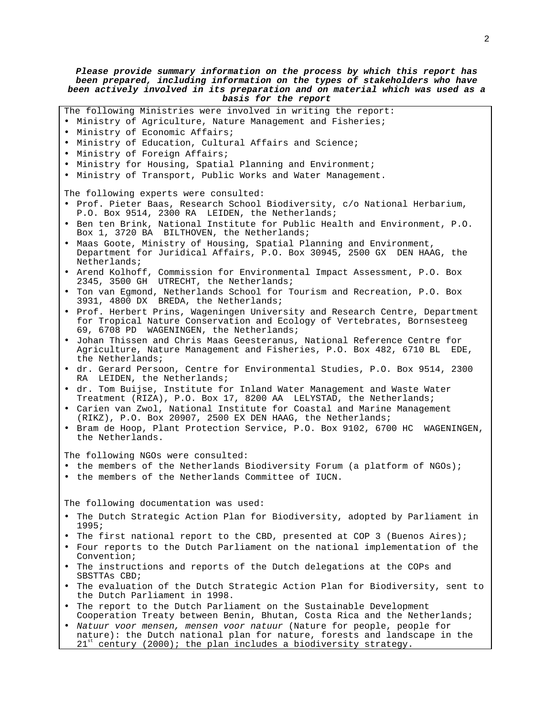**Please provide summary information on the process by which this report has been prepared, including information on the types of stakeholders who have been actively involved in its preparation and on material which was used as a basis for the report**

The following Ministries were involved in writing the report: • Ministry of Agriculture, Nature Management and Fisheries; • Ministry of Economic Affairs; • Ministry of Education, Cultural Affairs and Science; • Ministry of Foreign Affairs; • Ministry for Housing, Spatial Planning and Environment; • Ministry of Transport, Public Works and Water Management. The following experts were consulted: • Prof. Pieter Baas, Research School Biodiversity, c/o National Herbarium, P.O. Box 9514, 2300 RA LEIDEN, the Netherlands; • Ben ten Brink, National Institute for Public Health and Environment, P.O. Box 1, 3720 BA BILTHOVEN, the Netherlands; • Maas Goote, Ministry of Housing, Spatial Planning and Environment, Department for Juridical Affairs, P.O. Box 30945, 2500 GX DEN HAAG, the Netherlands; • Arend Kolhoff, Commission for Environmental Impact Assessment, P.O. Box 2345, 3500 GH UTRECHT, the Netherlands; • Ton van Egmond, Netherlands School for Tourism and Recreation, P.O. Box 3931, 4800 DX BREDA, the Netherlands; • Prof. Herbert Prins, Wageningen University and Research Centre, Department for Tropical Nature Conservation and Ecology of Vertebrates, Bornsesteeg 69, 6708 PD WAGENINGEN, the Netherlands; • Johan Thissen and Chris Maas Geesteranus, National Reference Centre for Agriculture, Nature Management and Fisheries, P.O. Box 482, 6710 BL EDE, the Netherlands; • dr. Gerard Persoon, Centre for Environmental Studies, P.O. Box 9514, 2300 RA LEIDEN, the Netherlands; • dr. Tom Buijse, Institute for Inland Water Management and Waste Water Treatment (RIZA), P.O. Box 17, 8200 AA LELYSTAD, the Netherlands; • Carien van Zwol, National Institute for Coastal and Marine Management (RIKZ), P.O. Box 20907, 2500 EX DEN HAAG, the Netherlands; • Bram de Hoop, Plant Protection Service, P.O. Box 9102, 6700 HC WAGENINGEN, the Netherlands. The following NGOs were consulted: • the members of the Netherlands Biodiversity Forum (a platform of NGOs); • the members of the Netherlands Committee of IUCN. The following documentation was used: • The Dutch Strategic Action Plan for Biodiversity, adopted by Parliament in 1995; • The first national report to the CBD, presented at COP 3 (Buenos Aires); • Four reports to the Dutch Parliament on the national implementation of the Convention; The instructions and reports of the Dutch delegations at the COPs and SBSTTAs CBD; • The evaluation of the Dutch Strategic Action Plan for Biodiversity, sent to the Dutch Parliament in 1998.

- The report to the Dutch Parliament on the Sustainable Development Cooperation Treaty between Benin, Bhutan, Costa Rica and the Netherlands;
- Natuur voor mensen, mensen voor natuur (Nature for people, people for nature): the Dutch national plan for nature, forests and landscape in the  $21<sup>st</sup>$  century (2000); the plan includes a biodiversity strategy.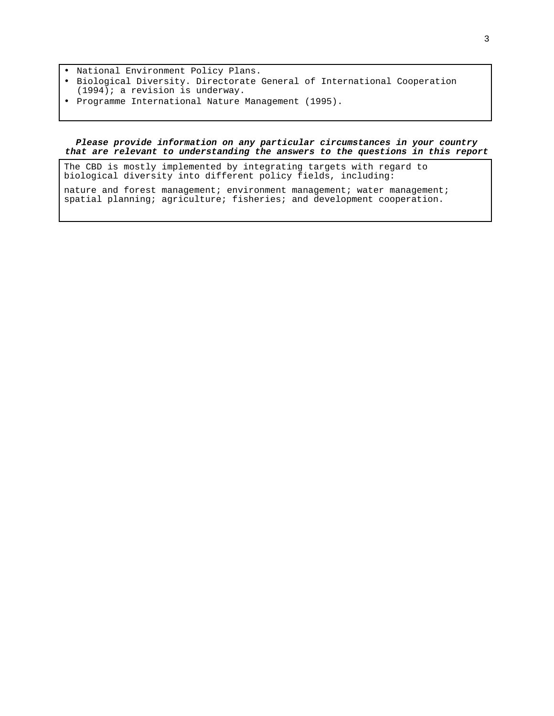• National Environment Policy Plans.

- Biological Diversity. Directorate General of International Cooperation
- (1994); a revision is underway.
- Programme International Nature Management (1995).

#### **Please provide information on any particular circumstances in your country that are relevant to understanding the answers to the questions in this report**

The CBD is mostly implemented by integrating targets with regard to biological diversity into different policy fields, including:

nature and forest management; environment management; water management; spatial planning; agriculture; fisheries; and development cooperation.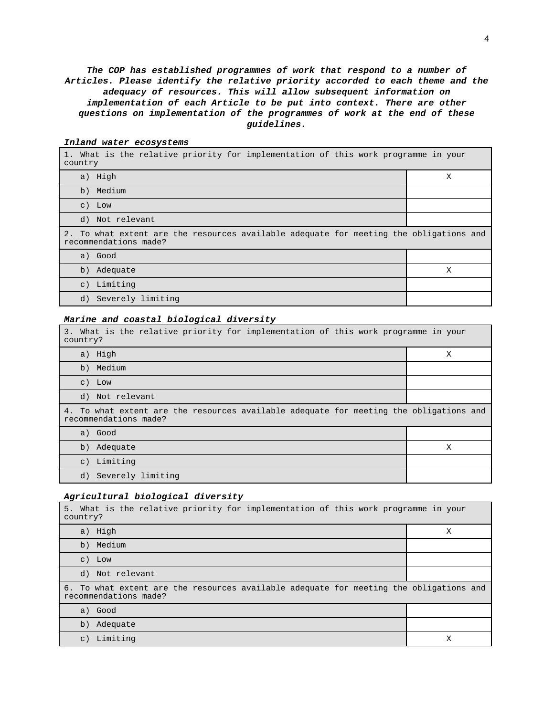**The COP has established programmes of work that respond to a number of Articles. Please identify the relative priority accorded to each theme and the adequacy of resources. This will allow subsequent information on implementation of each Article to be put into context. There are other questions on implementation of the programmes of work at the end of these guidelines.**

| 1. What is the relative priority for implementation of this work programme in your<br>country                   |   |  |  |  |
|-----------------------------------------------------------------------------------------------------------------|---|--|--|--|
| a) High                                                                                                         | X |  |  |  |
| b) Medium                                                                                                       |   |  |  |  |
| $c)$ Low                                                                                                        |   |  |  |  |
| d) Not relevant                                                                                                 |   |  |  |  |
| 2. To what extent are the resources available adequate for meeting the obligations and<br>recommendations made? |   |  |  |  |
| a) Good                                                                                                         |   |  |  |  |
| b) Adequate                                                                                                     | X |  |  |  |
|                                                                                                                 |   |  |  |  |
| c) Limiting                                                                                                     |   |  |  |  |

# **Inland water ecosystems**

**Marine and coastal biological diversity**

| 3. What is the relative priority for implementation of this work programme in your<br>country?                  |   |  |  |  |
|-----------------------------------------------------------------------------------------------------------------|---|--|--|--|
| a) High                                                                                                         | X |  |  |  |
| b) Medium                                                                                                       |   |  |  |  |
| $c)$ Low                                                                                                        |   |  |  |  |
| d) Not relevant                                                                                                 |   |  |  |  |
| 4. To what extent are the resources available adequate for meeting the obligations and<br>recommendations made? |   |  |  |  |
| a) Good                                                                                                         |   |  |  |  |
| b) Adequate                                                                                                     | Χ |  |  |  |
| c) Limiting                                                                                                     |   |  |  |  |
| Severely limiting<br>d)                                                                                         |   |  |  |  |

### **Agricultural biological diversity**

| 5. What is the relative priority for implementation of this work programme in your<br>country?                  |   |
|-----------------------------------------------------------------------------------------------------------------|---|
| a) High                                                                                                         | X |
| b) Medium                                                                                                       |   |
| $c)$ Low                                                                                                        |   |
| d) Not relevant                                                                                                 |   |
| 6. To what extent are the resources available adequate for meeting the obligations and<br>recommendations made? |   |
| a) Good                                                                                                         |   |
| Adequate<br>b)                                                                                                  |   |
| Limiting<br>$\mathcal{C}$ )                                                                                     | X |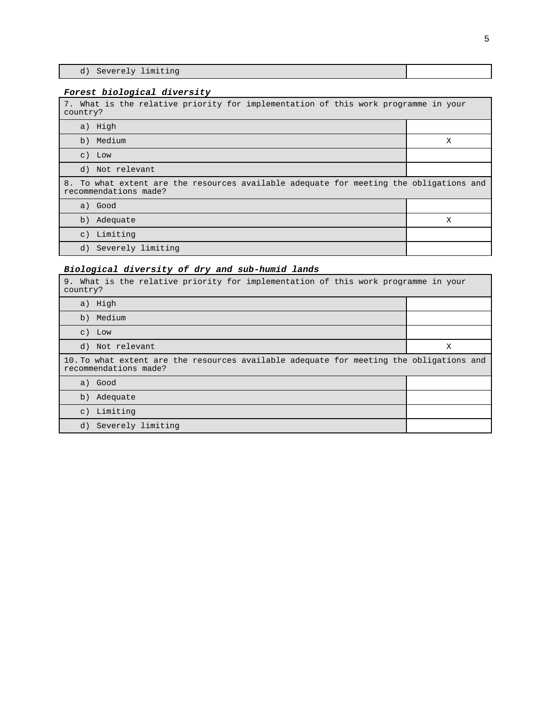# **Forest biological diversity**

| 7. What is the relative priority for implementation of this work programme in your<br>country?                  |   |  |  |
|-----------------------------------------------------------------------------------------------------------------|---|--|--|
| a) High                                                                                                         |   |  |  |
| b) Medium                                                                                                       | Χ |  |  |
| $c)$ Low                                                                                                        |   |  |  |
| d) Not relevant                                                                                                 |   |  |  |
|                                                                                                                 |   |  |  |
| 8. To what extent are the resources available adequate for meeting the obligations and<br>recommendations made? |   |  |  |
| a) Good                                                                                                         |   |  |  |
| b) Adequate                                                                                                     | Χ |  |  |
| c) Limiting                                                                                                     |   |  |  |

# **Biological diversity of dry and sub-humid lands**

| 9. What is the relative priority for implementation of this work programme in your<br>country?                   |   |  |  |  |
|------------------------------------------------------------------------------------------------------------------|---|--|--|--|
| a) High                                                                                                          |   |  |  |  |
| b) Medium                                                                                                        |   |  |  |  |
| $c)$ Low                                                                                                         |   |  |  |  |
| d) Not relevant                                                                                                  | X |  |  |  |
| 10. To what extent are the resources available adequate for meeting the obligations and<br>recommendations made? |   |  |  |  |
| a) Good                                                                                                          |   |  |  |  |
| b) Adequate                                                                                                      |   |  |  |  |
| c) Limiting                                                                                                      |   |  |  |  |
| d) Severely limiting                                                                                             |   |  |  |  |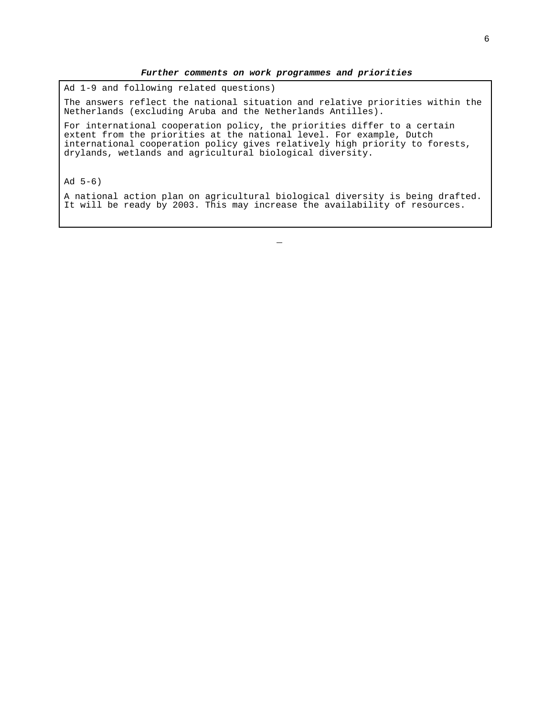#### **Further comments on work programmes and priorities**

Ad 1-9 and following related questions)

The answers reflect the national situation and relative priorities within the Netherlands (excluding Aruba and the Netherlands Antilles).

For international cooperation policy, the priorities differ to a certain extent from the priorities at the national level. For example, Dutch international cooperation policy gives relatively high priority to forests, drylands, wetlands and agricultural biological diversity.

 $Ad 5-6)$ 

A national action plan on agricultural biological diversity is being drafted. It will be ready by 2003. This may increase the availability of resources.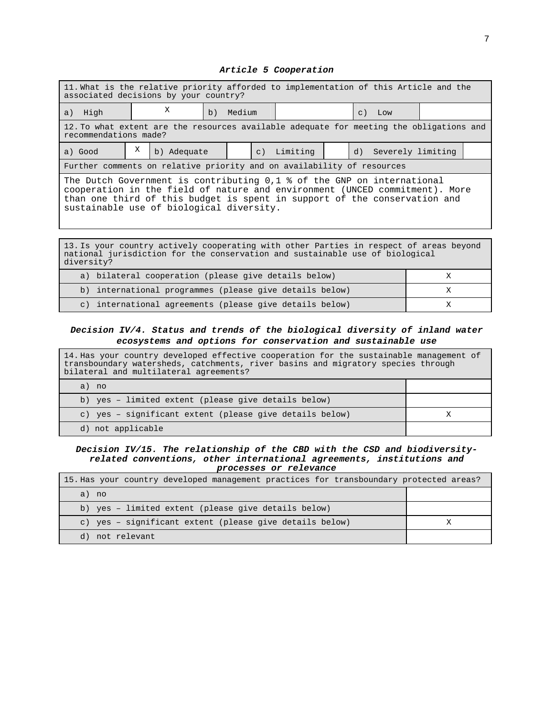### **Article 5 Cooperation**

| 11. What is the relative priority afforded to implementation of this Article and the<br>associated decisions by your country?                                                                                                                                                  |   |             |    |        |  |             |                |                      |  |
|--------------------------------------------------------------------------------------------------------------------------------------------------------------------------------------------------------------------------------------------------------------------------------|---|-------------|----|--------|--|-------------|----------------|----------------------|--|
| High<br>a)                                                                                                                                                                                                                                                                     |   | X           | b) | Medium |  |             | $\mathsf{C}$ ) | Low                  |  |
| 12. To what extent are the resources available adequate for meeting the obligations and<br>recommendations made?                                                                                                                                                               |   |             |    |        |  |             |                |                      |  |
| a) Good                                                                                                                                                                                                                                                                        | Χ | b) Adequate |    |        |  | c) Limiting |                | d) Severely limiting |  |
| Further comments on relative priority and on availability of resources                                                                                                                                                                                                         |   |             |    |        |  |             |                |                      |  |
| The Dutch Government is contributing 0,1 % of the GNP on international<br>cooperation in the field of nature and environment (UNCED commitment). More<br>than one third of this budget is spent in support of the conservation and<br>sustainable use of biological diversity. |   |             |    |        |  |             |                |                      |  |

| 13. Is your country actively cooperating with other Parties in respect of areas beyond<br>national jurisdiction for the conservation and sustainable use of biological<br>diversity? |  |  |  |
|--------------------------------------------------------------------------------------------------------------------------------------------------------------------------------------|--|--|--|
| a) bilateral cooperation (please give details below)                                                                                                                                 |  |  |  |
| b) international programmes (please give details below)                                                                                                                              |  |  |  |
| c) international agreements (please give details below)                                                                                                                              |  |  |  |

# **Decision IV/4. Status and trends of the biological diversity of inland water ecosystems and options for conservation and sustainable use**

| 14. Has your country developed effective cooperation for the sustainable management of<br>transboundary watersheds, catchments, river basins and migratory species through<br>bilateral and multilateral agreements? |  |  |
|----------------------------------------------------------------------------------------------------------------------------------------------------------------------------------------------------------------------|--|--|
| a) no                                                                                                                                                                                                                |  |  |
| b) yes - limited extent (please give details below)                                                                                                                                                                  |  |  |
| c) yes - significant extent (please give details below)                                                                                                                                                              |  |  |
| d) not applicable                                                                                                                                                                                                    |  |  |

#### **Decision IV/15. The relationship of the CBD with the CSD and biodiversityrelated conventions, other international agreements, institutions and processes or relevance**

| 15. Has your country developed management practices for transboundary protected areas? |  |
|----------------------------------------------------------------------------------------|--|
| a) no                                                                                  |  |
| b) yes - limited extent (please give details below)                                    |  |
| c) yes - significant extent (please give details below)                                |  |
| d) not relevant                                                                        |  |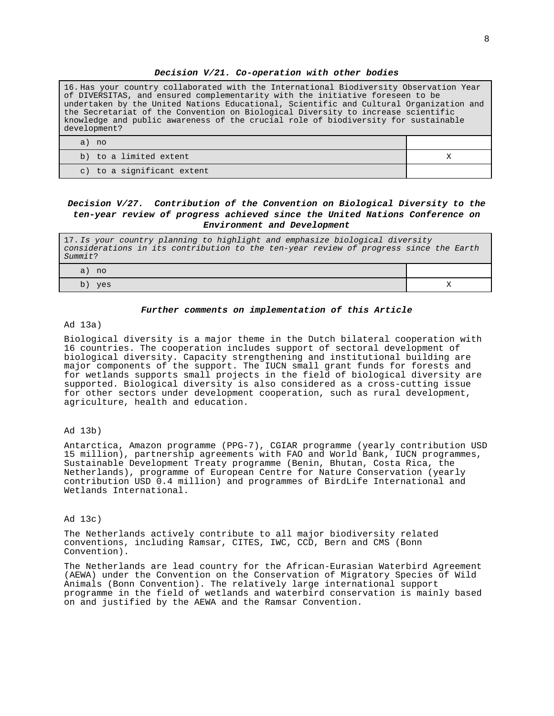#### **Decision V/21. Co-operation with other bodies**

16. Has your country collaborated with the International Biodiversity Observation Year of DIVERSITAS, and ensured complementarity with the initiative foreseen to be undertaken by the United Nations Educational, Scientific and Cultural Organization and the Secretariat of the Convention on Biological Diversity to increase scientific knowledge and public awareness of the crucial role of biodiversity for sustainable development? a) no

| d | no n                       |  |
|---|----------------------------|--|
|   | b) to a limited extent     |  |
|   | c) to a significant extent |  |

### **Decision V/27. Contribution of the Convention on Biological Diversity to the ten-year review of progress achieved since the United Nations Conference on Environment and Development**

| 17. Is your country planning to highlight and emphasize biological diversity<br>considerations in its contribution to the ten-year review of progress since the Earth<br>Summit? |  |
|----------------------------------------------------------------------------------------------------------------------------------------------------------------------------------|--|
| a) no                                                                                                                                                                            |  |
| ves                                                                                                                                                                              |  |

#### **Further comments on implementation of this Article**

#### Ad 13a)

Biological diversity is a major theme in the Dutch bilateral cooperation with 16 countries. The cooperation includes support of sectoral development of biological diversity. Capacity strengthening and institutional building are major components of the support. The IUCN small grant funds for forests and for wetlands supports small projects in the field of biological diversity are supported. Biological diversity is also considered as a cross-cutting issue for other sectors under development cooperation, such as rural development, agriculture, health and education.

#### Ad 13b)

Antarctica, Amazon programme (PPG-7), CGIAR programme (yearly contribution USD 15 million), partnership agreements with FAO and World Bank, IUCN programmes, Sustainable Development Treaty programme (Benin, Bhutan, Costa Rica, the Netherlands), programme of European Centre for Nature Conservation (yearly contribution USD 0.4 million) and programmes of BirdLife International and Wetlands International.

#### Ad 13c)

The Netherlands actively contribute to all major biodiversity related conventions, including Ramsar, CITES, IWC, CCD, Bern and CMS (Bonn Convention).

The Netherlands are lead country for the African-Eurasian Waterbird Agreement (AEWA) under the Convention on the Conservation of Migratory Species of Wild Animals (Bonn Convention). The relatively large international support programme in the field of wetlands and waterbird conservation is mainly based on and justified by the AEWA and the Ramsar Convention.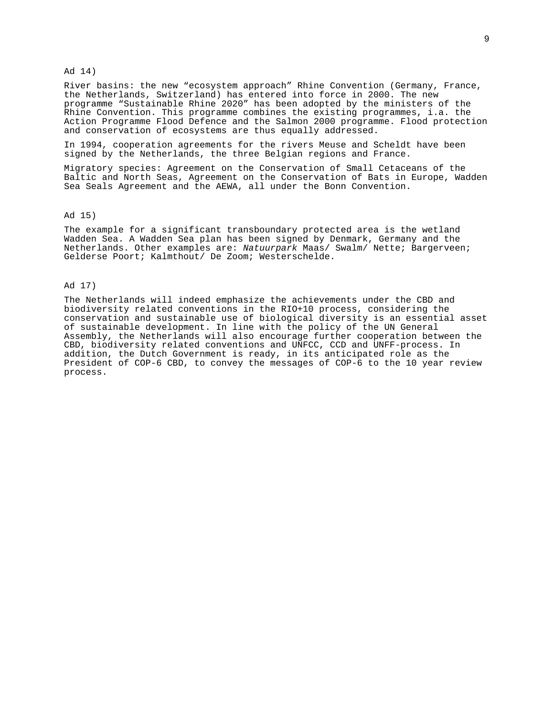#### Ad 14)

River basins: the new "ecosystem approach" Rhine Convention (Germany, France, the Netherlands, Switzerland) has entered into force in 2000. The new programme "Sustainable Rhine 2020" has been adopted by the ministers of the Rhine Convention. This programme combines the existing programmes, i.a. the Action Programme Flood Defence and the Salmon 2000 programme. Flood protection and conservation of ecosystems are thus equally addressed.

In 1994, cooperation agreements for the rivers Meuse and Scheldt have been signed by the Netherlands, the three Belgian regions and France.

Migratory species: Agreement on the Conservation of Small Cetaceans of the Baltic and North Seas, Agreement on the Conservation of Bats in Europe, Wadden Sea Seals Agreement and the AEWA, all under the Bonn Convention.

#### Ad 15)

The example for a significant transboundary protected area is the wetland Wadden Sea. A Wadden Sea plan has been signed by Denmark, Germany and the Netherlands. Other examples are: Natuurpark Maas/ Swalm/ Nette; Bargerveen; Gelderse Poort; Kalmthout/ De Zoom; Westerschelde.

#### Ad 17)

The Netherlands will indeed emphasize the achievements under the CBD and biodiversity related conventions in the RIO+10 process, considering the conservation and sustainable use of biological diversity is an essential asset of sustainable development. In line with the policy of the UN General Assembly, the Netherlands will also encourage further cooperation between the CBD, biodiversity related conventions and UNFCC, CCD and UNFF-process. In addition, the Dutch Government is ready, in its anticipated role as the President of COP-6 CBD, to convey the messages of COP-6 to the 10 year review process.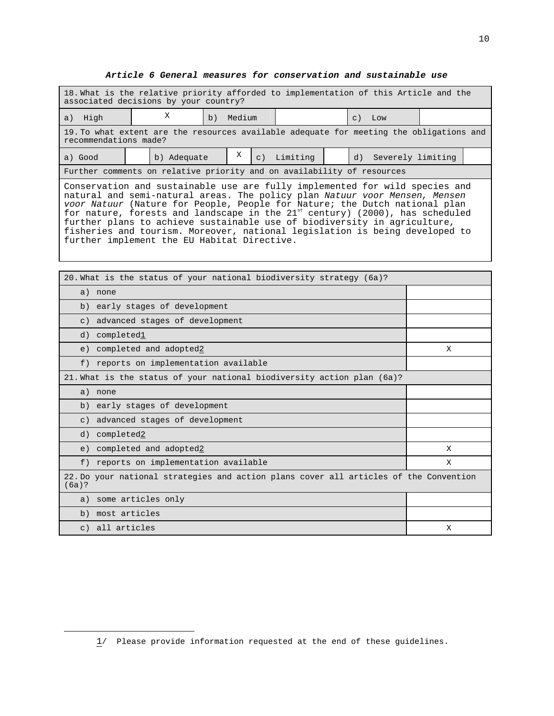# **Article 6 General measures for conservation and sustainable use**

|                                                                                                                                                                                                                                                                                                                                                                                                                                                                                                                                               | 18. What is the relative priority afforded to implementation of this Article and the<br>associated decisions by your country? |              |         |          |  |                  |                   |  |
|-----------------------------------------------------------------------------------------------------------------------------------------------------------------------------------------------------------------------------------------------------------------------------------------------------------------------------------------------------------------------------------------------------------------------------------------------------------------------------------------------------------------------------------------------|-------------------------------------------------------------------------------------------------------------------------------|--------------|---------|----------|--|------------------|-------------------|--|
| High<br>a)                                                                                                                                                                                                                                                                                                                                                                                                                                                                                                                                    | X                                                                                                                             | b)<br>Medium |         |          |  | $\circ$ )<br>Low |                   |  |
| recommendations made?                                                                                                                                                                                                                                                                                                                                                                                                                                                                                                                         | 19. To what extent are the resources available adequate for meeting the obligations and                                       |              |         |          |  |                  |                   |  |
| a) Good                                                                                                                                                                                                                                                                                                                                                                                                                                                                                                                                       | b) Adequate                                                                                                                   | Χ            | $\in$ ) | Limiting |  | d)               | Severely limiting |  |
|                                                                                                                                                                                                                                                                                                                                                                                                                                                                                                                                               | Further comments on relative priority and on availability of resources                                                        |              |         |          |  |                  |                   |  |
| Conservation and sustainable use are fully implemented for wild species and<br>natural and semi-natural areas. The policy plan Natuur voor Mensen, Mensen<br>voor Natuur (Nature for People, People for Nature; the Dutch national plan<br>for nature, forests and landscape in the 21 <sup>st</sup> century) (2000), has scheduled<br>further plans to achieve sustainable use of biodiversity in agriculture,<br>fisheries and tourism. Moreover, national legislation is being developed to<br>further implement the EU Habitat Directive. |                                                                                                                               |              |         |          |  |                  |                   |  |
|                                                                                                                                                                                                                                                                                                                                                                                                                                                                                                                                               | 20. What is the status of your national biodiversity strategy (6a)?                                                           |              |         |          |  |                  |                   |  |
|                                                                                                                                                                                                                                                                                                                                                                                                                                                                                                                                               |                                                                                                                               |              |         |          |  |                  |                   |  |
| a) none                                                                                                                                                                                                                                                                                                                                                                                                                                                                                                                                       |                                                                                                                               |              |         |          |  |                  |                   |  |
|                                                                                                                                                                                                                                                                                                                                                                                                                                                                                                                                               | b) early stages of development                                                                                                |              |         |          |  |                  |                   |  |
| completed1<br>d)                                                                                                                                                                                                                                                                                                                                                                                                                                                                                                                              | c) advanced stages of development                                                                                             |              |         |          |  |                  |                   |  |
|                                                                                                                                                                                                                                                                                                                                                                                                                                                                                                                                               |                                                                                                                               |              |         |          |  |                  | Χ                 |  |
| e) completed and adopted2<br>f) reports on implementation available                                                                                                                                                                                                                                                                                                                                                                                                                                                                           |                                                                                                                               |              |         |          |  |                  |                   |  |
|                                                                                                                                                                                                                                                                                                                                                                                                                                                                                                                                               | 21. What is the status of your national biodiversity action plan (6a)?                                                        |              |         |          |  |                  |                   |  |
| a) none                                                                                                                                                                                                                                                                                                                                                                                                                                                                                                                                       |                                                                                                                               |              |         |          |  |                  |                   |  |
|                                                                                                                                                                                                                                                                                                                                                                                                                                                                                                                                               | b) early stages of development                                                                                                |              |         |          |  |                  |                   |  |
|                                                                                                                                                                                                                                                                                                                                                                                                                                                                                                                                               | c) advanced stages of development                                                                                             |              |         |          |  |                  |                   |  |
| d) completed2                                                                                                                                                                                                                                                                                                                                                                                                                                                                                                                                 |                                                                                                                               |              |         |          |  |                  |                   |  |
|                                                                                                                                                                                                                                                                                                                                                                                                                                                                                                                                               | e) completed and adopted2                                                                                                     |              |         |          |  |                  | Χ                 |  |
|                                                                                                                                                                                                                                                                                                                                                                                                                                                                                                                                               | f) reports on implementation available                                                                                        |              |         |          |  |                  | X                 |  |
| (6a)?                                                                                                                                                                                                                                                                                                                                                                                                                                                                                                                                         | 22. Do your national strategies and action plans cover all articles of the Convention                                         |              |         |          |  |                  |                   |  |
|                                                                                                                                                                                                                                                                                                                                                                                                                                                                                                                                               | a) some articles only                                                                                                         |              |         |          |  |                  |                   |  |
| b) most articles                                                                                                                                                                                                                                                                                                                                                                                                                                                                                                                              |                                                                                                                               |              |         |          |  |                  |                   |  |

c) all articles X

 $1/$  Please provide information requested at the end of these guidelines.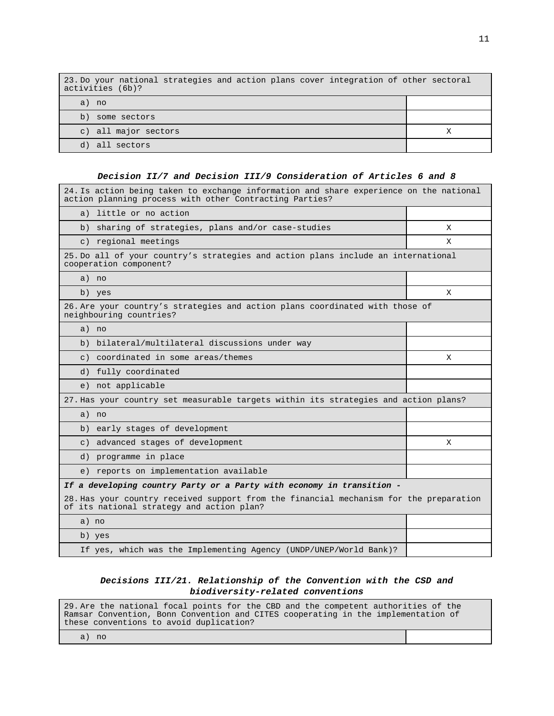| 23. Do your national strategies and action plans cover integration of other sectoral<br>activities (6b)? |  |
|----------------------------------------------------------------------------------------------------------|--|
| a) no                                                                                                    |  |
| b)<br>some sectors                                                                                       |  |
| c) all major sectors                                                                                     |  |
| d) all sectors                                                                                           |  |

## **Decision II/7 and Decision III/9 Consideration of Articles 6 and 8**

| 24. Is action being taken to exchange information and share experience on the national<br>action planning process with other Contracting Parties? |   |
|---------------------------------------------------------------------------------------------------------------------------------------------------|---|
| a) little or no action                                                                                                                            |   |
| b) sharing of strategies, plans and/or case-studies                                                                                               | X |
| c) regional meetings                                                                                                                              | X |
| 25. Do all of your country's strategies and action plans include an international<br>cooperation component?                                       |   |
| a) no                                                                                                                                             |   |
| b) yes                                                                                                                                            | х |
| 26. Are your country's strategies and action plans coordinated with those of<br>neighbouring countries?                                           |   |
| a) no                                                                                                                                             |   |
| b) bilateral/multilateral discussions under way                                                                                                   |   |
| c) coordinated in some areas/themes                                                                                                               | X |
| d) fully coordinated                                                                                                                              |   |
| e) not applicable                                                                                                                                 |   |
| 27. Has your country set measurable targets within its strategies and action plans?                                                               |   |
| a) no                                                                                                                                             |   |
| b) early stages of development                                                                                                                    |   |
| c) advanced stages of development                                                                                                                 | X |
| d) programme in place                                                                                                                             |   |
| e) reports on implementation available                                                                                                            |   |
| If a developing country Party or a Party with economy in transition -                                                                             |   |
| 28. Has your country received support from the financial mechanism for the preparation<br>of its national strategy and action plan?               |   |
| a) no                                                                                                                                             |   |
| b) yes                                                                                                                                            |   |
| If yes, which was the Implementing Agency (UNDP/UNEP/World Bank)?                                                                                 |   |

# **Decisions III/21. Relationship of the Convention with the CSD and biodiversity-related conventions**

| 29. Are the national focal points for the CBD and the competent authorities of the |  |
|------------------------------------------------------------------------------------|--|
| Ramsar Convention, Bonn Convention and CITES cooperating in the implementation of  |  |
| these conventions to avoid duplication?                                            |  |
| a) no                                                                              |  |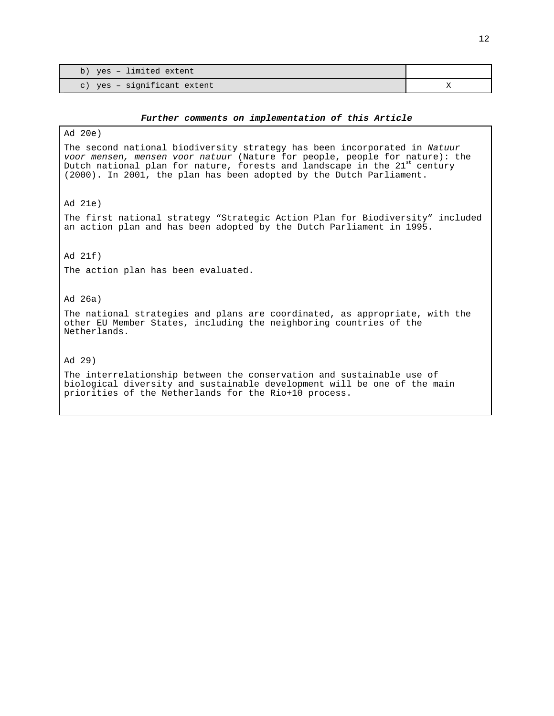| b) yes - limited extent     |  |
|-----------------------------|--|
| c) yes - significant extent |  |

#### **Further comments on implementation of this Article**

Ad 20e)

The second national biodiversity strategy has been incorporated in Natuur voor mensen, mensen voor natuur (Nature for people, people for nature): the Dutch national plan for nature, forests and landscape in the 21st century (2000). In 2001, the plan has been adopted by the Dutch Parliament.

Ad 21e)

The first national strategy "Strategic Action Plan for Biodiversity" included an action plan and has been adopted by the Dutch Parliament in 1995.

Ad 21f)

The action plan has been evaluated.

Ad 26a)

The national strategies and plans are coordinated, as appropriate, with the other EU Member States, including the neighboring countries of the Netherlands.

Ad 29)

The interrelationship between the conservation and sustainable use of biological diversity and sustainable development will be one of the main priorities of the Netherlands for the Rio+10 process.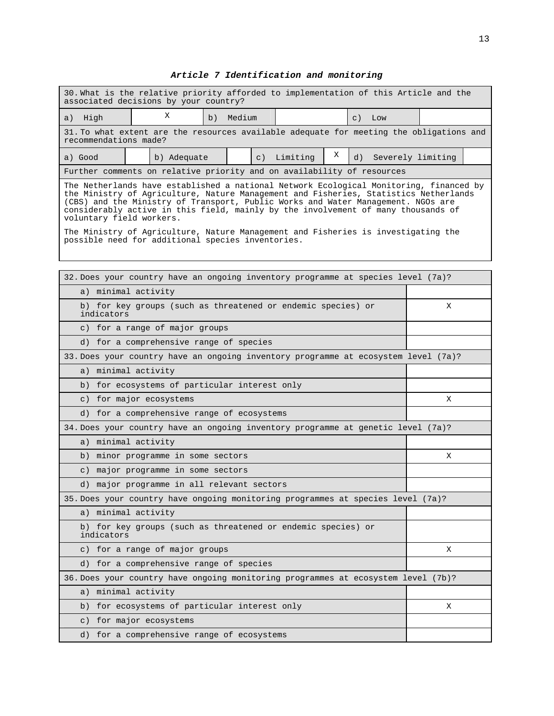# **Article 7 Identification and monitoring**

| 30. What is the relative priority afforded to implementation of this Article and the<br>associated decisions by your country?                                                                                                                                                                                                                                                       |                                                                                                                                        |              |           |          |   |                    |                                                                                         |
|-------------------------------------------------------------------------------------------------------------------------------------------------------------------------------------------------------------------------------------------------------------------------------------------------------------------------------------------------------------------------------------|----------------------------------------------------------------------------------------------------------------------------------------|--------------|-----------|----------|---|--------------------|-----------------------------------------------------------------------------------------|
| High<br>a)                                                                                                                                                                                                                                                                                                                                                                          | X                                                                                                                                      | b)<br>Medium |           |          |   | $\subset$ )<br>Low |                                                                                         |
| recommendations made?                                                                                                                                                                                                                                                                                                                                                               |                                                                                                                                        |              |           |          |   |                    | 31. To what extent are the resources available adequate for meeting the obligations and |
| a) Good                                                                                                                                                                                                                                                                                                                                                                             | b) Adequate                                                                                                                            |              | $\circ$ ) | Limiting | Χ | d)                 | Severely limiting                                                                       |
|                                                                                                                                                                                                                                                                                                                                                                                     | Further comments on relative priority and on availability of resources                                                                 |              |           |          |   |                    |                                                                                         |
| The Netherlands have established a national Network Ecological Monitoring, financed by<br>the Ministry of Agriculture, Nature Management and Fisheries, Statistics Netherlands<br>(CBS) and the Ministry of Transport, Public Works and Water Management. NGOs are<br>considerably active in this field, mainly by the involvement of many thousands of<br>voluntary field workers. |                                                                                                                                        |              |           |          |   |                    |                                                                                         |
|                                                                                                                                                                                                                                                                                                                                                                                     | The Ministry of Agriculture, Nature Management and Fisheries is investigating the<br>possible need for additional species inventories. |              |           |          |   |                    |                                                                                         |
|                                                                                                                                                                                                                                                                                                                                                                                     |                                                                                                                                        |              |           |          |   |                    |                                                                                         |
| a) minimal activity                                                                                                                                                                                                                                                                                                                                                                 | 32. Does your country have an ongoing inventory programme at species level (7a)?                                                       |              |           |          |   |                    |                                                                                         |
|                                                                                                                                                                                                                                                                                                                                                                                     | b) for key groups (such as threatened or endemic species) or                                                                           |              |           |          |   |                    | Χ                                                                                       |
| indicators                                                                                                                                                                                                                                                                                                                                                                          |                                                                                                                                        |              |           |          |   |                    |                                                                                         |
|                                                                                                                                                                                                                                                                                                                                                                                     | c) for a range of major groups                                                                                                         |              |           |          |   |                    |                                                                                         |
| d) for a comprehensive range of species                                                                                                                                                                                                                                                                                                                                             |                                                                                                                                        |              |           |          |   |                    |                                                                                         |
| 33. Does your country have an ongoing inventory programme at ecosystem level (7a)?                                                                                                                                                                                                                                                                                                  |                                                                                                                                        |              |           |          |   |                    |                                                                                         |
| a) minimal activity                                                                                                                                                                                                                                                                                                                                                                 |                                                                                                                                        |              |           |          |   |                    |                                                                                         |
|                                                                                                                                                                                                                                                                                                                                                                                     | b) for ecosystems of particular interest only                                                                                          |              |           |          |   |                    |                                                                                         |
|                                                                                                                                                                                                                                                                                                                                                                                     | c) for major ecosystems                                                                                                                |              |           |          |   |                    | X                                                                                       |
|                                                                                                                                                                                                                                                                                                                                                                                     | d) for a comprehensive range of ecosystems                                                                                             |              |           |          |   |                    |                                                                                         |
|                                                                                                                                                                                                                                                                                                                                                                                     | 34. Does your country have an ongoing inventory programme at genetic level (7a)?                                                       |              |           |          |   |                    |                                                                                         |
| a) minimal activity                                                                                                                                                                                                                                                                                                                                                                 |                                                                                                                                        |              |           |          |   |                    |                                                                                         |
|                                                                                                                                                                                                                                                                                                                                                                                     | b) minor programme in some sectors                                                                                                     |              |           |          |   |                    | X                                                                                       |
|                                                                                                                                                                                                                                                                                                                                                                                     | c) major programme in some sectors                                                                                                     |              |           |          |   |                    |                                                                                         |
|                                                                                                                                                                                                                                                                                                                                                                                     | d) major programme in all relevant sectors                                                                                             |              |           |          |   |                    |                                                                                         |
|                                                                                                                                                                                                                                                                                                                                                                                     | 35. Does your country have ongoing monitoring programmes at species level (7a)?                                                        |              |           |          |   |                    |                                                                                         |
| a) minimal activity                                                                                                                                                                                                                                                                                                                                                                 |                                                                                                                                        |              |           |          |   |                    |                                                                                         |
| indicators                                                                                                                                                                                                                                                                                                                                                                          | b) for key groups (such as threatened or endemic species) or                                                                           |              |           |          |   |                    |                                                                                         |
|                                                                                                                                                                                                                                                                                                                                                                                     | c) for a range of major groups                                                                                                         |              |           |          |   |                    | Χ                                                                                       |
|                                                                                                                                                                                                                                                                                                                                                                                     | d) for a comprehensive range of species                                                                                                |              |           |          |   |                    |                                                                                         |
| 36. Does your country have ongoing monitoring programmes at ecosystem level (7b)?                                                                                                                                                                                                                                                                                                   |                                                                                                                                        |              |           |          |   |                    |                                                                                         |
| a) minimal activity                                                                                                                                                                                                                                                                                                                                                                 |                                                                                                                                        |              |           |          |   |                    |                                                                                         |
|                                                                                                                                                                                                                                                                                                                                                                                     | b) for ecosystems of particular interest only                                                                                          |              |           |          |   |                    | Χ                                                                                       |
|                                                                                                                                                                                                                                                                                                                                                                                     | c) for major ecosystems                                                                                                                |              |           |          |   |                    |                                                                                         |

d) for a comprehensive range of ecosystems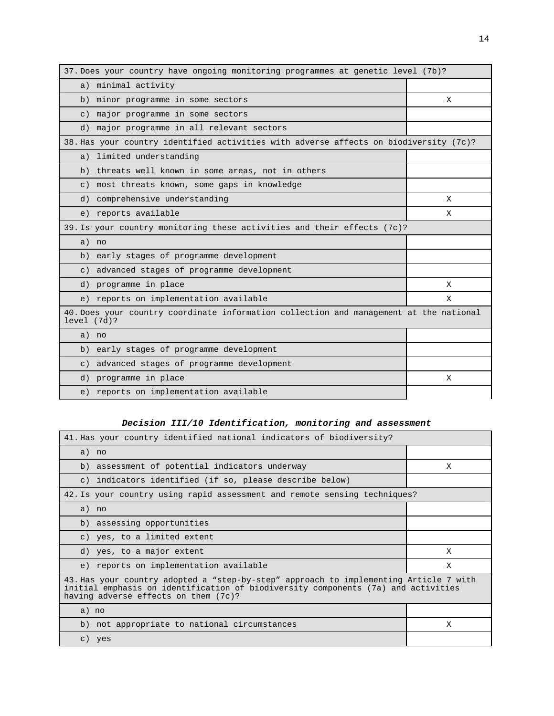| 37. Does your country have ongoing monitoring programmes at genetic level (7b)?                          |   |  |
|----------------------------------------------------------------------------------------------------------|---|--|
| a) minimal activity                                                                                      |   |  |
| b) minor programme in some sectors                                                                       | X |  |
| major programme in some sectors<br>$\subset$ )                                                           |   |  |
| d) major programme in all relevant sectors                                                               |   |  |
| 38. Has your country identified activities with adverse affects on biodiversity (7c)?                    |   |  |
| limited understanding<br>a)                                                                              |   |  |
| b) threats well known in some areas, not in others                                                       |   |  |
| most threats known, some gaps in knowledge<br>$\subset$ )                                                |   |  |
| comprehensive understanding<br>d)                                                                        | X |  |
| e) reports available                                                                                     | X |  |
| 39. Is your country monitoring these activities and their effects (7c)?                                  |   |  |
| $a)$ no                                                                                                  |   |  |
| b) early stages of programme development                                                                 |   |  |
| c) advanced stages of programme development                                                              |   |  |
| d) programme in place                                                                                    | X |  |
| e) reports on implementation available                                                                   | X |  |
| 40. Does your country coordinate information collection and management at the national<br>level $(7d)$ ? |   |  |
| a) no                                                                                                    |   |  |
| b) early stages of programme development                                                                 |   |  |
| c) advanced stages of programme development                                                              |   |  |
| d) programme in place                                                                                    | X |  |
| e) reports on implementation available                                                                   |   |  |

# **Decision III/10 Identification, monitoring and assessment**

| 41. Has your country identified national indicators of biodiversity?                                                                                                                                               |   |
|--------------------------------------------------------------------------------------------------------------------------------------------------------------------------------------------------------------------|---|
| a) no                                                                                                                                                                                                              |   |
| b) assessment of potential indicators underway                                                                                                                                                                     | X |
| c) indicators identified (if so, please describe below)                                                                                                                                                            |   |
| 42. Is your country using rapid assessment and remote sensing techniques?                                                                                                                                          |   |
| a) no                                                                                                                                                                                                              |   |
| b) assessing opportunities                                                                                                                                                                                         |   |
| c) yes, to a limited extent                                                                                                                                                                                        |   |
| d) yes, to a major extent                                                                                                                                                                                          | X |
| e) reports on implementation available                                                                                                                                                                             | X |
| 43. Has your country adopted a "step-by-step" approach to implementing Article 7 with<br>initial emphasis on identification of biodiversity components (7a) and activities<br>having adverse effects on them (7c)? |   |
| a) no                                                                                                                                                                                                              |   |
| b) not appropriate to national circumstances                                                                                                                                                                       | X |
| c) yes                                                                                                                                                                                                             |   |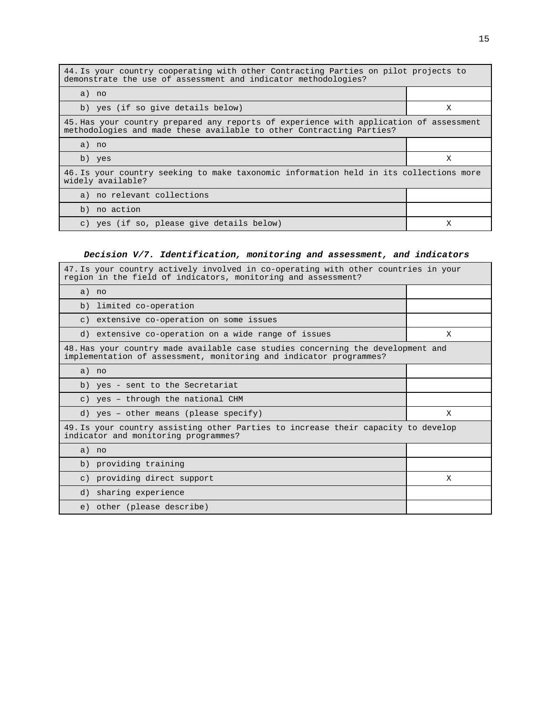| 44. Is your country cooperating with other Contracting Parties on pilot projects to<br>demonstrate the use of assessment and indicator methodologies?          |   |  |  |
|----------------------------------------------------------------------------------------------------------------------------------------------------------------|---|--|--|
| a) no                                                                                                                                                          |   |  |  |
| b) yes (if so give details below)                                                                                                                              | X |  |  |
| 45. Has your country prepared any reports of experience with application of assessment<br>methodologies and made these available to other Contracting Parties? |   |  |  |
| a) no                                                                                                                                                          |   |  |  |
| b) yes                                                                                                                                                         | X |  |  |
| 46. Is your country seeking to make taxonomic information held in its collections more<br>widely available?                                                    |   |  |  |
| a) no relevant collections                                                                                                                                     |   |  |  |
| b) no action                                                                                                                                                   |   |  |  |
| c) yes (if so, please give details below)                                                                                                                      | X |  |  |

# **Decision V/7. Identification, monitoring and assessment, and indicators**

| 47. Is your country actively involved in co-operating with other countries in your<br>region in the field of indicators, monitoring and assessment?   |   |
|-------------------------------------------------------------------------------------------------------------------------------------------------------|---|
| a) no                                                                                                                                                 |   |
| b) limited co-operation                                                                                                                               |   |
| c) extensive co-operation on some issues                                                                                                              |   |
| d) extensive co-operation on a wide range of issues                                                                                                   | X |
| 48. Has your country made available case studies concerning the development and<br>implementation of assessment, monitoring and indicator programmes? |   |
| a) no                                                                                                                                                 |   |
| b) yes - sent to the Secretariat                                                                                                                      |   |
| c) yes - through the national CHM                                                                                                                     |   |
| d) yes - other means (please specify)                                                                                                                 | X |
| 49. Is your country assisting other Parties to increase their capacity to develop<br>indicator and monitoring programmes?                             |   |
| a) no                                                                                                                                                 |   |
| b) providing training                                                                                                                                 |   |
| c) providing direct support                                                                                                                           | X |
| d) sharing experience                                                                                                                                 |   |
| e) other (please describe)                                                                                                                            |   |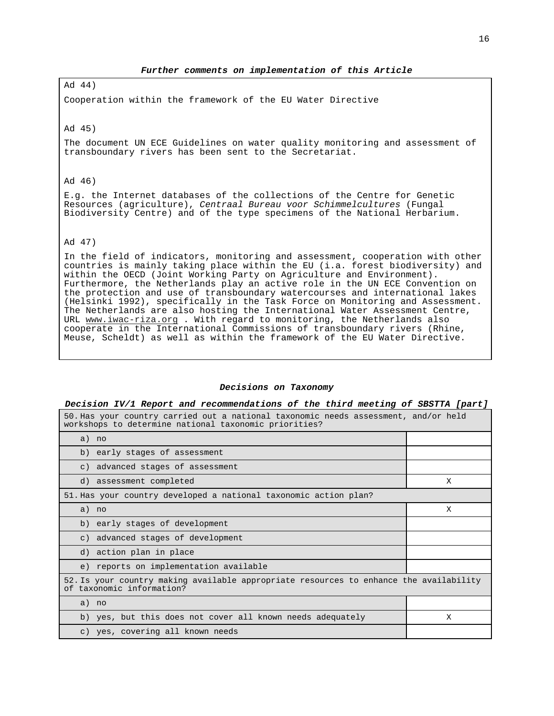Ad 44)

Cooperation within the framework of the EU Water Directive

Ad 45)

The document UN ECE Guidelines on water quality monitoring and assessment of transboundary rivers has been sent to the Secretariat.

Ad 46)

E.g. the Internet databases of the collections of the Centre for Genetic Resources (agriculture), Centraal Bureau voor Schimmelcultures (Fungal Biodiversity Centre) and of the type specimens of the National Herbarium.

#### Ad 47)

In the field of indicators, monitoring and assessment, cooperation with other countries is mainly taking place within the EU (i.a. forest biodiversity) and within the OECD (Joint Working Party on Agriculture and Environment). Furthermore, the Netherlands play an active role in the UN ECE Convention on the protection and use of transboundary watercourses and international lakes (Helsinki 1992), specifically in the Task Force on Monitoring and Assessment. The Netherlands are also hosting the International Water Assessment Centre, URL www.iwac-riza.org . With regard to monitoring, the Netherlands also cooperate in the International Commissions of transboundary rivers (Rhine, Meuse, Scheldt) as well as within the framework of the EU Water Directive.

#### **Decisions on Taxonomy**

#### **Decision IV/1 Report and recommendations of the third meeting of SBSTTA [part]**

50. Has your country carried out a national taxonomic needs assessment, and/or held workshops to determine national taxonomic priorities?

| a) no                                                                                                               |              |
|---------------------------------------------------------------------------------------------------------------------|--------------|
| b) early stages of assessment                                                                                       |              |
| c) advanced stages of assessment                                                                                    |              |
| d) assessment completed                                                                                             | X            |
| 51. Has your country developed a national taxonomic action plan?                                                    |              |
| a) no                                                                                                               | $\mathbf{x}$ |
| b) early stages of development                                                                                      |              |
| c) advanced stages of development                                                                                   |              |
| d) action plan in place                                                                                             |              |
| e) reports on implementation available                                                                              |              |
| 52. Is your country making available appropriate resources to enhance the availability<br>of taxonomic information? |              |
| a) no                                                                                                               |              |
| b) yes, but this does not cover all known needs adequately                                                          | X            |
| c) yes, covering all known needs                                                                                    |              |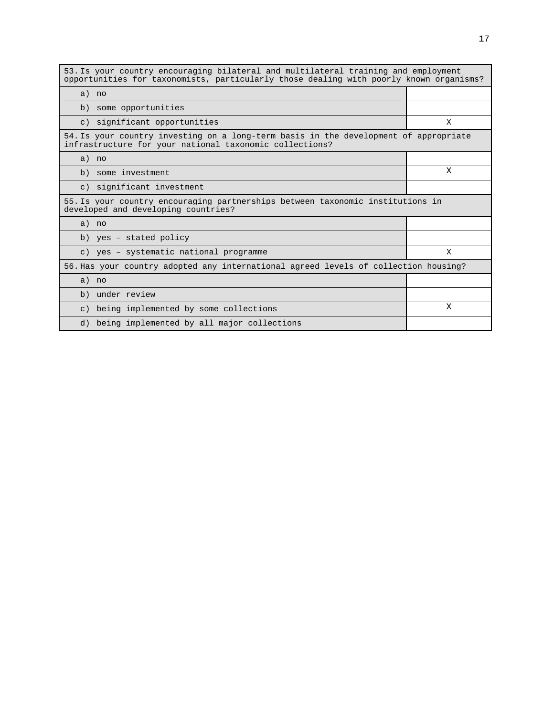| 53. Is your country encouraging bilateral and multilateral training and employment<br>opportunities for taxonomists, particularly those dealing with poorly known organisms? |   |
|------------------------------------------------------------------------------------------------------------------------------------------------------------------------------|---|
| a) no                                                                                                                                                                        |   |
| b) some opportunities                                                                                                                                                        |   |
| c) significant opportunities                                                                                                                                                 | X |
| 54. Is your country investing on a long-term basis in the development of appropriate<br>infrastructure for your national taxonomic collections?                              |   |
| a) no                                                                                                                                                                        |   |
| b) some investment                                                                                                                                                           | X |
| c) significant investment                                                                                                                                                    |   |
| 55. Is your country encouraging partnerships between taxonomic institutions in<br>developed and developing countries?                                                        |   |
| a) no                                                                                                                                                                        |   |
| b) yes - stated policy                                                                                                                                                       |   |
| c) yes - systematic national programme                                                                                                                                       | X |
| 56. Has your country adopted any international agreed levels of collection housing?                                                                                          |   |
| a) no                                                                                                                                                                        |   |
| b) under review                                                                                                                                                              |   |
| c) being implemented by some collections                                                                                                                                     | X |
| d) being implemented by all major collections                                                                                                                                |   |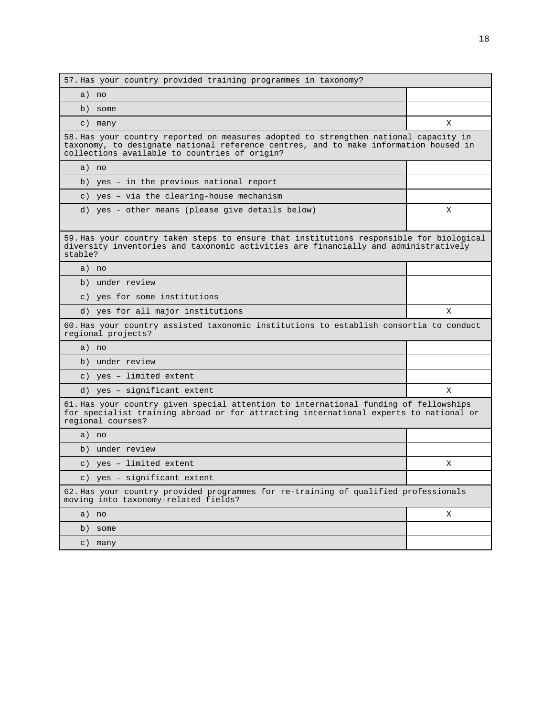| 57. Has your country provided training programmes in taxonomy?                                                                                                                                                                |   |
|-------------------------------------------------------------------------------------------------------------------------------------------------------------------------------------------------------------------------------|---|
| a) no                                                                                                                                                                                                                         |   |
| b) some                                                                                                                                                                                                                       |   |
| c) many                                                                                                                                                                                                                       | Χ |
|                                                                                                                                                                                                                               |   |
| 58. Has your country reported on measures adopted to strengthen national capacity in<br>taxonomy, to designate national reference centres, and to make information housed in<br>collections available to countries of origin? |   |
| a) no                                                                                                                                                                                                                         |   |
| b) yes - in the previous national report                                                                                                                                                                                      |   |
| c) yes - via the clearing-house mechanism                                                                                                                                                                                     |   |
| d) yes - other means (please give details below)                                                                                                                                                                              | X |
| 59. Has your country taken steps to ensure that institutions responsible for biological<br>diversity inventories and taxonomic activities are financially and administratively<br>stable?                                     |   |
| a) no                                                                                                                                                                                                                         |   |
| b) under review                                                                                                                                                                                                               |   |
| c) yes for some institutions                                                                                                                                                                                                  |   |
| d) yes for all major institutions                                                                                                                                                                                             | х |
| 60. Has your country assisted taxonomic institutions to establish consortia to conduct<br>regional projects?                                                                                                                  |   |
| a) no                                                                                                                                                                                                                         |   |
| b) under review                                                                                                                                                                                                               |   |
| c) yes - limited extent                                                                                                                                                                                                       |   |
| d) yes - significant extent                                                                                                                                                                                                   | X |
| 61. Has your country given special attention to international funding of fellowships<br>for specialist training abroad or for attracting international experts to national or<br>regional courses?                            |   |
| a) no                                                                                                                                                                                                                         |   |
| b) under review                                                                                                                                                                                                               |   |
| c) yes - limited extent                                                                                                                                                                                                       | X |
| c) yes - significant extent                                                                                                                                                                                                   |   |
| 62. Has your country provided programmes for re-training of qualified professionals<br>moving into taxonomy-related fields?                                                                                                   |   |
| a)<br>no                                                                                                                                                                                                                      | Χ |
| b)<br>some                                                                                                                                                                                                                    |   |
| c) many                                                                                                                                                                                                                       |   |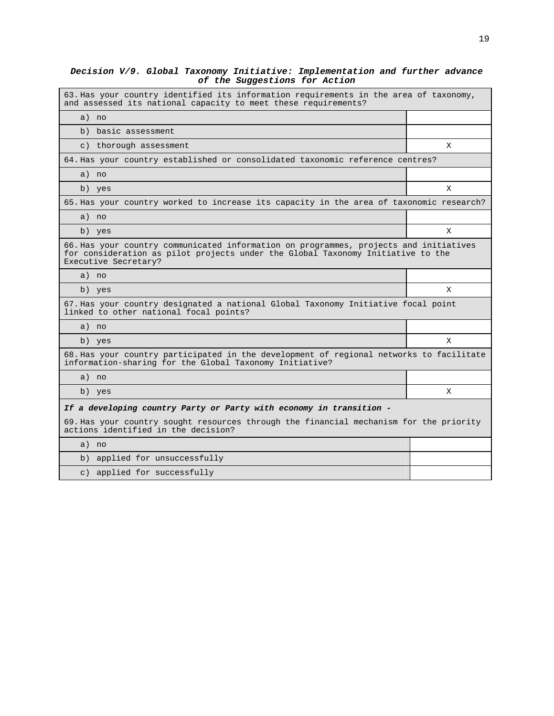| 63. Has your country identified its information requirements in the area of taxonomy,<br>and assessed its national capacity to meet these requirements?                                          |   |  |  |
|--------------------------------------------------------------------------------------------------------------------------------------------------------------------------------------------------|---|--|--|
| a) no                                                                                                                                                                                            |   |  |  |
| b) basic assessment                                                                                                                                                                              |   |  |  |
| c) thorough assessment                                                                                                                                                                           | X |  |  |
| 64. Has your country established or consolidated taxonomic reference centres?                                                                                                                    |   |  |  |
| a) no                                                                                                                                                                                            |   |  |  |
| b) yes                                                                                                                                                                                           | X |  |  |
| 65. Has your country worked to increase its capacity in the area of taxonomic research?                                                                                                          |   |  |  |
| a) no                                                                                                                                                                                            |   |  |  |
| b) yes                                                                                                                                                                                           | X |  |  |
| 66. Has your country communicated information on programmes, projects and initiatives<br>for consideration as pilot projects under the Global Taxonomy Initiative to the<br>Executive Secretary? |   |  |  |
| a) no                                                                                                                                                                                            |   |  |  |
| b) yes                                                                                                                                                                                           | X |  |  |
| 67. Has your country designated a national Global Taxonomy Initiative focal point<br>linked to other national focal points?                                                                      |   |  |  |
| a) no                                                                                                                                                                                            |   |  |  |
| b) yes                                                                                                                                                                                           | X |  |  |
| 68. Has your country participated in the development of regional networks to facilitate<br>information-sharing for the Global Taxonomy Initiative?                                               |   |  |  |
| a) no                                                                                                                                                                                            |   |  |  |
| b) yes                                                                                                                                                                                           | X |  |  |
| If a developing country Party or Party with economy in transition -                                                                                                                              |   |  |  |
| 69. Has your country sought resources through the financial mechanism for the priority<br>actions identified in the decision?                                                                    |   |  |  |
| a) no                                                                                                                                                                                            |   |  |  |
| b) applied for unsuccessfully                                                                                                                                                                    |   |  |  |
| c) applied for successfully                                                                                                                                                                      |   |  |  |

#### **Decision V/9. Global Taxonomy Initiative: Implementation and further advance of the Suggestions for Action**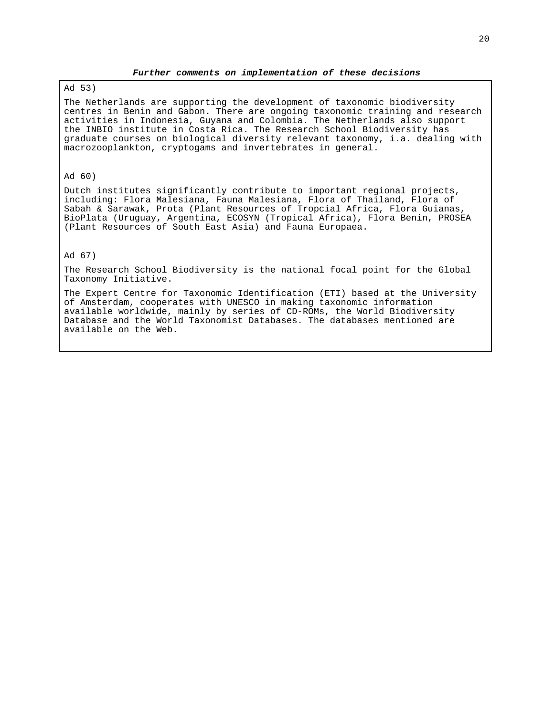#### **Further comments on implementation of these decisions**

Ad 53)

The Netherlands are supporting the development of taxonomic biodiversity centres in Benin and Gabon. There are ongoing taxonomic training and research activities in Indonesia, Guyana and Colombia. The Netherlands also support the INBIO institute in Costa Rica. The Research School Biodiversity has graduate courses on biological diversity relevant taxonomy, i.a. dealing with macrozooplankton, cryptogams and invertebrates in general.

Ad 60)

Dutch institutes significantly contribute to important regional projects, including: Flora Malesiana, Fauna Malesiana, Flora of Thailand, Flora of Sabah & Sarawak, Prota (Plant Resources of Tropcial Africa, Flora Guianas, BioPlata (Uruguay, Argentina, ECOSYN (Tropical Africa), Flora Benin, PROSEA (Plant Resources of South East Asia) and Fauna Europaea.

Ad 67)

The Research School Biodiversity is the national focal point for the Global Taxonomy Initiative.

The Expert Centre for Taxonomic Identification (ETI) based at the University of Amsterdam, cooperates with UNESCO in making taxonomic information available worldwide, mainly by series of CD-ROMs, the World Biodiversity Database and the World Taxonomist Databases. The databases mentioned are available on the Web.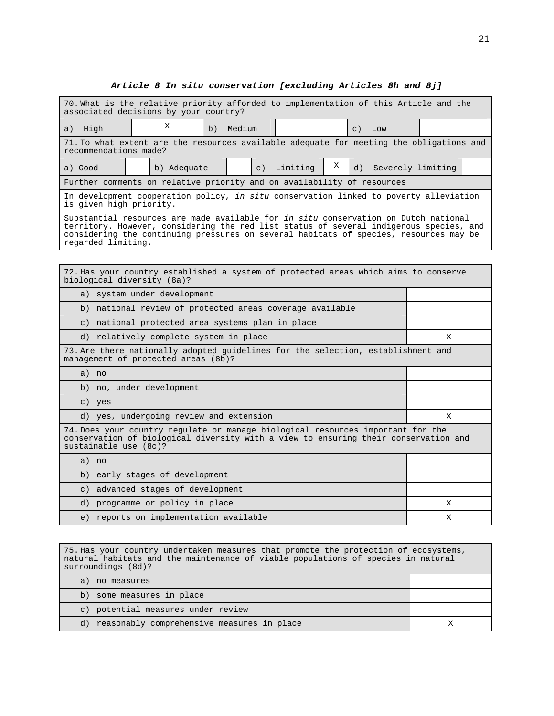**Article 8 In situ conservation [excluding Articles 8h and 8j]**

|                                                          | 70. What is the relative priority afforded to implementation of this Article and the<br>associated decisions by your country?                                                                                                                                          |              |                 |          |   |             |     |                   |  |
|----------------------------------------------------------|------------------------------------------------------------------------------------------------------------------------------------------------------------------------------------------------------------------------------------------------------------------------|--------------|-----------------|----------|---|-------------|-----|-------------------|--|
| High<br>a)                                               | X                                                                                                                                                                                                                                                                      | b)<br>Medium |                 |          |   | $\subset$ ) | Low |                   |  |
| recommendations made?                                    | 71. To what extent are the resources available adequate for meeting the obligations and                                                                                                                                                                                |              |                 |          |   |             |     |                   |  |
| a) Good                                                  | b) Adequate                                                                                                                                                                                                                                                            |              | $\mathcal{C}$ ) | Limiting | Χ | d)          |     | Severely limiting |  |
|                                                          | Further comments on relative priority and on availability of resources                                                                                                                                                                                                 |              |                 |          |   |             |     |                   |  |
| is given high priority.                                  | In development cooperation policy, in situ conservation linked to poverty alleviation                                                                                                                                                                                  |              |                 |          |   |             |     |                   |  |
| regarded limiting.                                       | Substantial resources are made available for in situ conservation on Dutch national<br>territory. However, considering the red list status of several indigenous species, and<br>considering the continuing pressures on several habitats of species, resources may be |              |                 |          |   |             |     |                   |  |
|                                                          |                                                                                                                                                                                                                                                                        |              |                 |          |   |             |     |                   |  |
| biological diversity (8a)?                               | 72. Has your country established a system of protected areas which aims to conserve                                                                                                                                                                                    |              |                 |          |   |             |     |                   |  |
| a)                                                       | system under development                                                                                                                                                                                                                                               |              |                 |          |   |             |     |                   |  |
| b) national review of protected areas coverage available |                                                                                                                                                                                                                                                                        |              |                 |          |   |             |     |                   |  |
|                                                          | c) national protected area systems plan in place                                                                                                                                                                                                                       |              |                 |          |   |             |     |                   |  |
|                                                          | d) relatively complete system in place                                                                                                                                                                                                                                 |              |                 |          |   |             |     | X                 |  |
|                                                          | 73. Are there nationally adopted quidelines for the selection, establishment and<br>management of protected areas (8b)?                                                                                                                                                |              |                 |          |   |             |     |                   |  |
| a)<br>no                                                 |                                                                                                                                                                                                                                                                        |              |                 |          |   |             |     |                   |  |
|                                                          | b) no, under development                                                                                                                                                                                                                                               |              |                 |          |   |             |     |                   |  |
| c) yes                                                   |                                                                                                                                                                                                                                                                        |              |                 |          |   |             |     |                   |  |
|                                                          | d) yes, undergoing review and extension                                                                                                                                                                                                                                |              |                 |          |   |             |     | X                 |  |
| sustainable use (8c)?                                    | 74. Does your country regulate or manage biological resources important for the<br>conservation of biological diversity with a view to ensuring their conservation and                                                                                                 |              |                 |          |   |             |     |                   |  |
| a) no                                                    |                                                                                                                                                                                                                                                                        |              |                 |          |   |             |     |                   |  |
| b)                                                       | early stages of development                                                                                                                                                                                                                                            |              |                 |          |   |             |     |                   |  |
|                                                          | c) advanced stages of development                                                                                                                                                                                                                                      |              |                 |          |   |             |     |                   |  |
|                                                          | d) programme or policy in place                                                                                                                                                                                                                                        |              |                 |          |   |             |     | X                 |  |
|                                                          | e) reports on implementation available                                                                                                                                                                                                                                 |              |                 |          |   |             |     | X                 |  |

75. Has your country undertaken measures that promote the protection of ecosystems, natural habitats and the maintenance of viable populations of species in natural surroundings (8d)?

| no measures<br>a)                                  |  |
|----------------------------------------------------|--|
| some measures in place<br>b)                       |  |
| potential measures under review<br>$\mathcal{C}$ ) |  |
| reasonably comprehensive measures in place<br>d)   |  |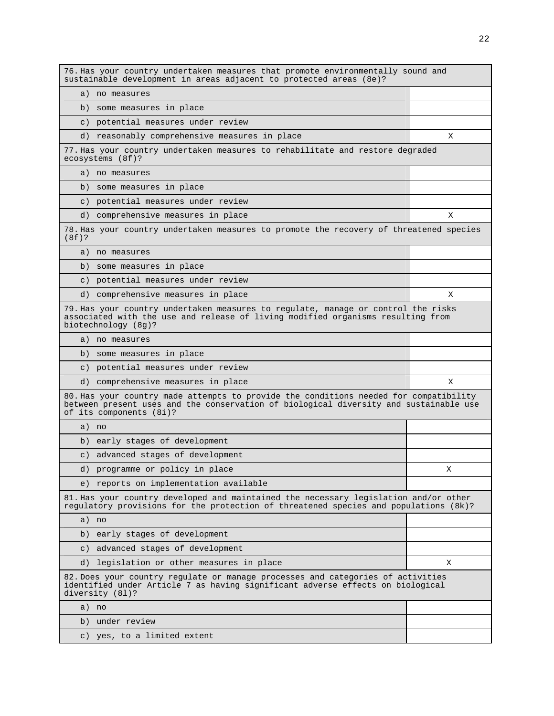| 76. Has your country undertaken measures that promote environmentally sound and<br>sustainable development in areas adjacent to protected areas (8e)?                                                     |   |
|-----------------------------------------------------------------------------------------------------------------------------------------------------------------------------------------------------------|---|
| a) no measures                                                                                                                                                                                            |   |
| b) some measures in place                                                                                                                                                                                 |   |
| c) potential measures under review                                                                                                                                                                        |   |
| reasonably comprehensive measures in place<br>d)                                                                                                                                                          | X |
| 77.Has your country undertaken measures to rehabilitate and restore degraded<br>ecosystems (8f)?                                                                                                          |   |
| a) no measures                                                                                                                                                                                            |   |
| b)<br>some measures in place                                                                                                                                                                              |   |
| potential measures under review<br>$\in$ )                                                                                                                                                                |   |
| comprehensive measures in place<br>d)                                                                                                                                                                     | X |
| 78. Has your country undertaken measures to promote the recovery of threatened species<br>$(8f)$ ?                                                                                                        |   |
| a) no measures                                                                                                                                                                                            |   |
| some measures in place<br>b)                                                                                                                                                                              |   |
| c) potential measures under review                                                                                                                                                                        |   |
| d) comprehensive measures in place                                                                                                                                                                        | X |
| 79. Has your country undertaken measures to regulate, manage or control the risks<br>associated with the use and release of living modified organisms resulting from<br>biotechnology (8g)?               |   |
| a) no measures                                                                                                                                                                                            |   |
| b) some measures in place                                                                                                                                                                                 |   |
| c) potential measures under review                                                                                                                                                                        |   |
| d) comprehensive measures in place                                                                                                                                                                        | X |
| 80. Has your country made attempts to provide the conditions needed for compatibility<br>between present uses and the conservation of biological diversity and sustainable use<br>of its components (8i)? |   |
| a) no                                                                                                                                                                                                     |   |
| b) early stages of development                                                                                                                                                                            |   |
| c) advanced stages of development                                                                                                                                                                         |   |
| d) programme or policy in place                                                                                                                                                                           | Χ |
| e) reports on implementation available                                                                                                                                                                    |   |
| 81. Has your country developed and maintained the necessary legislation and/or other<br>regulatory provisions for the protection of threatened species and populations (8k)?                              |   |
| a) no                                                                                                                                                                                                     |   |
| b) early stages of development                                                                                                                                                                            |   |
| advanced stages of development<br>$\circ$ )                                                                                                                                                               |   |
| d)<br>legislation or other measures in place                                                                                                                                                              | X |
| 82. Does your country regulate or manage processes and categories of activities<br>identified under Article 7 as having significant adverse effects on biological<br>diversity (81)?                      |   |
| a) no                                                                                                                                                                                                     |   |
| b) under review                                                                                                                                                                                           |   |
| c) yes, to a limited extent                                                                                                                                                                               |   |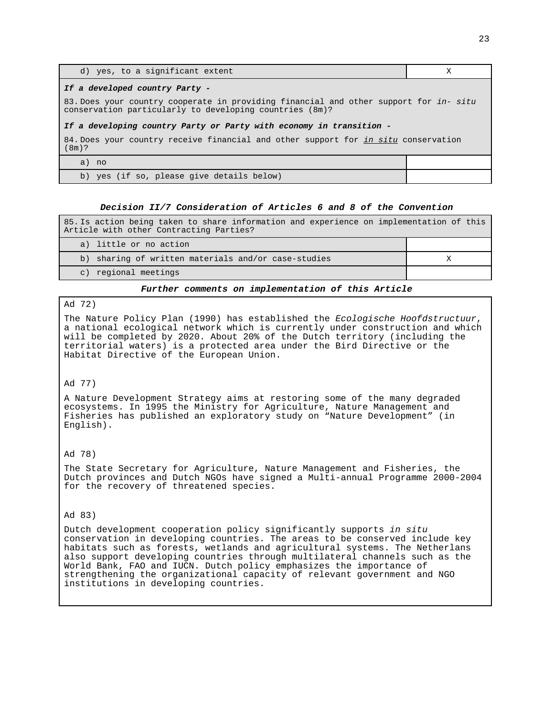| d) yes, to a significant extent                                                                                                                  | X |  |  |
|--------------------------------------------------------------------------------------------------------------------------------------------------|---|--|--|
| If a developed country Party -                                                                                                                   |   |  |  |
| 83. Does your country cooperate in providing financial and other support for in- situ<br>conservation particularly to developing countries (8m)? |   |  |  |
| If a developing country Party or Party with economy in transition -                                                                              |   |  |  |
| 84. Does your country receive financial and other support for in situ conservation<br>(8m)?                                                      |   |  |  |
| a) no                                                                                                                                            |   |  |  |
| b) yes (if so, please give details below)                                                                                                        |   |  |  |

#### **Decision II/7 Consideration of Articles 6 and 8 of the Convention**

85. Is action being taken to share information and experience on implementation of this Article with other Contracting Parties?

| a) little or no action                                 |  |
|--------------------------------------------------------|--|
| sharing of written materials and/or case-studies<br>b) |  |
| c) regional meetings                                   |  |

### **Further comments on implementation of this Article**

### Ad 72)

The Nature Policy Plan (1990) has established the Ecologische Hoofdstructuur, a national ecological network which is currently under construction and which will be completed by 2020. About 20% of the Dutch territory (including the territorial waters) is a protected area under the Bird Directive or the Habitat Directive of the European Union.

#### Ad 77)

A Nature Development Strategy aims at restoring some of the many degraded ecosystems. In 1995 the Ministry for Agriculture, Nature Management and Fisheries has published an exploratory study on "Nature Development" (in English).

#### Ad 78)

The State Secretary for Agriculture, Nature Management and Fisheries, the Dutch provinces and Dutch NGOs have signed a Multi-annual Programme 2000-2004 for the recovery of threatened species.

#### Ad 83)

Dutch development cooperation policy significantly supports in situ conservation in developing countries. The areas to be conserved include key habitats such as forests, wetlands and agricultural systems. The Netherlans also support developing countries through multilateral channels such as the World Bank, FAO and IUCN. Dutch policy emphasizes the importance of strengthening the organizational capacity of relevant government and NGO institutions in developing countries.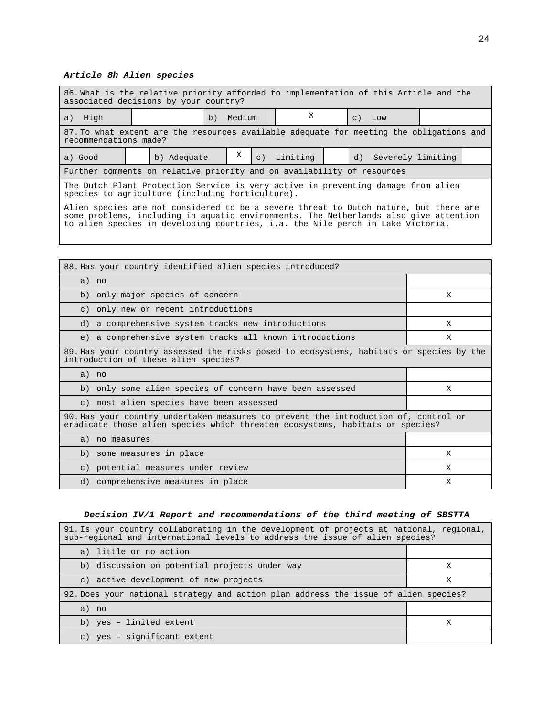# **Article 8h Alien species**

| 86. What is the relative priority afforded to implementation of this Article and the<br>associated decisions by your country?                                                                                                                                     |  |             |  |           |  |             |  |                      |  |
|-------------------------------------------------------------------------------------------------------------------------------------------------------------------------------------------------------------------------------------------------------------------|--|-------------|--|-----------|--|-------------|--|----------------------|--|
| a) High                                                                                                                                                                                                                                                           |  |             |  | b) Medium |  | X           |  | $c)$ Low             |  |
| 87. To what extent are the resources available adequate for meeting the obligations and<br>recommendations made?                                                                                                                                                  |  |             |  |           |  |             |  |                      |  |
| a) Good                                                                                                                                                                                                                                                           |  | b) Adequate |  | Χ         |  | c) Limiting |  | d) Severely limiting |  |
| Further comments on relative priority and on availability of resources                                                                                                                                                                                            |  |             |  |           |  |             |  |                      |  |
| The Dutch Plant Protection Service is very active in preventing damage from alien<br>species to agriculture (including horticulture).                                                                                                                             |  |             |  |           |  |             |  |                      |  |
| Alien species are not considered to be a severe threat to Dutch nature, but there are<br>some problems, including in aquatic environments. The Netherlands also give attention<br>to alien species in developing countries, i.a. the Nile perch in Lake Victoria. |  |             |  |           |  |             |  |                      |  |

| 88. Has your country identified alien species introduced?                                                                                                            |   |
|----------------------------------------------------------------------------------------------------------------------------------------------------------------------|---|
| a) no                                                                                                                                                                |   |
| b) only major species of concern                                                                                                                                     | X |
| c) only new or recent introductions                                                                                                                                  |   |
| a comprehensive system tracks new introductions<br>d)                                                                                                                | X |
| e) a comprehensive system tracks all known introductions                                                                                                             | X |
| 89. Has your country assessed the risks posed to ecosystems, habitats or species by the<br>introduction of these alien species?                                      |   |
| a) no                                                                                                                                                                |   |
| b) only some alien species of concern have been assessed                                                                                                             | X |
| c) most alien species have been assessed                                                                                                                             |   |
| 90. Has your country undertaken measures to prevent the introduction of, control or<br>eradicate those alien species which threaten ecosystems, habitats or species? |   |
| a) no measures                                                                                                                                                       |   |
| b) some measures in place                                                                                                                                            | X |
| c) potential measures under review                                                                                                                                   | X |
| d) comprehensive measures in place                                                                                                                                   | X |

# **Decision IV/1 Report and recommendations of the third meeting of SBSTTA**

| 91. Is your country collaborating in the development of projects at national, regional,<br>sub-regional and international levels to address the issue of alien species? |   |  |
|-------------------------------------------------------------------------------------------------------------------------------------------------------------------------|---|--|
| a) little or no action                                                                                                                                                  |   |  |
| b) discussion on potential projects under way                                                                                                                           |   |  |
| c) active development of new projects                                                                                                                                   | X |  |
| 92. Does your national strategy and action plan address the issue of alien species?                                                                                     |   |  |
| a) no                                                                                                                                                                   |   |  |
| b) yes - limited extent                                                                                                                                                 | Х |  |
| c) yes - significant extent                                                                                                                                             |   |  |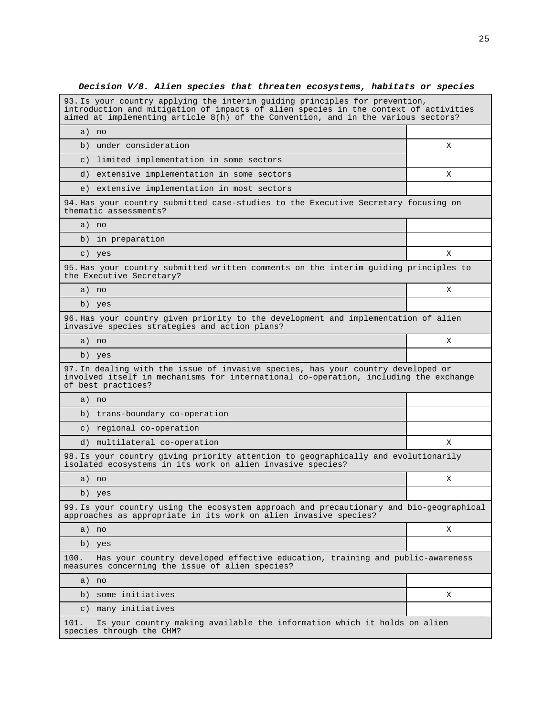| 93. Is your country applying the interim guiding principles for prevention,<br>introduction and mitigation of impacts of alien species in the context of activities<br>aimed at implementing article 8(h) of the Convention, and in the various sectors? |   |
|----------------------------------------------------------------------------------------------------------------------------------------------------------------------------------------------------------------------------------------------------------|---|
| a) no                                                                                                                                                                                                                                                    |   |
| b) under consideration                                                                                                                                                                                                                                   | х |
| c) limited implementation in some sectors                                                                                                                                                                                                                |   |
| d) extensive implementation in some sectors                                                                                                                                                                                                              | X |
| e) extensive implementation in most sectors                                                                                                                                                                                                              |   |
| 94. Has your country submitted case-studies to the Executive Secretary focusing on<br>thematic assessments?                                                                                                                                              |   |
| a) no                                                                                                                                                                                                                                                    |   |
| b) in preparation                                                                                                                                                                                                                                        |   |
| c) yes                                                                                                                                                                                                                                                   | X |
| 95. Has your country submitted written comments on the interim guiding principles to<br>the Executive Secretary?                                                                                                                                         |   |
| a) no                                                                                                                                                                                                                                                    | Χ |
| b) yes                                                                                                                                                                                                                                                   |   |
| 96. Has your country given priority to the development and implementation of alien<br>invasive species strategies and action plans?                                                                                                                      |   |
| a) no                                                                                                                                                                                                                                                    | X |
| b) yes                                                                                                                                                                                                                                                   |   |
| 97. In dealing with the issue of invasive species, has your country developed or<br>involved itself in mechanisms for international co-operation, including the exchange<br>of best practices?                                                           |   |
| a) no                                                                                                                                                                                                                                                    |   |
| b) trans-boundary co-operation                                                                                                                                                                                                                           |   |
| c) regional co-operation                                                                                                                                                                                                                                 |   |
| d) multilateral co-operation                                                                                                                                                                                                                             | Χ |
| 98. Is your country giving priority attention to geographically and evolutionarily<br>isolated ecosystems in its work on alien invasive species?                                                                                                         |   |
| a) no                                                                                                                                                                                                                                                    | Χ |
| b) yes                                                                                                                                                                                                                                                   |   |
| 99. Is your country using the ecosystem approach and precautionary and bio-geographical<br>approaches as appropriate in its work on alien invasive species?                                                                                              |   |
| a) no                                                                                                                                                                                                                                                    | Χ |
| b) yes                                                                                                                                                                                                                                                   |   |
| 100.<br>Has your country developed effective education, training and public-awareness<br>measures concerning the issue of alien species?                                                                                                                 |   |
| a) no                                                                                                                                                                                                                                                    |   |
| some initiatives<br>b)                                                                                                                                                                                                                                   | Χ |
| c) many initiatives                                                                                                                                                                                                                                      |   |
| 101.<br>Is your country making available the information which it holds on alien<br>species through the CHM?                                                                                                                                             |   |

# **Decision V/8. Alien species that threaten ecosystems, habitats or species**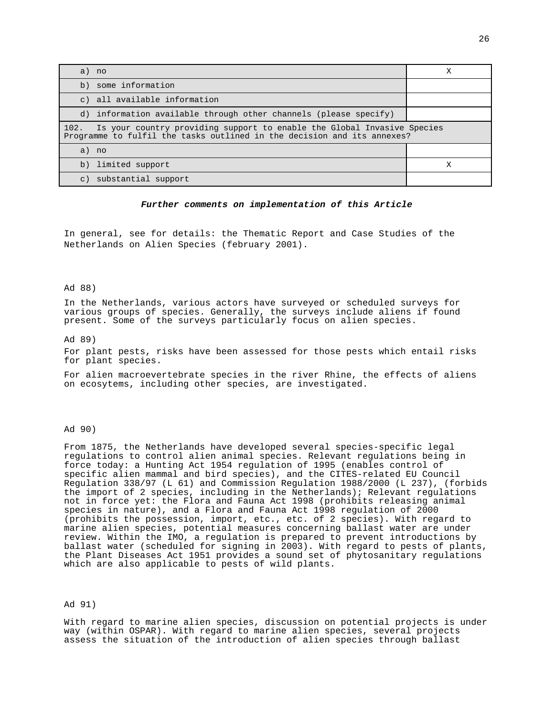| a) no                                                                                                                                                      | Х |
|------------------------------------------------------------------------------------------------------------------------------------------------------------|---|
| b) some information                                                                                                                                        |   |
| c) all available information                                                                                                                               |   |
| d) information available through other channels (please specify)                                                                                           |   |
| Is your country providing support to enable the Global Invasive Species<br>102.<br>Programme to fulfil the tasks outlined in the decision and its annexes? |   |
| a) no                                                                                                                                                      |   |
| limited support<br>b)                                                                                                                                      | Х |
| substantial support<br>$\overline{C}$ )                                                                                                                    |   |

#### **Further comments on implementation of this Article**

In general, see for details: the Thematic Report and Case Studies of the Netherlands on Alien Species (february 2001).

#### Ad 88)

In the Netherlands, various actors have surveyed or scheduled surveys for various groups of species. Generally, the surveys include aliens if found present. Some of the surveys particularly focus on alien species.

#### Ad 89)

For plant pests, risks have been assessed for those pests which entail risks for plant species.

For alien macroevertebrate species in the river Rhine, the effects of aliens on ecosytems, including other species, are investigated.

Ad 90)

From 1875, the Netherlands have developed several species-specific legal regulations to control alien animal species. Relevant regulations being in force today: a Hunting Act 1954 regulation of 1995 (enables control of specific alien mammal and bird species), and the CITES-related EU Council Regulation 338/97 (L 61) and Commission Regulation 1988/2000 (L 237), (forbids the import of 2 species, including in the Netherlands); Relevant regulations not in force yet: the Flora and Fauna Act 1998 (prohibits releasing animal species in nature), and a Flora and Fauna Act 1998 regulation of 2000 (prohibits the possession, import, etc., etc. of 2 species). With regard to marine alien species, potential measures concerning ballast water are under review. Within the IMO, a regulation is prepared to prevent introductions by ballast water (scheduled for signing in 2003). With regard to pests of plants, the Plant Diseases Act 1951 provides a sound set of phytosanitary regulations which are also applicable to pests of wild plants.

#### Ad 91)

With regard to marine alien species, discussion on potential projects is under way (within OSPAR). With regard to marine alien species, several projects assess the situation of the introduction of alien species through ballast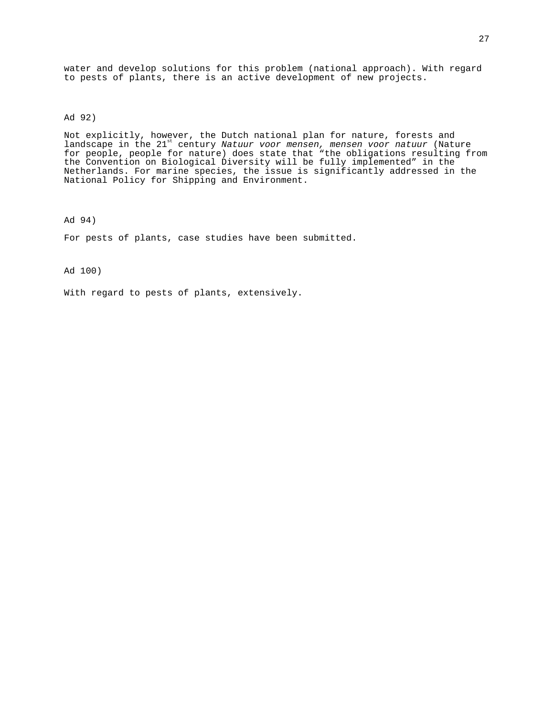water and develop solutions for this problem (national approach). With regard to pests of plants, there is an active development of new projects.

Ad 92)

Not explicitly, however, the Dutch national plan for nature, forests and landscape in the 21<sup>st</sup> century Natuur voor mensen, mensen voor natuur (Nature for people, people for nature) does state that "the obligations resulting from the Convention on Biological Diversity will be fully implemented" in the Netherlands. For marine species, the issue is significantly addressed in the National Policy for Shipping and Environment.

Ad 94)

For pests of plants, case studies have been submitted.

Ad 100)

With regard to pests of plants, extensively.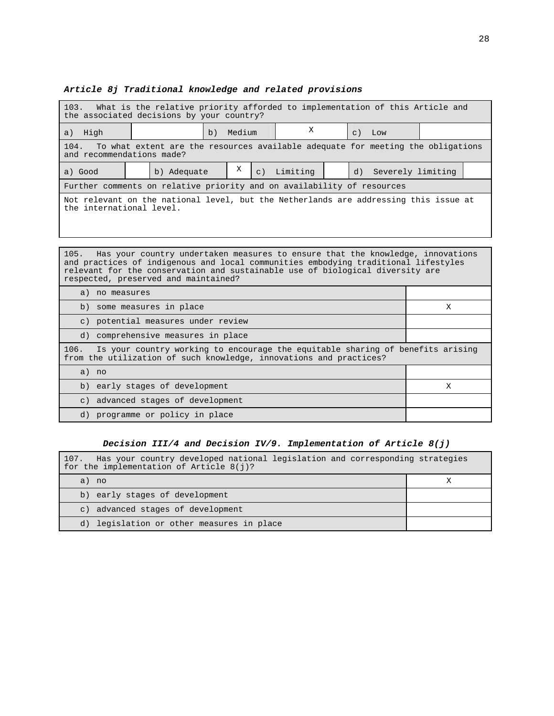# **Article 8j Traditional knowledge and related provisions**

| 103.<br>What is the relative priority afforded to implementation of this Article and<br>the associated decisions by your country? |  |                                                                                 |    |        |             |           |                   |  |
|-----------------------------------------------------------------------------------------------------------------------------------|--|---------------------------------------------------------------------------------|----|--------|-------------|-----------|-------------------|--|
| High<br>a)                                                                                                                        |  |                                                                                 | b) | Medium | X           | $\circ$ ) | Low               |  |
| 104.<br>and recommendations made?                                                                                                 |  | To what extent are the resources available adequate for meeting the obligations |    |        |             |           |                   |  |
| a) Good                                                                                                                           |  | b) Adequate                                                                     |    | Х      | c) Limiting | d)        | Severely limiting |  |
| Further comments on relative priority and on availability of resources                                                            |  |                                                                                 |    |        |             |           |                   |  |
| Not relevant on the national level, but the Netherlands are addressing this issue at<br>the international level.                  |  |                                                                                 |    |        |             |           |                   |  |

| 105. Has your country undertaken measures to ensure that the knowledge, innovations<br>and practices of indigenous and local communities embodying traditional lifestyles<br>relevant for the conservation and sustainable use of biological diversity are<br>respected, preserved and maintained? |   |  |
|----------------------------------------------------------------------------------------------------------------------------------------------------------------------------------------------------------------------------------------------------------------------------------------------------|---|--|
| a) no measures                                                                                                                                                                                                                                                                                     |   |  |
| b) some measures in place                                                                                                                                                                                                                                                                          | X |  |
| c) potential measures under review                                                                                                                                                                                                                                                                 |   |  |
| d) comprehensive measures in place                                                                                                                                                                                                                                                                 |   |  |
| 106. Is your country working to encourage the equitable sharing of benefits arising<br>from the utilization of such knowledge, innovations and practices?                                                                                                                                          |   |  |
| a) no                                                                                                                                                                                                                                                                                              |   |  |
| b) early stages of development                                                                                                                                                                                                                                                                     | X |  |
| c) advanced stages of development                                                                                                                                                                                                                                                                  |   |  |
|                                                                                                                                                                                                                                                                                                    |   |  |

d) programme or policy in place

# **Decision III/4 and Decision IV/9. Implementation of Article 8(j)**

| 107. Has your country developed national legislation and corresponding strategies<br>for the implementation of Article $8(i)?$ |  |
|--------------------------------------------------------------------------------------------------------------------------------|--|
| a) no                                                                                                                          |  |
| b) early stages of development                                                                                                 |  |
| c) advanced stages of development                                                                                              |  |
| d) legislation or other measures in place                                                                                      |  |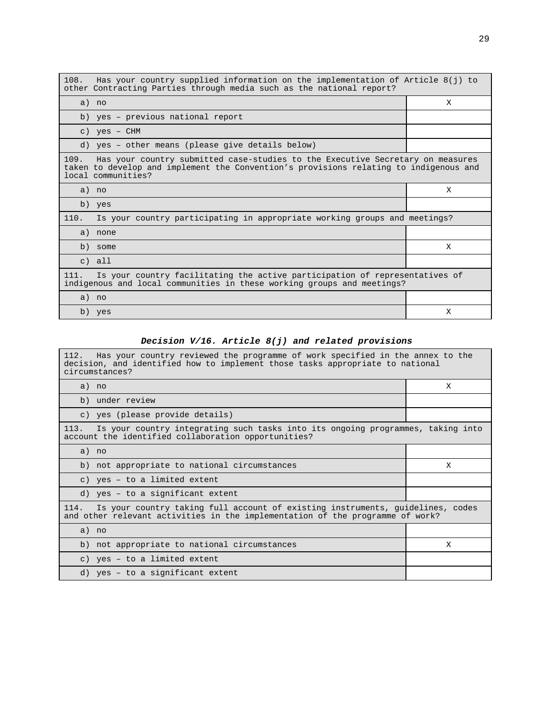| 108.<br>Has your country supplied information on the implementation of Article $8(j)$ to<br>other Contracting Parties through media such as the national report?                                      |   |
|-------------------------------------------------------------------------------------------------------------------------------------------------------------------------------------------------------|---|
| a) no                                                                                                                                                                                                 | X |
| b) yes - previous national report                                                                                                                                                                     |   |
| $c)$ yes - $CHM$                                                                                                                                                                                      |   |
| d) yes - other means (please give details below)                                                                                                                                                      |   |
| Has your country submitted case-studies to the Executive Secretary on measures<br>109.<br>taken to develop and implement the Convention's provisions relating to indigenous and<br>local communities? |   |
| a) no                                                                                                                                                                                                 | X |
| b) yes                                                                                                                                                                                                |   |
| 110.<br>Is your country participating in appropriate working groups and meetings?                                                                                                                     |   |
| a) none                                                                                                                                                                                               |   |
| b) some                                                                                                                                                                                               | X |
| $c)$ all                                                                                                                                                                                              |   |
| Is your country facilitating the active participation of representatives of<br>111.<br>indigenous and local communities in these working groups and meetings?                                         |   |
| a) no                                                                                                                                                                                                 |   |
| b) yes                                                                                                                                                                                                | X |

# **Decision V/16. Article 8(j) and related provisions**

| Has your country reviewed the programme of work specified in the annex to the<br>112.<br>decision, and identified how to implement those tasks appropriate to national<br>circumstances? |   |  |
|------------------------------------------------------------------------------------------------------------------------------------------------------------------------------------------|---|--|
| a) no                                                                                                                                                                                    | X |  |
| b) under review                                                                                                                                                                          |   |  |
| c) yes (please provide details)                                                                                                                                                          |   |  |
| Is your country integrating such tasks into its ongoing programmes, taking into<br>113.<br>account the identified collaboration opportunities?                                           |   |  |
| a) no                                                                                                                                                                                    |   |  |
| b) not appropriate to national circumstances                                                                                                                                             | X |  |
| c) yes - to a limited extent                                                                                                                                                             |   |  |
| d) yes - to a significant extent                                                                                                                                                         |   |  |
| Is your country taking full account of existing instruments, quidelines, codes<br>114.<br>and other relevant activities in the implementation of the programme of work?                  |   |  |
| a) no                                                                                                                                                                                    |   |  |
| b) not appropriate to national circumstances                                                                                                                                             | X |  |
| c) yes - to a limited extent                                                                                                                                                             |   |  |
| d) yes - to a significant extent                                                                                                                                                         |   |  |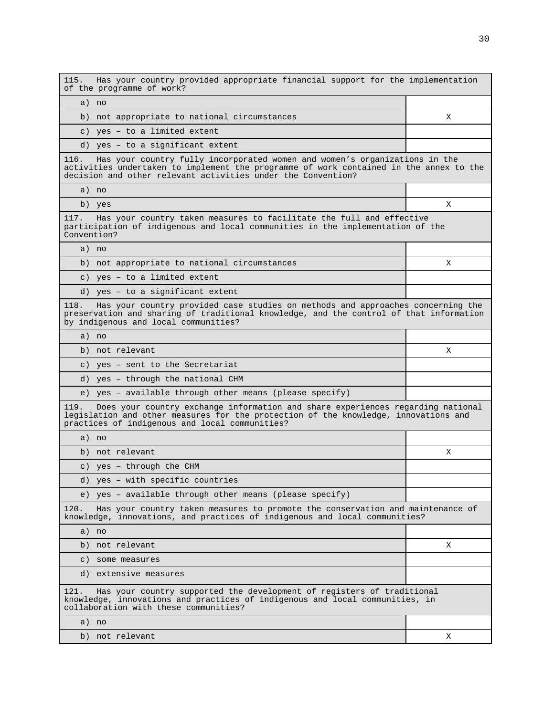| Has your country provided appropriate financial support for the implementation<br>115.<br>of the programme of work?                                                                                                                          |   |
|----------------------------------------------------------------------------------------------------------------------------------------------------------------------------------------------------------------------------------------------|---|
| a) no                                                                                                                                                                                                                                        |   |
| b) not appropriate to national circumstances                                                                                                                                                                                                 | х |
| c) yes - to a limited extent                                                                                                                                                                                                                 |   |
| d) yes - to a significant extent                                                                                                                                                                                                             |   |
| Has your country fully incorporated women and women's organizations in the<br>116.<br>activities undertaken to implement the programme of work contained in the annex to the<br>decision and other relevant activities under the Convention? |   |
| a) no                                                                                                                                                                                                                                        |   |
| b) yes                                                                                                                                                                                                                                       | X |
| 117.<br>Has your country taken measures to facilitate the full and effective<br>participation of indigenous and local communities in the implementation of the<br>Convention?                                                                |   |
| a) no                                                                                                                                                                                                                                        |   |
| b) not appropriate to national circumstances                                                                                                                                                                                                 | X |
| c) yes - to a limited extent                                                                                                                                                                                                                 |   |
| d) yes - to a significant extent                                                                                                                                                                                                             |   |
| 118.<br>Has your country provided case studies on methods and approaches concerning the<br>preservation and sharing of traditional knowledge, and the control of that information<br>by indigenous and local communities?                    |   |
| a) no                                                                                                                                                                                                                                        |   |
| b) not relevant                                                                                                                                                                                                                              | х |
| c) yes - sent to the Secretariat                                                                                                                                                                                                             |   |
| d) yes - through the national CHM                                                                                                                                                                                                            |   |
| e) yes - available through other means (please specify)                                                                                                                                                                                      |   |
| Does your country exchange information and share experiences regarding national<br>119.<br>legislation and other measures for the protection of the knowledge, innovations and<br>practices of indigenous and local communities?             |   |
| a) no                                                                                                                                                                                                                                        |   |
| b) not relevant                                                                                                                                                                                                                              | Χ |
| c) yes - through the CHM                                                                                                                                                                                                                     |   |
| d) yes - with specific countries                                                                                                                                                                                                             |   |
| e) yes - available through other means (please specify)                                                                                                                                                                                      |   |
| 120.<br>Has your country taken measures to promote the conservation and maintenance of<br>knowledge, innovations, and practices of indigenous and local communities?                                                                         |   |
| a) no                                                                                                                                                                                                                                        |   |
| b) not relevant                                                                                                                                                                                                                              | Χ |
| $\subset$ )<br>some measures                                                                                                                                                                                                                 |   |
| d) extensive measures                                                                                                                                                                                                                        |   |
| Has your country supported the development of registers of traditional<br>121.<br>knowledge, innovations and practices of indigenous and local communities, in<br>collaboration with these communities?                                      |   |
| a) no                                                                                                                                                                                                                                        |   |
| b) not relevant                                                                                                                                                                                                                              | Χ |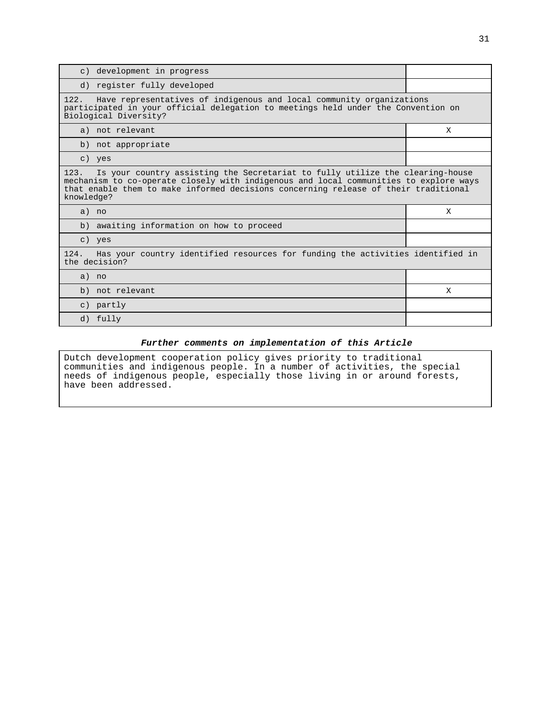| c) development in progress                                                                                                                                                                                                                                                          |   |  |
|-------------------------------------------------------------------------------------------------------------------------------------------------------------------------------------------------------------------------------------------------------------------------------------|---|--|
| d) register fully developed                                                                                                                                                                                                                                                         |   |  |
| Have representatives of indigenous and local community organizations<br>122.<br>participated in your official delegation to meetings held under the Convention on<br>Biological Diversity?                                                                                          |   |  |
| a) not relevant                                                                                                                                                                                                                                                                     | X |  |
| b) not appropriate                                                                                                                                                                                                                                                                  |   |  |
| c) yes                                                                                                                                                                                                                                                                              |   |  |
| Is your country assisting the Secretariat to fully utilize the clearing-house<br>123.<br>mechanism to co-operate closely with indigenous and local communities to explore ways<br>that enable them to make informed decisions concerning release of their traditional<br>knowledge? |   |  |
| a) no                                                                                                                                                                                                                                                                               | X |  |
| b) awaiting information on how to proceed                                                                                                                                                                                                                                           |   |  |
| c) yes                                                                                                                                                                                                                                                                              |   |  |
| Has your country identified resources for funding the activities identified in<br>124.<br>the decision?                                                                                                                                                                             |   |  |
| a) no                                                                                                                                                                                                                                                                               |   |  |
| b) not relevant                                                                                                                                                                                                                                                                     | X |  |
| c) partly                                                                                                                                                                                                                                                                           |   |  |
| d) fully                                                                                                                                                                                                                                                                            |   |  |

### **Further comments on implementation of this Article**

Dutch development cooperation policy gives priority to traditional communities and indigenous people. In a number of activities, the special needs of indigenous people, especially those living in or around forests, have been addressed.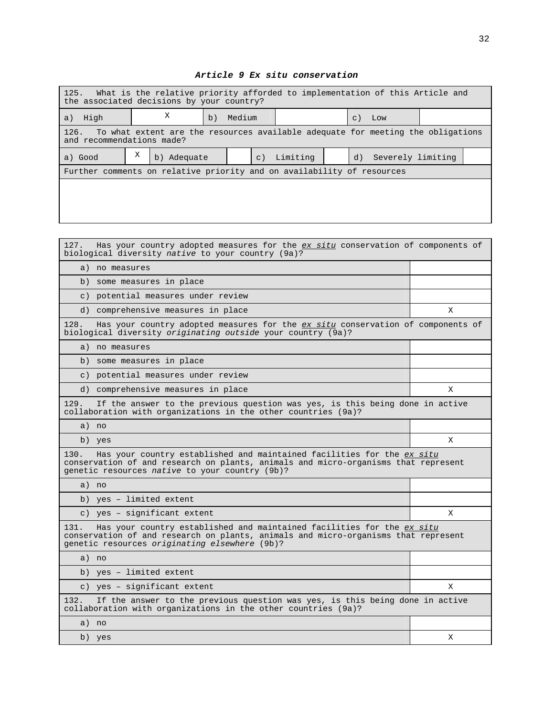# **Article 9 Ex situ conservation**

| 125.<br>What is the relative priority afforded to implementation of this Article and<br>the associated decisions by your country? |  |  |  |  |  |  |
|-----------------------------------------------------------------------------------------------------------------------------------|--|--|--|--|--|--|
|                                                                                                                                   |  |  |  |  |  |  |
| To what extent are the resources available adequate for meeting the obligations                                                   |  |  |  |  |  |  |
|                                                                                                                                   |  |  |  |  |  |  |
|                                                                                                                                   |  |  |  |  |  |  |
|                                                                                                                                   |  |  |  |  |  |  |
|                                                                                                                                   |  |  |  |  |  |  |
|                                                                                                                                   |  |  |  |  |  |  |

 $\overline{\phantom{a}}$ 

| Has your country adopted measures for the ex situ conservation of components of<br>127.<br>biological diversity native to your country (9a)?                                                                           |   |
|------------------------------------------------------------------------------------------------------------------------------------------------------------------------------------------------------------------------|---|
| a) no measures                                                                                                                                                                                                         |   |
| b) some measures in place                                                                                                                                                                                              |   |
| c) potential measures under review                                                                                                                                                                                     |   |
| d) comprehensive measures in place                                                                                                                                                                                     | X |
| Has your country adopted measures for the ex situ conservation of components of<br>128.<br>biological diversity originating outside your country (9a)?                                                                 |   |
| a) no measures                                                                                                                                                                                                         |   |
| b) some measures in place                                                                                                                                                                                              |   |
| c) potential measures under review                                                                                                                                                                                     |   |
| d) comprehensive measures in place                                                                                                                                                                                     | X |
| 129.<br>If the answer to the previous question was yes, is this being done in active<br>collaboration with organizations in the other countries (9a)?                                                                  |   |
| a) no                                                                                                                                                                                                                  |   |
| b) yes                                                                                                                                                                                                                 | X |
| Has your country established and maintained facilities for the ex situ<br>130.<br>conservation of and research on plants, animals and micro-organisms that represent<br>genetic resources native to your country (9b)? |   |
| a) no                                                                                                                                                                                                                  |   |
| b) yes - limited extent                                                                                                                                                                                                |   |
| c) yes - significant extent                                                                                                                                                                                            | X |
| Has your country established and maintained facilities for the ex situ<br>131.<br>conservation of and research on plants, animals and micro-organisms that represent<br>genetic resources originating elsewhere (9b)?  |   |
| a) no                                                                                                                                                                                                                  |   |
| b) yes - limited extent                                                                                                                                                                                                |   |
| c) yes - significant extent                                                                                                                                                                                            | X |
| 132.<br>If the answer to the previous question was yes, is this being done in active<br>collaboration with organizations in the other countries (9a)?                                                                  |   |
| a) no                                                                                                                                                                                                                  |   |
| b) yes                                                                                                                                                                                                                 | X |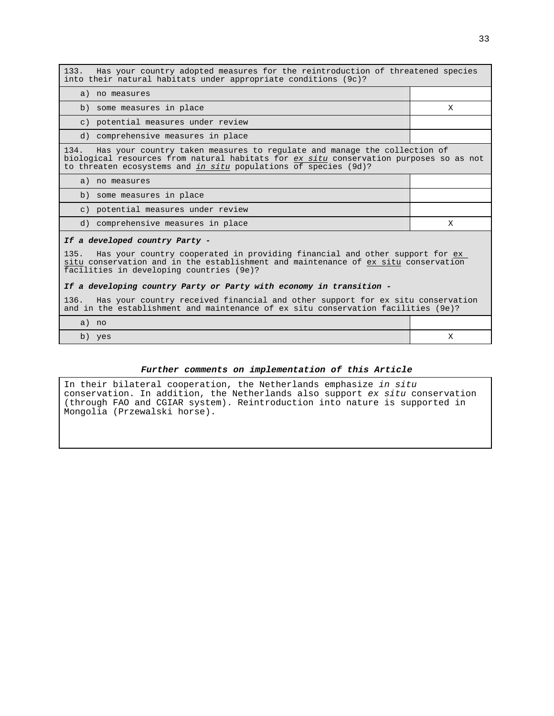| Has your country adopted measures for the reintroduction of threatened species<br>133.<br>into their natural habitats under appropriate conditions (9c)?                                                                                                                                                                                                                                                                                                                                                            |   |
|---------------------------------------------------------------------------------------------------------------------------------------------------------------------------------------------------------------------------------------------------------------------------------------------------------------------------------------------------------------------------------------------------------------------------------------------------------------------------------------------------------------------|---|
| a) no measures                                                                                                                                                                                                                                                                                                                                                                                                                                                                                                      |   |
| b) some measures in place                                                                                                                                                                                                                                                                                                                                                                                                                                                                                           | X |
| c) potential measures under review                                                                                                                                                                                                                                                                                                                                                                                                                                                                                  |   |
| d) comprehensive measures in place                                                                                                                                                                                                                                                                                                                                                                                                                                                                                  |   |
| 134.<br>Has your country taken measures to regulate and manage the collection of<br>biological resources from natural habitats for ex situ conservation purposes so as not<br>to threaten ecosystems and in situ populations of species (9d)?                                                                                                                                                                                                                                                                       |   |
| a) no measures                                                                                                                                                                                                                                                                                                                                                                                                                                                                                                      |   |
| b) some measures in place                                                                                                                                                                                                                                                                                                                                                                                                                                                                                           |   |
| c) potential measures under review                                                                                                                                                                                                                                                                                                                                                                                                                                                                                  |   |
| d) comprehensive measures in place                                                                                                                                                                                                                                                                                                                                                                                                                                                                                  | X |
| If a developed country Party -<br>Has your country cooperated in providing financial and other support for ex<br>135.<br>situ conservation and in the establishment and maintenance of ex situ conservation<br>facilities in developing countries (9e)?<br>If a developing country Party or Party with economy in transition -<br>136. Has your country received financial and other support for ex situ conservation<br>and in the establishment and maintenance of ex situ conservation facilities (9e)?<br>a) no |   |
| b) yes                                                                                                                                                                                                                                                                                                                                                                                                                                                                                                              | X |

#### **Further comments on implementation of this Article**

In their bilateral cooperation, the Netherlands emphasize in situ conservation. In addition, the Netherlands also support ex situ conservation (through FAO and CGIAR system). Reintroduction into nature is supported in Mongolia (Przewalski horse).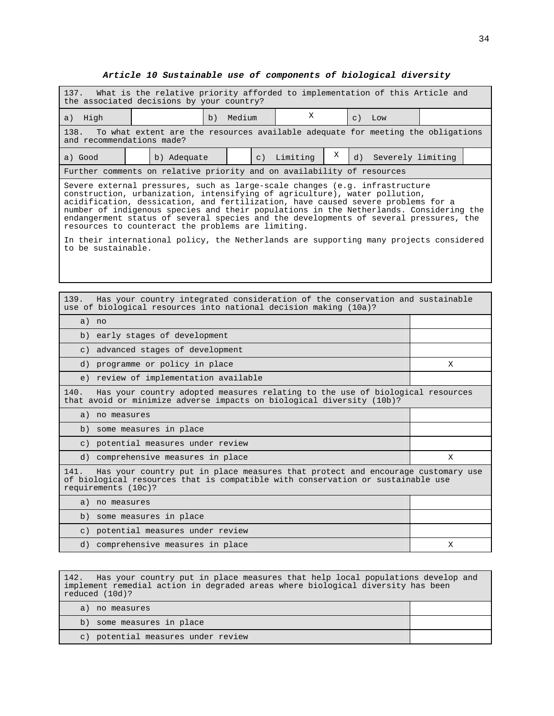# 137. What is the relative priority afforded to implementation of this Article and the associated decisions by your country? a) High  $\vert$  b) Medium  $\vert$  X  $\vert$  c) Low 138. To what extent are the resources available adequate for meeting the obligations and recommendations made? a) Good  $\begin{vmatrix} b \end{vmatrix}$  Adequate  $\begin{vmatrix} c \end{vmatrix}$  Limiting  $\begin{vmatrix} X & d \end{vmatrix}$  Severely limiting Further comments on relative priority and on availability of resources Severe external pressures, such as large-scale changes (e.g. infrastructure construction, urbanization, intensifying of agriculture), water pollution, acidification, dessication, and fertilization, have caused severe problems for a number of indigenous species and their populations in the Netherlands. Considering the endangerment status of several species and the developments of several pressures, the resources to counteract the problems are limiting. In their international policy, the Netherlands are supporting many projects considered to be sustainable. 139. Has your country integrated consideration of the conservation and sustainable use of biological resources into national decision making (10a)?

| r wicical repodreed inco hacional accipion manified (foa):                                                                                                                                        |   |
|---------------------------------------------------------------------------------------------------------------------------------------------------------------------------------------------------|---|
| a) no                                                                                                                                                                                             |   |
| b) early stages of development                                                                                                                                                                    |   |
| c) advanced stages of development                                                                                                                                                                 |   |
| d) programme or policy in place                                                                                                                                                                   | X |
| e) review of implementation available                                                                                                                                                             |   |
| 140.<br>Has your country adopted measures relating to the use of biological resources<br>that avoid or minimize adverse impacts on biological diversity (10b)?                                    |   |
| a) no measures                                                                                                                                                                                    |   |
| b) some measures in place                                                                                                                                                                         |   |
| c) potential measures under review                                                                                                                                                                |   |
| d) comprehensive measures in place                                                                                                                                                                | X |
| Has your country put in place measures that protect and encourage customary use<br>141.<br>of biological resources that is compatible with conservation or sustainable use<br>requirements (10c)? |   |
| a) no measures                                                                                                                                                                                    |   |
| b) some measures in place                                                                                                                                                                         |   |
| c) potential measures under review                                                                                                                                                                |   |
| d) comprehensive measures in place                                                                                                                                                                | Χ |
|                                                                                                                                                                                                   |   |

142. Has your country put in place measures that help local populations develop and implement remedial action in degraded areas where biological diversity has been reduced (10d)?

| no measures<br>a)                                  |  |
|----------------------------------------------------|--|
| some measures in place<br>b)                       |  |
| potential measures under review<br>$\mathcal{C}$ ) |  |

#### **Article 10 Sustainable use of components of biological diversity**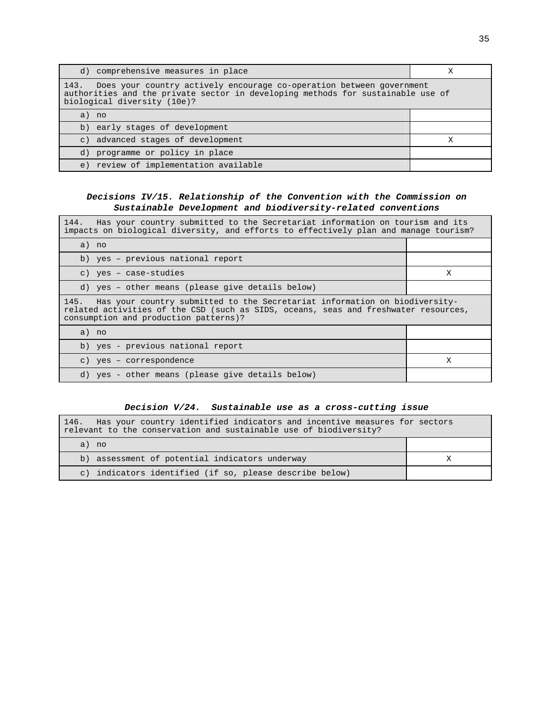| d) comprehensive measures in place                                                                                                                                                          | X |  |
|---------------------------------------------------------------------------------------------------------------------------------------------------------------------------------------------|---|--|
| 143. Does your country actively encourage co-operation between government<br>authorities and the private sector in developing methods for sustainable use of<br>biological diversity (10e)? |   |  |
| a) no                                                                                                                                                                                       |   |  |
| b) early stages of development                                                                                                                                                              |   |  |
| c) advanced stages of development                                                                                                                                                           | X |  |
| d) programme or policy in place                                                                                                                                                             |   |  |
| e) review of implementation available                                                                                                                                                       |   |  |

# **Decisions IV/15. Relationship of the Convention with the Commission on Sustainable Development and biodiversity-related conventions**

Ē

| 144. Has your country submitted to the Secretariat information on tourism and its<br>impacts on biological diversity, and efforts to effectively plan and manage tourism?                                       |   |  |
|-----------------------------------------------------------------------------------------------------------------------------------------------------------------------------------------------------------------|---|--|
| a) no                                                                                                                                                                                                           |   |  |
| b) yes - previous national report                                                                                                                                                                               |   |  |
| c) yes - case-studies                                                                                                                                                                                           | Χ |  |
| d) yes - other means (please give details below)                                                                                                                                                                |   |  |
| 145. Has your country submitted to the Secretariat information on biodiversity-<br>related activities of the CSD (such as SIDS, oceans, seas and freshwater resources,<br>consumption and production patterns)? |   |  |
| a) no                                                                                                                                                                                                           |   |  |
| b) yes - previous national report                                                                                                                                                                               |   |  |
| c) yes - correspondence                                                                                                                                                                                         | X |  |
| d) yes - other means (please give details below)                                                                                                                                                                |   |  |

### **Decision V/24. Sustainable use as a cross-cutting issue**

| Has your country identified indicators and incentive measures for sectors<br>146.<br>relevant to the conservation and sustainable use of biodiversity? |  |  |
|--------------------------------------------------------------------------------------------------------------------------------------------------------|--|--|
| a) no                                                                                                                                                  |  |  |
| b) assessment of potential indicators underway                                                                                                         |  |  |
| c) indicators identified (if so, please describe below)                                                                                                |  |  |

 $\overline{\phantom{a}}$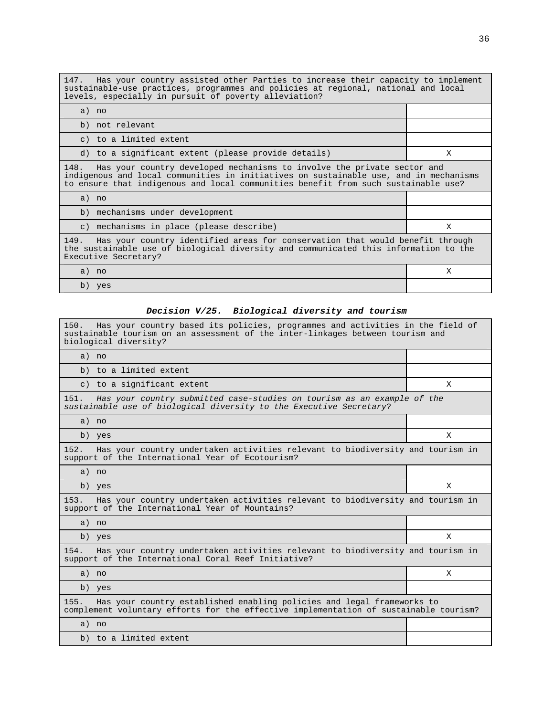147. Has your country assisted other Parties to increase their capacity to implement sustainable-use practices, programmes and policies at regional, national and local levels, especially in pursuit of poverty alleviation? a) no b) not relevant c) to a limited extent d) to a significant extent (please provide details) X 148. Has your country developed mechanisms to involve the private sector and indigenous and local communities in initiatives on sustainable use, and in mechanisms to ensure that indigenous and local communities benefit from such sustainable use? a) no b) mechanisms under development c) mechanisms in place (please describe) X 149. Has your country identified areas for conservation that would benefit through the sustainable use of biological diversity and communicated this information to the Executive Secretary? a) no X b) yes

#### **Decision V/25. Biological diversity and tourism**

150. Has your country based its policies, programmes and activities in the field of sustainable tourism on an assessment of the inter-linkages between tourism and biological diversity? a) no b) to a limited extent c) to a significant extent  $X$ 151. Has your country submitted case-studies on tourism as an example of the sustainable use of biological diversity to the Executive Secretary? a) no b) yes X 152. Has your country undertaken activities relevant to biodiversity and tourism in support of the International Year of Ecotourism? a) no b) yes X 153. Has your country undertaken activities relevant to biodiversity and tourism in support of the International Year of Mountains? a) no b) yes X 154. Has your country undertaken activities relevant to biodiversity and tourism in support of the International Coral Reef Initiative? a) no X b) yes 155. Has your country established enabling policies and legal frameworks to complement voluntary efforts for the effective implementation of sustainable tourism? a) no b) to a limited extent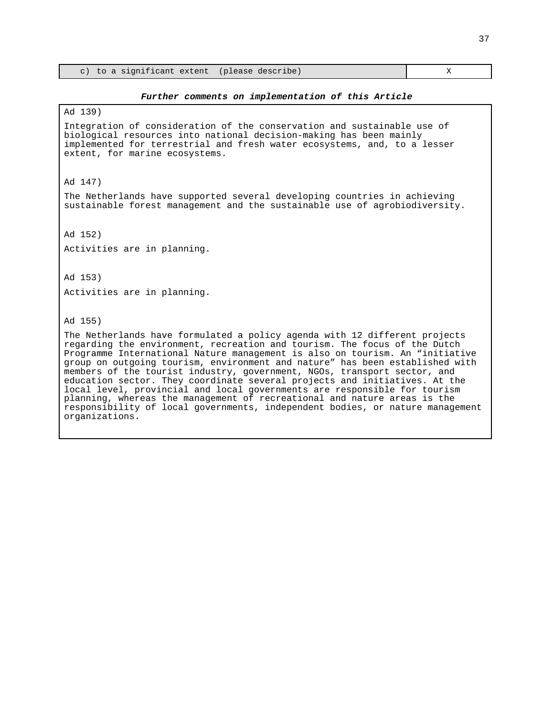| c) to a significant extent (please describe) |  |
|----------------------------------------------|--|
|----------------------------------------------|--|

#### Ad 139)

Integration of consideration of the conservation and sustainable use of biological resources into national decision-making has been mainly implemented for terrestrial and fresh water ecosystems, and, to a lesser extent, for marine ecosystems.

### Ad 147)

The Netherlands have supported several developing countries in achieving sustainable forest management and the sustainable use of agrobiodiversity.

Ad 152)

Activities are in planning.

Ad 153)

Activities are in planning.

## Ad 155)

The Netherlands have formulated a policy agenda with 12 different projects regarding the environment, recreation and tourism. The focus of the Dutch Programme International Nature management is also on tourism. An "initiative group on outgoing tourism, environment and nature" has been established with members of the tourist industry, government, NGOs, transport sector, and education sector. They coordinate several projects and initiatives. At the local level, provincial and local governments are responsible for tourism planning, whereas the management of recreational and nature areas is the responsibility of local governments, independent bodies, or nature management organizations.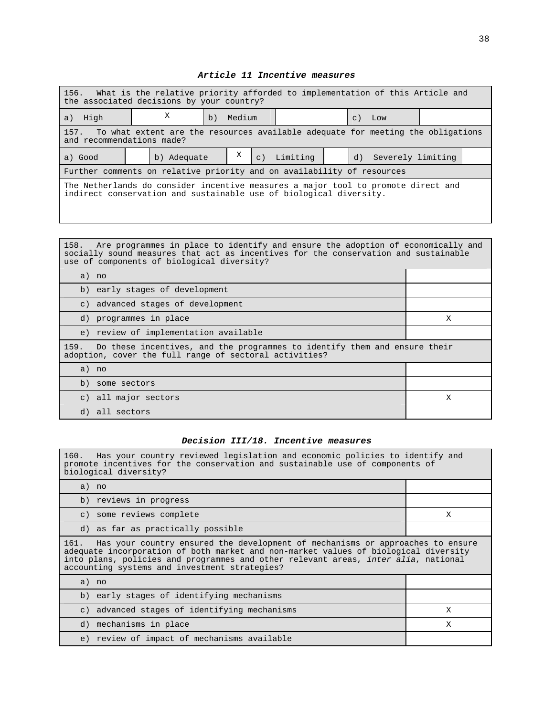# **Article 11 Incentive measures**

| 156.<br>What is the relative priority afforded to implementation of this Article and<br>the associated decisions by your country?                       |  |             |    |        |                |          |  |                 |                   |  |
|---------------------------------------------------------------------------------------------------------------------------------------------------------|--|-------------|----|--------|----------------|----------|--|-----------------|-------------------|--|
| High<br>a)                                                                                                                                              |  | Χ           | b) | Medium |                |          |  | $\mathcal{C}$ ) | Low               |  |
| 157.<br>To what extent are the resources available adequate for meeting the obligations<br>and recommendations made?                                    |  |             |    |        |                |          |  |                 |                   |  |
| a) Good                                                                                                                                                 |  | b) Adequate |    | Χ      | $\mathsf{C}$ ) | Limiting |  | d)              | Severely limiting |  |
| Further comments on relative priority and on availability of resources                                                                                  |  |             |    |        |                |          |  |                 |                   |  |
| The Netherlands do consider incentive measures a major tool to promote direct and<br>indirect conservation and sustainable use of biological diversity. |  |             |    |        |                |          |  |                 |                   |  |

| 158. Are programmes in place to identify and ensure the adoption of economically and<br>socially sound measures that act as incentives for the conservation and sustainable<br>use of components of biological diversity? |   |  |  |  |  |
|---------------------------------------------------------------------------------------------------------------------------------------------------------------------------------------------------------------------------|---|--|--|--|--|
| a) no                                                                                                                                                                                                                     |   |  |  |  |  |
| b) early stages of development                                                                                                                                                                                            |   |  |  |  |  |
| c) advanced stages of development                                                                                                                                                                                         |   |  |  |  |  |
| d) programmes in place                                                                                                                                                                                                    | X |  |  |  |  |
| e) review of implementation available                                                                                                                                                                                     |   |  |  |  |  |
| 159. Do these incentives, and the programmes to identify them and ensure their<br>adoption, cover the full range of sectoral activities?                                                                                  |   |  |  |  |  |
| a) no                                                                                                                                                                                                                     |   |  |  |  |  |
| b) some sectors                                                                                                                                                                                                           |   |  |  |  |  |
| c) all major sectors                                                                                                                                                                                                      | Х |  |  |  |  |
| all sectors<br>d)                                                                                                                                                                                                         |   |  |  |  |  |

## **Decision III/18. Incentive measures**

| 160. Has your country reviewed legislation and economic policies to identify and<br>promote incentives for the conservation and sustainable use of components of<br>biological diversity?                                                                                                                                 |              |  |  |  |  |
|---------------------------------------------------------------------------------------------------------------------------------------------------------------------------------------------------------------------------------------------------------------------------------------------------------------------------|--------------|--|--|--|--|
| a) no                                                                                                                                                                                                                                                                                                                     |              |  |  |  |  |
| b) reviews in progress                                                                                                                                                                                                                                                                                                    |              |  |  |  |  |
| c) some reviews complete                                                                                                                                                                                                                                                                                                  | X            |  |  |  |  |
| d) as far as practically possible                                                                                                                                                                                                                                                                                         |              |  |  |  |  |
| 161. Has your country ensured the development of mechanisms or approaches to ensure<br>adequate incorporation of both market and non-market values of biological diversity<br>into plans, policies and programmes and other relevant areas, <i>inter alia</i> , national<br>accounting systems and investment strategies? |              |  |  |  |  |
| a) no                                                                                                                                                                                                                                                                                                                     |              |  |  |  |  |
| b) early stages of identifying mechanisms                                                                                                                                                                                                                                                                                 |              |  |  |  |  |
| c) advanced stages of identifying mechanisms                                                                                                                                                                                                                                                                              | X            |  |  |  |  |
| d) mechanisms in place                                                                                                                                                                                                                                                                                                    | $\mathbf{x}$ |  |  |  |  |
| e) review of impact of mechanisms available                                                                                                                                                                                                                                                                               |              |  |  |  |  |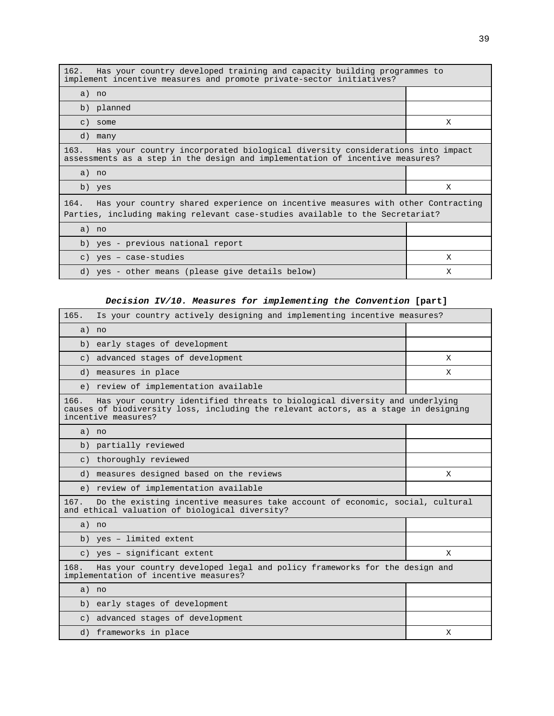| 162. Has your country developed training and capacity building programmes to<br>implement incentive measures and promote private-sector initiatives?                     |   |  |  |  |  |
|--------------------------------------------------------------------------------------------------------------------------------------------------------------------------|---|--|--|--|--|
| a) no                                                                                                                                                                    |   |  |  |  |  |
| b) planned                                                                                                                                                               |   |  |  |  |  |
| c) some                                                                                                                                                                  | X |  |  |  |  |
| d) many                                                                                                                                                                  |   |  |  |  |  |
| 163. Has your country incorporated biological diversity considerations into impact<br>assessments as a step in the design and implementation of incentive measures?      |   |  |  |  |  |
| a) no                                                                                                                                                                    |   |  |  |  |  |
| b) yes                                                                                                                                                                   | X |  |  |  |  |
| Has your country shared experience on incentive measures with other Contracting<br>164.<br>Parties, including making relevant case-studies available to the Secretariat? |   |  |  |  |  |
| a) no                                                                                                                                                                    |   |  |  |  |  |
| b) yes - previous national report                                                                                                                                        |   |  |  |  |  |
| c) yes - case-studies                                                                                                                                                    | X |  |  |  |  |
| d) yes - other means (please give details below)                                                                                                                         | X |  |  |  |  |

# **Decision IV/10. Measures for implementing the Convention [part]**

| Is your country actively designing and implementing incentive measures?<br>165.                                                                                                                  |   |  |  |  |  |  |
|--------------------------------------------------------------------------------------------------------------------------------------------------------------------------------------------------|---|--|--|--|--|--|
| a) no                                                                                                                                                                                            |   |  |  |  |  |  |
| b)<br>early stages of development                                                                                                                                                                |   |  |  |  |  |  |
| c) advanced stages of development                                                                                                                                                                | X |  |  |  |  |  |
| d) measures in place                                                                                                                                                                             | X |  |  |  |  |  |
| e) review of implementation available                                                                                                                                                            |   |  |  |  |  |  |
| Has your country identified threats to biological diversity and underlying<br>166.<br>causes of biodiversity loss, including the relevant actors, as a stage in designing<br>incentive measures? |   |  |  |  |  |  |
| a) no                                                                                                                                                                                            |   |  |  |  |  |  |
| b) partially reviewed                                                                                                                                                                            |   |  |  |  |  |  |
| c) thoroughly reviewed                                                                                                                                                                           |   |  |  |  |  |  |
| d) measures designed based on the reviews                                                                                                                                                        | X |  |  |  |  |  |
| e) review of implementation available                                                                                                                                                            |   |  |  |  |  |  |
| Do the existing incentive measures take account of economic, social, cultural<br>167.<br>and ethical valuation of biological diversity?                                                          |   |  |  |  |  |  |
| a) no                                                                                                                                                                                            |   |  |  |  |  |  |
| b) yes - limited extent                                                                                                                                                                          |   |  |  |  |  |  |
| c) yes - significant extent                                                                                                                                                                      | X |  |  |  |  |  |
| 168.<br>Has your country developed legal and policy frameworks for the design and<br>implementation of incentive measures?                                                                       |   |  |  |  |  |  |
| a) no                                                                                                                                                                                            |   |  |  |  |  |  |
| b) early stages of development                                                                                                                                                                   |   |  |  |  |  |  |
| c) advanced stages of development                                                                                                                                                                |   |  |  |  |  |  |
| d) frameworks in place                                                                                                                                                                           | х |  |  |  |  |  |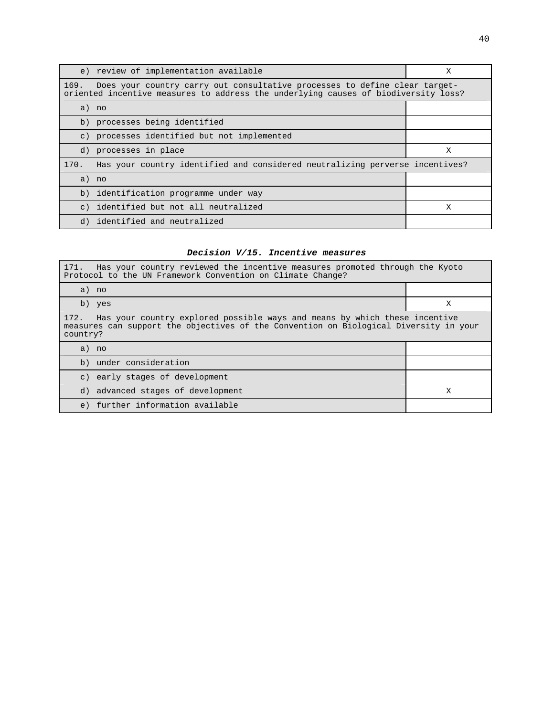| e) review of implementation available                                                                                                                                    | X |
|--------------------------------------------------------------------------------------------------------------------------------------------------------------------------|---|
| Does your country carry out consultative processes to define clear target-<br>169.<br>oriented incentive measures to address the underlying causes of biodiversity loss? |   |
| a) no                                                                                                                                                                    |   |
| b) processes being identified                                                                                                                                            |   |
| c) processes identified but not implemented                                                                                                                              |   |
| d) processes in place                                                                                                                                                    | X |
| Has your country identified and considered neutralizing perverse incentives?<br>170.                                                                                     |   |
| a) no                                                                                                                                                                    |   |
| b) identification programme under way                                                                                                                                    |   |
| c) identified but not all neutralized                                                                                                                                    | X |
| identified and neutralized<br>d)                                                                                                                                         |   |

# **Decision V/15. Incentive measures**

| 171. Has your country reviewed the incentive measures promoted through the Kyoto<br>Protocol to the UN Framework Convention on Climate Change?                                          |   |  |  |  |  |
|-----------------------------------------------------------------------------------------------------------------------------------------------------------------------------------------|---|--|--|--|--|
| a) no                                                                                                                                                                                   |   |  |  |  |  |
| b) yes                                                                                                                                                                                  | Х |  |  |  |  |
| Has your country explored possible ways and means by which these incentive<br>172.<br>measures can support the objectives of the Convention on Biological Diversity in your<br>country? |   |  |  |  |  |
| a) no                                                                                                                                                                                   |   |  |  |  |  |
| b) under consideration                                                                                                                                                                  |   |  |  |  |  |
| c) early stages of development                                                                                                                                                          |   |  |  |  |  |
| d) advanced stages of development                                                                                                                                                       | X |  |  |  |  |
| further information available<br>e)                                                                                                                                                     |   |  |  |  |  |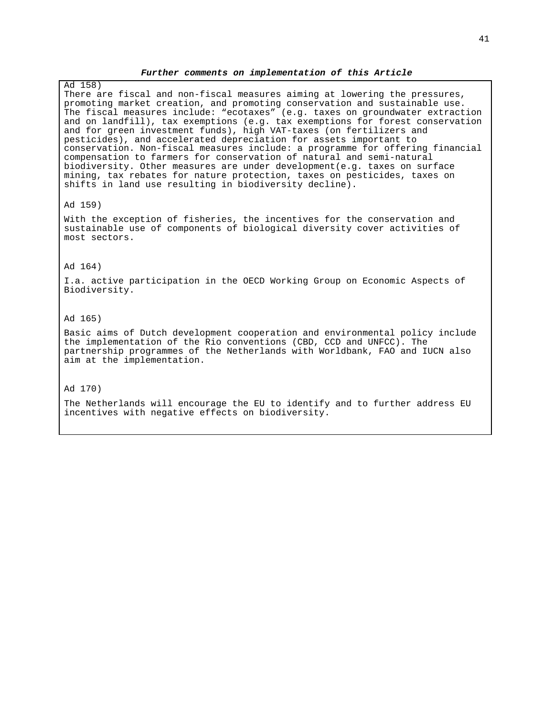Ad 158) There are fiscal and non-fiscal measures aiming at lowering the pressures, promoting market creation, and promoting conservation and sustainable use. The fiscal measures include: "ecotaxes" (e.g. taxes on groundwater extraction and on landfill), tax exemptions (e.g. tax exemptions for forest conservation and for green investment funds), high VAT-taxes (on fertilizers and pesticides), and accelerated depreciation for assets important to conservation. Non-fiscal measures include: a programme for offering financial compensation to farmers for conservation of natural and semi-natural biodiversity. Other measures are under development(e.g. taxes on surface mining, tax rebates for nature protection, taxes on pesticides, taxes on shifts in land use resulting in biodiversity decline).

#### Ad 159)

With the exception of fisheries, the incentives for the conservation and sustainable use of components of biological diversity cover activities of most sectors.

#### Ad 164)

I.a. active participation in the OECD Working Group on Economic Aspects of Biodiversity.

## Ad 165)

Basic aims of Dutch development cooperation and environmental policy include the implementation of the Rio conventions (CBD, CCD and UNFCC). The partnership programmes of the Netherlands with Worldbank, FAO and IUCN also aim at the implementation.

### Ad 170)

The Netherlands will encourage the EU to identify and to further address EU incentives with negative effects on biodiversity.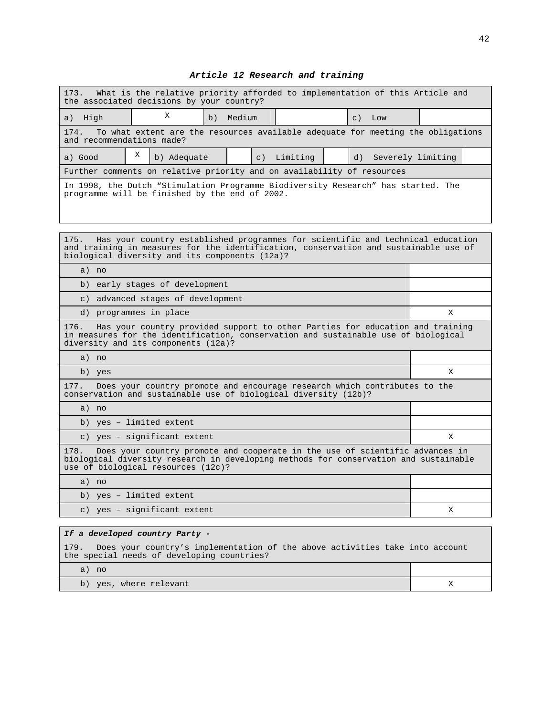# **Article 12 Research and training**

| 173.<br>the associated decisions by your country?                                                                                                                                                                  |                                                                                                                                     |              |        |          |  | What is the relative priority afforded to implementation of this Article and    |                   |  |
|--------------------------------------------------------------------------------------------------------------------------------------------------------------------------------------------------------------------|-------------------------------------------------------------------------------------------------------------------------------------|--------------|--------|----------|--|---------------------------------------------------------------------------------|-------------------|--|
| High<br>a)                                                                                                                                                                                                         | Χ                                                                                                                                   | Medium<br>b) |        |          |  | $\mathsf{C}$ )<br>Low                                                           |                   |  |
| 174.<br>and recommendations made?                                                                                                                                                                                  |                                                                                                                                     |              |        |          |  | To what extent are the resources available adequate for meeting the obligations |                   |  |
| Χ<br>a) Good                                                                                                                                                                                                       | b) Adequate                                                                                                                         |              | $\in)$ | Limiting |  | d)                                                                              | Severely limiting |  |
| Further comments on relative priority and on availability of resources                                                                                                                                             |                                                                                                                                     |              |        |          |  |                                                                                 |                   |  |
|                                                                                                                                                                                                                    | In 1998, the Dutch "Stimulation Programme Biodiversity Research" has started. The<br>programme will be finished by the end of 2002. |              |        |          |  |                                                                                 |                   |  |
| 175.                                                                                                                                                                                                               |                                                                                                                                     |              |        |          |  | Has your country established programmes for scientific and technical education  |                   |  |
| and training in measures for the identification, conservation and sustainable use of<br>biological diversity and its components (12a)?                                                                             |                                                                                                                                     |              |        |          |  |                                                                                 |                   |  |
| a) no                                                                                                                                                                                                              |                                                                                                                                     |              |        |          |  |                                                                                 |                   |  |
| b) early stages of development                                                                                                                                                                                     |                                                                                                                                     |              |        |          |  |                                                                                 |                   |  |
| c) advanced stages of development                                                                                                                                                                                  |                                                                                                                                     |              |        |          |  |                                                                                 |                   |  |
| d) programmes in place                                                                                                                                                                                             |                                                                                                                                     |              |        |          |  |                                                                                 | X                 |  |
| Has your country provided support to other Parties for education and training<br>176.<br>in measures for the identification, conservation and sustainable use of biological<br>diversity and its components (12a)? |                                                                                                                                     |              |        |          |  |                                                                                 |                   |  |
| a) no                                                                                                                                                                                                              |                                                                                                                                     |              |        |          |  |                                                                                 |                   |  |
| b) yes                                                                                                                                                                                                             |                                                                                                                                     |              |        |          |  |                                                                                 | X                 |  |
| 177.<br>conservation and sustainable use of biological diversity (12b)?                                                                                                                                            |                                                                                                                                     |              |        |          |  | Does your country promote and encourage research which contributes to the       |                   |  |
| a) no                                                                                                                                                                                                              |                                                                                                                                     |              |        |          |  |                                                                                 |                   |  |
| b) yes - limited extent                                                                                                                                                                                            |                                                                                                                                     |              |        |          |  |                                                                                 |                   |  |
| c) yes - significant extent                                                                                                                                                                                        |                                                                                                                                     |              |        |          |  |                                                                                 | X                 |  |
| Does your country promote and cooperate in the use of scientific advances in<br>178.<br>biological diversity research in developing methods for conservation and sustainable<br>use of biological resources (12c)? |                                                                                                                                     |              |        |          |  |                                                                                 |                   |  |
| a) no                                                                                                                                                                                                              |                                                                                                                                     |              |        |          |  |                                                                                 |                   |  |
| b) yes - limited extent                                                                                                                                                                                            |                                                                                                                                     |              |        |          |  |                                                                                 |                   |  |
| c) yes - significant extent                                                                                                                                                                                        |                                                                                                                                     |              |        |          |  |                                                                                 | Χ                 |  |
| If a developed country Party -                                                                                                                                                                                     |                                                                                                                                     |              |        |          |  |                                                                                 |                   |  |

179. Does your country's implementation of the above activities take into account the special needs of developing countries? a) no b) yes, where relevant  $X$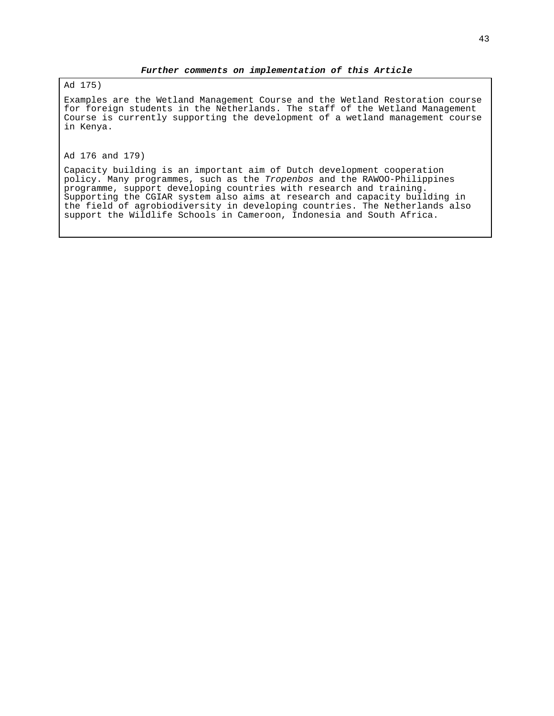Ad 175)

Examples are the Wetland Management Course and the Wetland Restoration course for foreign students in the Netherlands. The staff of the Wetland Management Course is currently supporting the development of a wetland management course in Kenya.

Ad 176 and 179)

Capacity building is an important aim of Dutch development cooperation policy. Many programmes, such as the Tropenbos and the RAWOO-Philippines programme, support developing countries with research and training. Supporting the CGIAR system also aims at research and capacity building in the field of agrobiodiversity in developing countries. The Netherlands also support the Wildlife Schools in Cameroon, Indonesia and South Africa.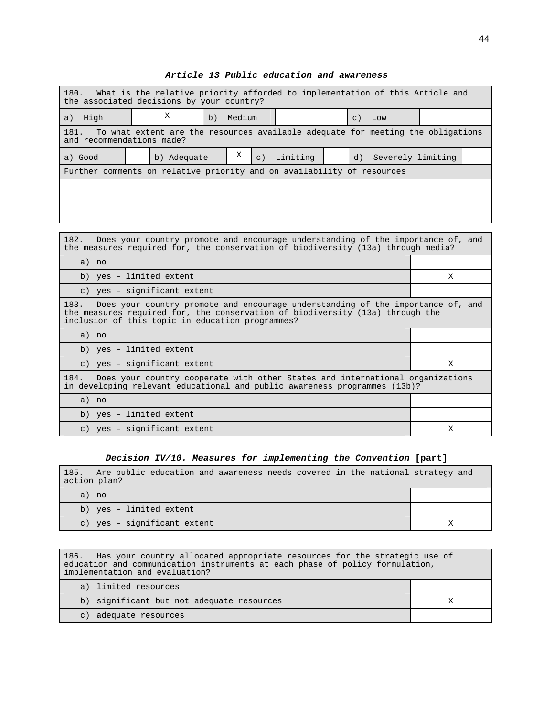| 180.<br>What is the relative priority afforded to implementation of this Article and<br>the associated decisions by your country? |  |             |    |        |         |          |  |                 |                   |  |
|-----------------------------------------------------------------------------------------------------------------------------------|--|-------------|----|--------|---------|----------|--|-----------------|-------------------|--|
| High<br>a)                                                                                                                        |  | X           | b) | Medium |         |          |  | $\mathcal{C}$ ) | Low               |  |
| 181.<br>To what extent are the resources available adequate for meeting the obligations<br>and recommendations made?              |  |             |    |        |         |          |  |                 |                   |  |
| a) Good                                                                                                                           |  | b) Adequate |    | X      | $\in$ ) | Limiting |  | d)              | Severely limiting |  |
| Further comments on relative priority and on availability of resources                                                            |  |             |    |        |         |          |  |                 |                   |  |
|                                                                                                                                   |  |             |    |        |         |          |  |                 |                   |  |
|                                                                                                                                   |  |             |    |        |         |          |  |                 |                   |  |
|                                                                                                                                   |  |             |    |        |         |          |  |                 |                   |  |
|                                                                                                                                   |  |             |    |        |         |          |  |                 |                   |  |

# **Article 13 Public education and awareness**

| 182. Does your country promote and encourage understanding of the importance of, and<br>the measures required for, the conservation of biodiversity (13a) through media?                                                  |   |  |  |  |  |  |
|---------------------------------------------------------------------------------------------------------------------------------------------------------------------------------------------------------------------------|---|--|--|--|--|--|
| a) no                                                                                                                                                                                                                     |   |  |  |  |  |  |
| b) yes - limited extent                                                                                                                                                                                                   | X |  |  |  |  |  |
| c) yes - significant extent                                                                                                                                                                                               |   |  |  |  |  |  |
| 183. Does your country promote and encourage understanding of the importance of, and<br>the measures required for, the conservation of biodiversity (13a) through the<br>inclusion of this topic in education programmes? |   |  |  |  |  |  |
| a) no                                                                                                                                                                                                                     |   |  |  |  |  |  |
| b) yes - limited extent                                                                                                                                                                                                   |   |  |  |  |  |  |
| c) yes - significant extent                                                                                                                                                                                               | Χ |  |  |  |  |  |
| 184. Does your country cooperate with other States and international organizations<br>in developing relevant educational and public awareness programmes (13b)?                                                           |   |  |  |  |  |  |
| a) no                                                                                                                                                                                                                     |   |  |  |  |  |  |
| b) yes - limited extent                                                                                                                                                                                                   |   |  |  |  |  |  |
| c) yes - significant extent                                                                                                                                                                                               | X |  |  |  |  |  |

# **Decision IV/10. Measures for implementing the Convention [part]**

| Are public education and awareness needs covered in the national strategy and<br>185.<br>action plan? |  |
|-------------------------------------------------------------------------------------------------------|--|
| a) no                                                                                                 |  |
| b) yes - limited extent                                                                               |  |
| c) yes - significant extent                                                                           |  |

| 186. Has your country allocated appropriate resources for the strategic use of<br>education and communication instruments at each phase of policy formulation,<br>implementation and evaluation? |   |  |  |  |
|--------------------------------------------------------------------------------------------------------------------------------------------------------------------------------------------------|---|--|--|--|
| a) limited resources                                                                                                                                                                             |   |  |  |  |
| b) significant but not adequate resources                                                                                                                                                        | Х |  |  |  |
| adequate resources<br>$\mathcal{C}$ )                                                                                                                                                            |   |  |  |  |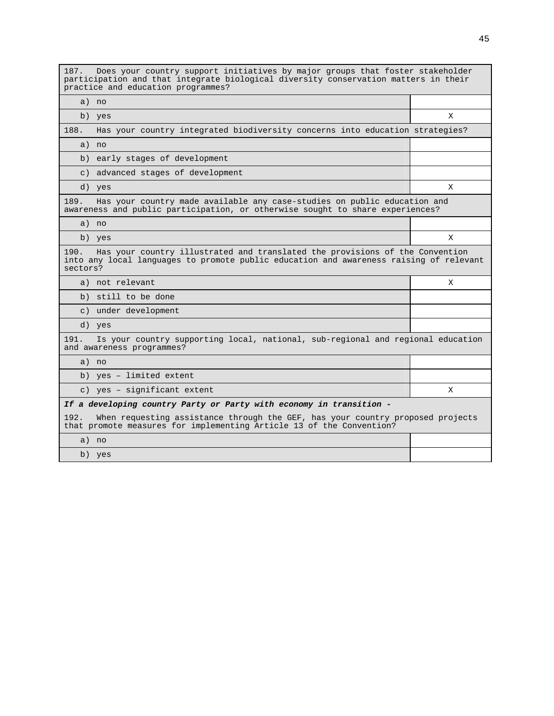187. Does your country support initiatives by major groups that foster stakeholder participation and that integrate biological diversity conservation matters in their practice and education programmes? a) no b) yes X 188. Has your country integrated biodiversity concerns into education strategies? a) no b) early stages of development c) advanced stages of development d) yes X 189. Has your country made available any case-studies on public education and awareness and public participation, or otherwise sought to share experiences? a) no b) yes X 190. Has your country illustrated and translated the provisions of the Convention into any local languages to promote public education and awareness raising of relevant sectors? a) not relevant  $X$ b) still to be done c) under development d) yes 191. Is your country supporting local, national, sub-regional and regional education and awareness programmes? a) no b) yes – limited extent c) yes – significant extent  $X$ **If a developing country Party or Party with economy in transition -** 192. When requesting assistance through the GEF, has your country proposed projects that promote measures for implementing Article 13 of the Convention? a) no b) yes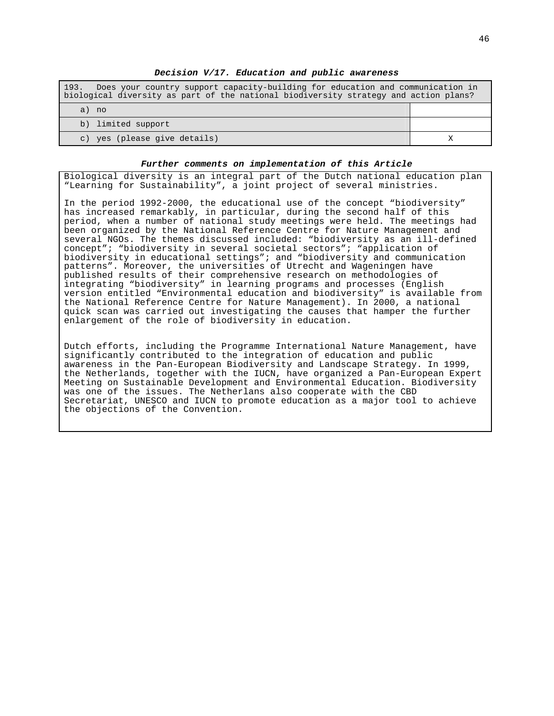| Does your country support capacity-building for education and communication in<br>193.<br>biological diversity as part of the national biodiversity strategy and action plans? |  |
|--------------------------------------------------------------------------------------------------------------------------------------------------------------------------------|--|
| a) no                                                                                                                                                                          |  |
| b) limited support                                                                                                                                                             |  |
| c) yes (please give details)                                                                                                                                                   |  |

### **Decision V/17. Education and public awareness**

#### **Further comments on implementation of this Article**

Biological diversity is an integral part of the Dutch national education plan "Learning for Sustainability", a joint project of several ministries.

In the period 1992-2000, the educational use of the concept "biodiversity" has increased remarkably, in particular, during the second half of this period, when a number of national study meetings were held. The meetings had been organized by the National Reference Centre for Nature Management and several NGOs. The themes discussed included: "biodiversity as an ill-defined concept"; "biodiversity in several societal sectors"; "application of biodiversity in educational settings"; and "biodiversity and communication patterns". Moreover, the universities of Utrecht and Wageningen have published results of their comprehensive research on methodologies of integrating "biodiversity" in learning programs and processes (English version entitled "Environmental education and biodiversity" is available from the National Reference Centre for Nature Management). In 2000, a national quick scan was carried out investigating the causes that hamper the further enlargement of the role of biodiversity in education.

Dutch efforts, including the Programme International Nature Management, have significantly contributed to the integration of education and public awareness in the Pan-European Biodiversity and Landscape Strategy. In 1999, the Netherlands, together with the IUCN, have organized a Pan-European Expert Meeting on Sustainable Development and Environmental Education. Biodiversity was one of the issues. The Netherlans also cooperate with the CBD Secretariat, UNESCO and IUCN to promote education as a major tool to achieve the objections of the Convention.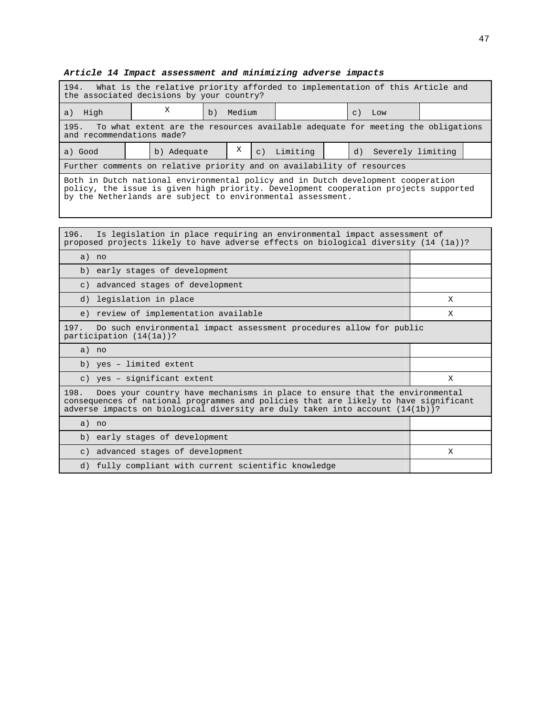# **Article 14 Impact assessment and minimizing adverse impacts**

| 194.<br>What is the relative priority afforded to implementation of this Article and<br>the associated decisions by your country?                                                                                                       |  |                                                                                                                                                                                                                                   |    |          |                 |          |                 |                                                                                                                                                                                                                                   |  |
|-----------------------------------------------------------------------------------------------------------------------------------------------------------------------------------------------------------------------------------------|--|-----------------------------------------------------------------------------------------------------------------------------------------------------------------------------------------------------------------------------------|----|----------|-----------------|----------|-----------------|-----------------------------------------------------------------------------------------------------------------------------------------------------------------------------------------------------------------------------------|--|
| High<br>a)                                                                                                                                                                                                                              |  | X                                                                                                                                                                                                                                 | b) | Medium   |                 |          | $\mathcal{C}$ ) | Low                                                                                                                                                                                                                               |  |
| 195.<br>To what extent are the resources available adequate for meeting the obligations<br>and recommendations made?                                                                                                                    |  |                                                                                                                                                                                                                                   |    |          |                 |          |                 |                                                                                                                                                                                                                                   |  |
| a) Good                                                                                                                                                                                                                                 |  | b) Adequate                                                                                                                                                                                                                       |    | X        | $\mathcal{C}$ ) | Limiting | d)              | Severely limiting                                                                                                                                                                                                                 |  |
| Further comments on relative priority and on availability of resources                                                                                                                                                                  |  |                                                                                                                                                                                                                                   |    |          |                 |          |                 |                                                                                                                                                                                                                                   |  |
| Both in Dutch national environmental policy and in Dutch development cooperation<br>policy, the issue is given high priority. Development cooperation projects supported<br>by the Netherlands are subject to environmental assessment. |  |                                                                                                                                                                                                                                   |    |          |                 |          |                 |                                                                                                                                                                                                                                   |  |
| $\sim$                                                                                                                                                                                                                                  |  | $\mathbf{r}$ , and a set of the set of the set of the set of the set of the set of the set of the set of the set of the set of the set of the set of the set of the set of the set of the set of the set of the set of the set of |    | $\cdots$ |                 |          |                 | $\mathbf{r}$ , and a set of the set of the set of the set of the set of the set of the set of the set of the set of the set of the set of the set of the set of the set of the set of the set of the set of the set of the set of |  |

| Is legislation in place requiring an environmental impact assessment of<br>196.<br>proposed projects likely to have adverse effects on biological diversity (14 (1a))?                                                                                          |   |  |  |  |
|-----------------------------------------------------------------------------------------------------------------------------------------------------------------------------------------------------------------------------------------------------------------|---|--|--|--|
| a) no                                                                                                                                                                                                                                                           |   |  |  |  |
| b) early stages of development                                                                                                                                                                                                                                  |   |  |  |  |
| c) advanced stages of development                                                                                                                                                                                                                               |   |  |  |  |
| d) legislation in place                                                                                                                                                                                                                                         | X |  |  |  |
| e) review of implementation available                                                                                                                                                                                                                           | X |  |  |  |
| 197.<br>Do such environmental impact assessment procedures allow for public<br>participation (14(1a))?                                                                                                                                                          |   |  |  |  |
| a) no                                                                                                                                                                                                                                                           |   |  |  |  |
| b) yes - limited extent                                                                                                                                                                                                                                         |   |  |  |  |
| c) yes - significant extent                                                                                                                                                                                                                                     | X |  |  |  |
| Does your country have mechanisms in place to ensure that the environmental<br>198.<br>consequences of national programmes and policies that are likely to have significant<br>adverse impacts on biological diversity are duly taken into account $(14(1b))$ ? |   |  |  |  |
| a) no                                                                                                                                                                                                                                                           |   |  |  |  |
| b) early stages of development                                                                                                                                                                                                                                  |   |  |  |  |
| c) advanced stages of development                                                                                                                                                                                                                               | X |  |  |  |
| d) fully compliant with current scientific knowledge                                                                                                                                                                                                            |   |  |  |  |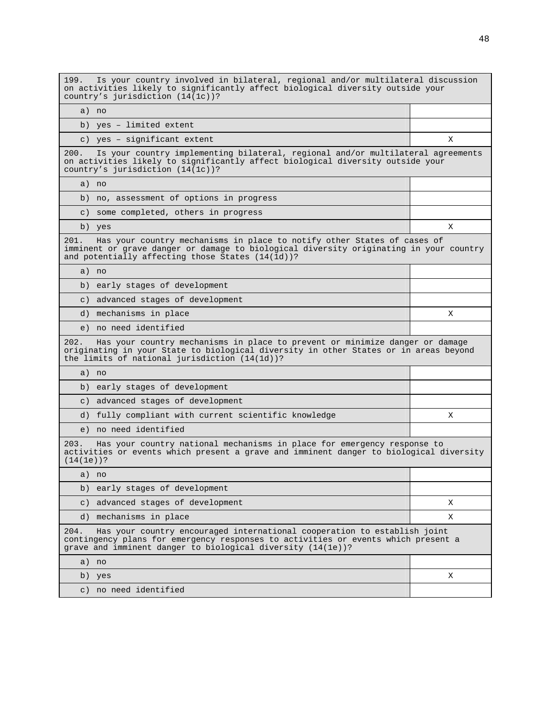199. Is your country involved in bilateral, regional and/or multilateral discussion on activities likely to significantly affect biological diversity outside your country's jurisdiction (14(1c))? a) no b) yes – limited extent c) yes – significant extent  $X$ 200. Is your country implementing bilateral, regional and/or multilateral agreements on activities likely to significantly affect biological diversity outside your country's jurisdiction (14(1c))? a) no b) no, assessment of options in progress c) some completed, others in progress b) yes X 201. Has your country mechanisms in place to notify other States of cases of imminent or grave danger or damage to biological diversity originating in your country and potentially affecting those States (14(1d))? a) no b) early stages of development c) advanced stages of development d) mechanisms in place X e) no need identified 202. Has your country mechanisms in place to prevent or minimize danger or damage originating in your State to biological diversity in other States or in areas beyond the limits of national jurisdiction (14(1d))? a) no b) early stages of development c) advanced stages of development d) fully compliant with current scientific knowledge X e) no need identified 203. Has your country national mechanisms in place for emergency response to activities or events which present a grave and imminent danger to biological diversity (14(1e))? a) no b) early stages of development c) advanced stages of development X and X and X and X and X and X and X and X and X and X and X and X and X and X and X and X and X and X and X and X and X and X and X and X and X and X and X and X and X and X and X and X d) mechanisms in place X 204. Has your country encouraged international cooperation to establish joint contingency plans for emergency responses to activities or events which present a grave and imminent danger to biological diversity (14(1e))? a) no b) yes X c) no need identified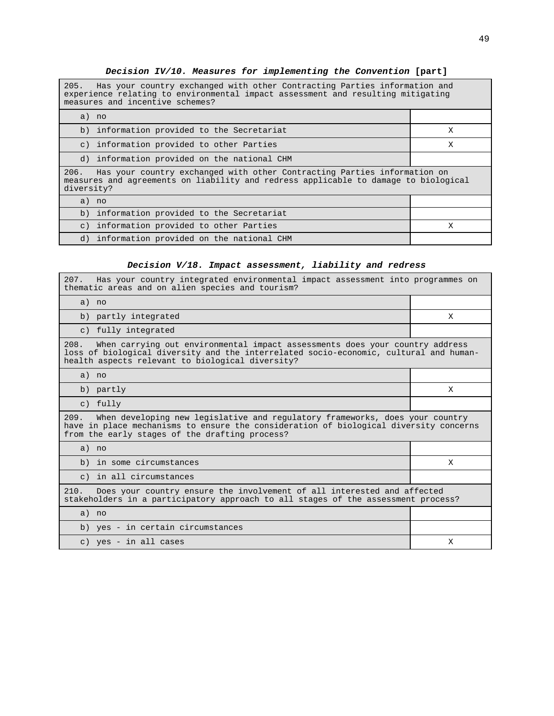| Decision IV/10. Measures for implementing the Convention [part] |  |  |  |  |  |
|-----------------------------------------------------------------|--|--|--|--|--|
|-----------------------------------------------------------------|--|--|--|--|--|

205. Has your country exchanged with other Contracting Parties information and experience relating to environmental impact assessment and resulting mitigating measures and incentive schemes?

| a) no                                                                                                                                                                                 |   |
|---------------------------------------------------------------------------------------------------------------------------------------------------------------------------------------|---|
| b) information provided to the Secretariat                                                                                                                                            | X |
| c) information provided to other Parties                                                                                                                                              | X |
| d) information provided on the national CHM                                                                                                                                           |   |
| 206.<br>Has your country exchanged with other Contracting Parties information on<br>measures and agreements on liability and redress applicable to damage to biological<br>diversity? |   |
| a) no                                                                                                                                                                                 |   |
| b) information provided to the Secretariat                                                                                                                                            |   |
| c) information provided to other Parties                                                                                                                                              | Х |
| d) information provided on the national CHM                                                                                                                                           |   |

## **Decision V/18. Impact assessment, liability and redress**

| 207. Has your country integrated environmental impact assessment into programmes on<br>thematic areas and on alien species and tourism?                                                                                           |   |  |  |
|-----------------------------------------------------------------------------------------------------------------------------------------------------------------------------------------------------------------------------------|---|--|--|
| a) no                                                                                                                                                                                                                             |   |  |  |
| b) partly integrated                                                                                                                                                                                                              | X |  |  |
| c) fully integrated                                                                                                                                                                                                               |   |  |  |
| 208.<br>When carrying out environmental impact assessments does your country address<br>loss of biological diversity and the interrelated socio-economic, cultural and human-<br>health aspects relevant to biological diversity? |   |  |  |
| $a)$ no                                                                                                                                                                                                                           |   |  |  |
| b) partly                                                                                                                                                                                                                         | X |  |  |
| c) fully                                                                                                                                                                                                                          |   |  |  |
| 209.<br>When developing new legislative and regulatory frameworks, does your country<br>have in place mechanisms to ensure the consideration of biological diversity concerns<br>from the early stages of the drafting process?   |   |  |  |
| $a)$ no                                                                                                                                                                                                                           |   |  |  |
| b) in some circumstances                                                                                                                                                                                                          | X |  |  |
| c) in all circumstances                                                                                                                                                                                                           |   |  |  |
| 210.<br>Does your country ensure the involvement of all interested and affected<br>stakeholders in a participatory approach to all stages of the assessment process?                                                              |   |  |  |
| a) no                                                                                                                                                                                                                             |   |  |  |
| b) yes - in certain circumstances                                                                                                                                                                                                 |   |  |  |
| c) yes - in all cases                                                                                                                                                                                                             | X |  |  |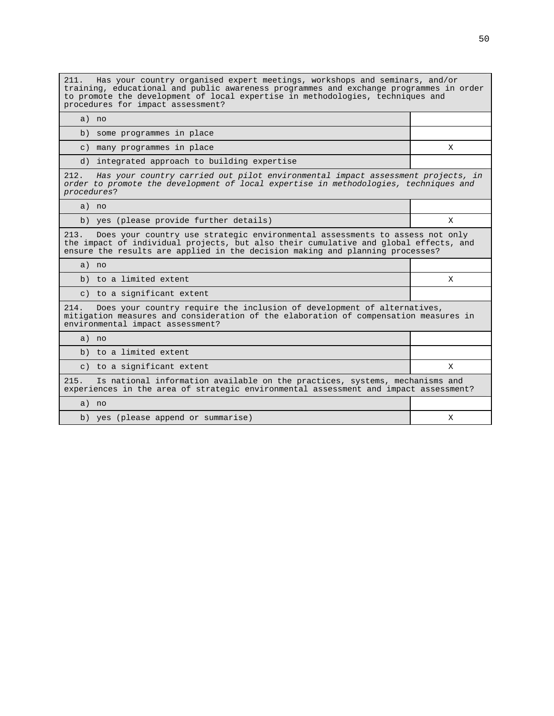211. Has your country organised expert meetings, workshops and seminars, and/or training, educational and public awareness programmes and exchange programmes in order to promote the development of local expertise in methodologies, techniques and procedures for impact assessment?

a) no

b) some programmes in place

c) many programmes in place  $\overline{X}$ 

d) integrated approach to building expertise

212. Has your country carried out pilot environmental impact assessment projects, in order to promote the development of local expertise in methodologies, techniques and procedures?

a) no

b) yes (please provide further details)  $X = \begin{bmatrix} 1 & 1 \\ 1 & 1 \end{bmatrix}$ 

213. Does your country use strategic environmental assessments to assess not only the impact of individual projects, but also their cumulative and global effects, and ensure the results are applied in the decision making and planning processes?

| a) no                                                                                                                                                                                                    |   |
|----------------------------------------------------------------------------------------------------------------------------------------------------------------------------------------------------------|---|
| b) to a limited extent                                                                                                                                                                                   | Χ |
| c) to a significant extent                                                                                                                                                                               |   |
| 214. Does your country require the inclusion of development of alternatives,<br>mitigation measures and consideration of the elaboration of compensation measures in<br>environmental impact assessment? |   |
| a) no                                                                                                                                                                                                    |   |
| b) to a limited extent                                                                                                                                                                                   |   |
| c) to a significant extent                                                                                                                                                                               | Х |
| 215. Is national information available on the practices, systems, mechanisms and<br>experiences in the area of strategic environmental assessment and impact assessment?                                 |   |
|                                                                                                                                                                                                          |   |

a) no

b) yes (please append or summarise) X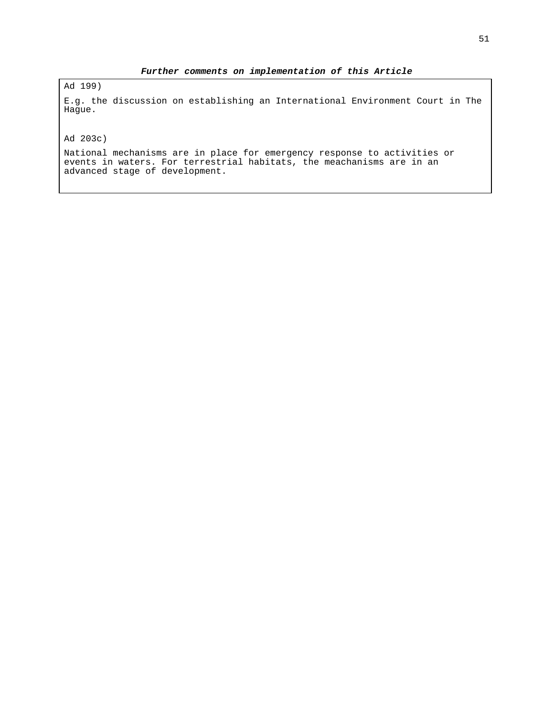Ad 199)

E.g. the discussion on establishing an International Environment Court in The Hague.

Ad 203c)

National mechanisms are in place for emergency response to activities or events in waters. For terrestrial habitats, the meachanisms are in an advanced stage of development.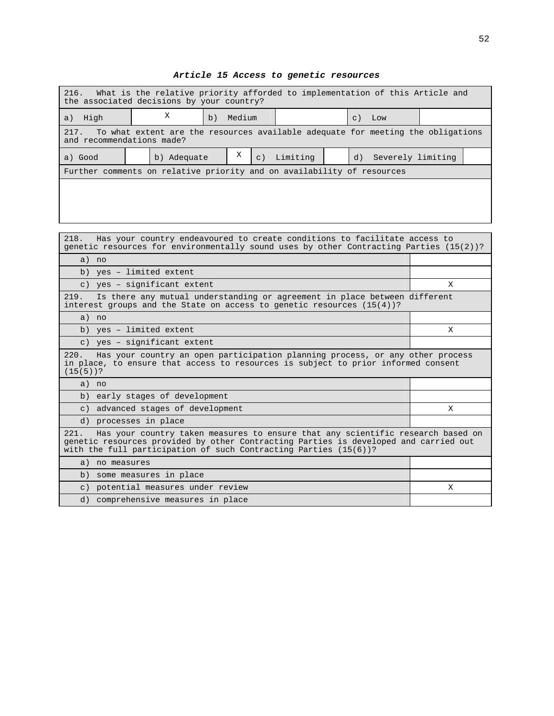| 216.<br>What is the relative priority afforded to implementation of this Article and<br>the associated decisions by your country? |             |    |        |                |          |                 |                   |  |
|-----------------------------------------------------------------------------------------------------------------------------------|-------------|----|--------|----------------|----------|-----------------|-------------------|--|
| High<br>a)                                                                                                                        | X           | b) | Medium |                |          | $\mathcal{C}$ ) | Low               |  |
| 217.<br>To what extent are the resources available adequate for meeting the obligations<br>and recommendations made?              |             |    |        |                |          |                 |                   |  |
| a) Good                                                                                                                           | b) Adequate |    | Χ      | $\mathsf{C}$ ) | Limiting | d)              | Severely limiting |  |
| Further comments on relative priority and on availability of resources                                                            |             |    |        |                |          |                 |                   |  |
|                                                                                                                                   |             |    |        |                |          |                 |                   |  |
|                                                                                                                                   |             |    |        |                |          |                 |                   |  |
|                                                                                                                                   |             |    |        |                |          |                 |                   |  |

# **Article 15 Access to genetic resources**

| 218. Has your country endeavoured to create conditions to facilitate access to<br>genetic resources for environmentally sound uses by other Contracting Parties $(15(2))$ ?                                                                         |   |
|-----------------------------------------------------------------------------------------------------------------------------------------------------------------------------------------------------------------------------------------------------|---|
| a) no                                                                                                                                                                                                                                               |   |
| b) yes - limited extent                                                                                                                                                                                                                             |   |
| c) yes - significant extent                                                                                                                                                                                                                         | X |
| 219.<br>Is there any mutual understanding or agreement in place between different<br>interest groups and the State on access to genetic resources $(15(4))$ ?                                                                                       |   |
| a) no                                                                                                                                                                                                                                               |   |
| b) yes - limited extent                                                                                                                                                                                                                             | X |
| c) yes - significant extent                                                                                                                                                                                                                         |   |
| 220.<br>Has your country an open participation planning process, or any other process<br>in place, to ensure that access to resources is subject to prior informed consent<br>$(15(5))$ ?                                                           |   |
| a) no                                                                                                                                                                                                                                               |   |
| b) early stages of development                                                                                                                                                                                                                      |   |
| c) advanced stages of development                                                                                                                                                                                                                   | X |
| d) processes in place                                                                                                                                                                                                                               |   |
| Has your country taken measures to ensure that any scientific research based on<br>221.<br>genetic resources provided by other Contracting Parties is developed and carried out<br>with the full participation of such Contracting Parties (15(6))? |   |
| a) no measures                                                                                                                                                                                                                                      |   |
| b) some measures in place                                                                                                                                                                                                                           |   |
| c) potential measures under review                                                                                                                                                                                                                  | X |
| d) comprehensive measures in place                                                                                                                                                                                                                  |   |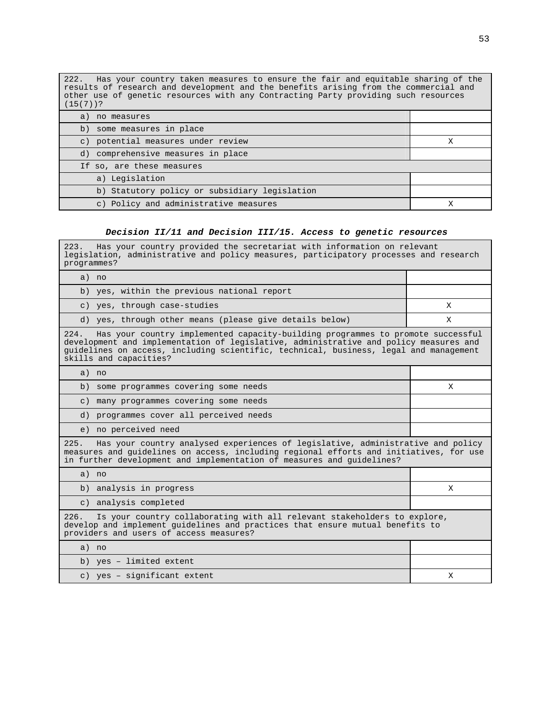222. Has your country taken measures to ensure the fair and equitable sharing of the results of research and development and the benefits arising from the commercial and other use of genetic resources with any Contracting Party providing such resources (15(7))?

| no measures<br>a)                             |   |
|-----------------------------------------------|---|
| b) some measures in place                     |   |
| c) potential measures under review            | Х |
| d) comprehensive measures in place            |   |
| If so, are these measures                     |   |
| a) Legislation                                |   |
| b) Statutory policy or subsidiary legislation |   |
| c) Policy and administrative measures         |   |

### **Decision II/11 and Decision III/15. Access to genetic resources**

223. Has your country provided the secretariat with information on relevant legislation, administrative and policy measures, participatory processes and research programmes? a) no

| b) yes, within the previous national report             |  |
|---------------------------------------------------------|--|
| c) yes, through case-studies                            |  |
| d) yes, through other means (please give details below) |  |

224. Has your country implemented capacity-building programmes to promote successful development and implementation of legislative, administrative and policy measures and guidelines on access, including scientific, technical, business, legal and management skills and capacities?

| no no<br>a)                             |  |
|-----------------------------------------|--|
| b) some programmes covering some needs  |  |
| c) many programmes covering some needs  |  |
| d) programmes cover all perceived needs |  |
| no perceived need<br>e)                 |  |

225. Has your country analysed experiences of legislative, administrative and policy measures and guidelines on access, including regional efforts and initiatives, for use in further development and implementation of measures and guidelines?

| a) no                                                                                                                                                                                                     |   |  |  |  |  |  |
|-----------------------------------------------------------------------------------------------------------------------------------------------------------------------------------------------------------|---|--|--|--|--|--|
| b) analysis in progress                                                                                                                                                                                   | Х |  |  |  |  |  |
| c) analysis completed                                                                                                                                                                                     |   |  |  |  |  |  |
| 226. Is your country collaborating with all relevant stakeholders to explore,<br>develop and implement quidelines and practices that ensure mutual benefits to<br>providers and users of access measures? |   |  |  |  |  |  |
| a) no                                                                                                                                                                                                     |   |  |  |  |  |  |
| b) yes - limited extent                                                                                                                                                                                   |   |  |  |  |  |  |
| c) yes - significant extent                                                                                                                                                                               | х |  |  |  |  |  |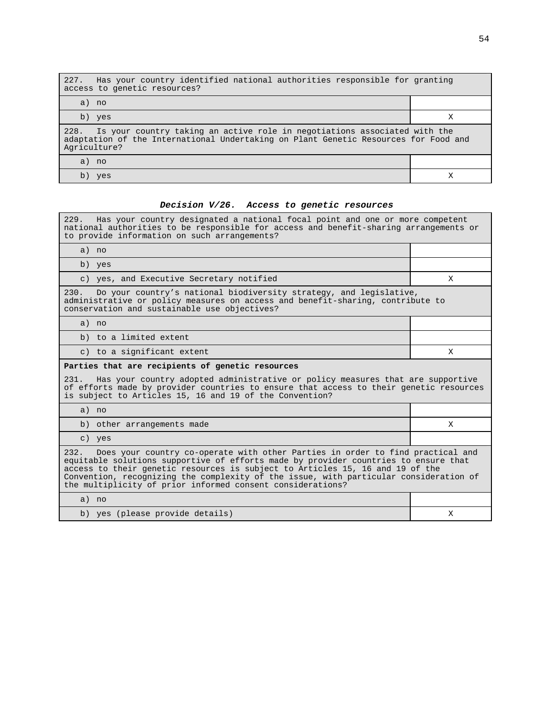| Has your country identified national authorities responsible for granting<br>227.<br>access to genetic resources?                                                                     |   |  |  |  |  |  |  |
|---------------------------------------------------------------------------------------------------------------------------------------------------------------------------------------|---|--|--|--|--|--|--|
| a) no                                                                                                                                                                                 |   |  |  |  |  |  |  |
| b) yes                                                                                                                                                                                | Х |  |  |  |  |  |  |
| 228. Is your country taking an active role in negotiations associated with the<br>adaptation of the International Undertaking on Plant Genetic Resources for Food and<br>Agriculture? |   |  |  |  |  |  |  |
| a) no                                                                                                                                                                                 |   |  |  |  |  |  |  |
| yes                                                                                                                                                                                   | х |  |  |  |  |  |  |

# **Decision V/26. Access to genetic resources**

| Has your country designated a national focal point and one or more competent<br>229.<br>national authorities to be responsible for access and benefit-sharing arrangements or<br>to provide information on such arrangements?                                                                                                                                                                                         |   |  |  |  |  |  |
|-----------------------------------------------------------------------------------------------------------------------------------------------------------------------------------------------------------------------------------------------------------------------------------------------------------------------------------------------------------------------------------------------------------------------|---|--|--|--|--|--|
| a) no                                                                                                                                                                                                                                                                                                                                                                                                                 |   |  |  |  |  |  |
| b) yes                                                                                                                                                                                                                                                                                                                                                                                                                |   |  |  |  |  |  |
| c) yes, and Executive Secretary notified                                                                                                                                                                                                                                                                                                                                                                              | X |  |  |  |  |  |
| Do your country's national biodiversity strategy, and legislative,<br>230.<br>administrative or policy measures on access and benefit-sharing, contribute to<br>conservation and sustainable use objectives?                                                                                                                                                                                                          |   |  |  |  |  |  |
| a) no                                                                                                                                                                                                                                                                                                                                                                                                                 |   |  |  |  |  |  |
| b) to a limited extent                                                                                                                                                                                                                                                                                                                                                                                                |   |  |  |  |  |  |
| c) to a significant extent                                                                                                                                                                                                                                                                                                                                                                                            | X |  |  |  |  |  |
| Parties that are recipients of genetic resources                                                                                                                                                                                                                                                                                                                                                                      |   |  |  |  |  |  |
| 231. Has your country adopted administrative or policy measures that are supportive<br>of efforts made by provider countries to ensure that access to their genetic resources<br>is subject to Articles 15, 16 and 19 of the Convention?                                                                                                                                                                              |   |  |  |  |  |  |
| a) no                                                                                                                                                                                                                                                                                                                                                                                                                 |   |  |  |  |  |  |
| b) other arrangements made                                                                                                                                                                                                                                                                                                                                                                                            | X |  |  |  |  |  |
| c) yes                                                                                                                                                                                                                                                                                                                                                                                                                |   |  |  |  |  |  |
| Does your country co-operate with other Parties in order to find practical and<br>232.<br>equitable solutions supportive of efforts made by provider countries to ensure that<br>access to their genetic resources is subject to Articles 15, 16 and 19 of the<br>Convention, recognizing the complexity of the issue, with particular consideration of<br>the multiplicity of prior informed consent considerations? |   |  |  |  |  |  |
| a) no                                                                                                                                                                                                                                                                                                                                                                                                                 |   |  |  |  |  |  |
| b) yes (please provide details)                                                                                                                                                                                                                                                                                                                                                                                       | X |  |  |  |  |  |
|                                                                                                                                                                                                                                                                                                                                                                                                                       |   |  |  |  |  |  |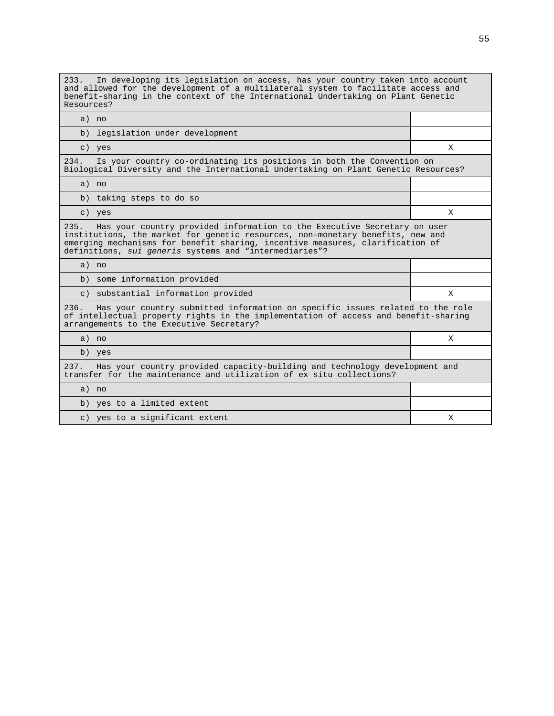233. In developing its legislation on access, has your country taken into account and allowed for the development of a multilateral system to facilitate access and benefit-sharing in the context of the International Undertaking on Plant Genetic Resources? a) no b) legislation under development c) yes **X** 234. Is your country co-ordinating its positions in both the Convention on Biological Diversity and the International Undertaking on Plant Genetic Resources? a) no b) taking steps to do so c) yes **X** 235. Has your country provided information to the Executive Secretary on user institutions, the market for genetic resources, non-monetary benefits, new and emerging mechanisms for benefit sharing, incentive measures, clarification of definitions, sui generis systems and "intermediaries"? a) no b) some information provided c) substantial information provided  $\begin{array}{ccc} \text{X} & \text{Y} & \text{Y} \end{array}$ 236. Has your country submitted information on specific issues related to the role of intellectual property rights in the implementation of access and benefit-sharing arrangements to the Executive Secretary? a) no X b) yes 237. Has your country provided capacity-building and technology development and transfer for the maintenance and utilization of ex situ collections? a) no

b) yes to a limited extent

c) yes to a significant extent  $X$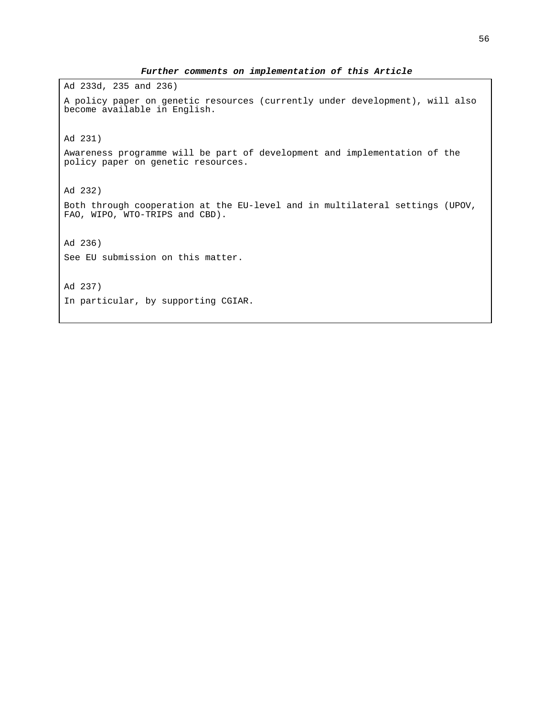Ad 233d, 235 and 236) A policy paper on genetic resources (currently under development), will also become available in English. Ad 231) Awareness programme will be part of development and implementation of the policy paper on genetic resources. Ad 232) Both through cooperation at the EU-level and in multilateral settings (UPOV, FAO, WIPO, WTO-TRIPS and CBD). Ad 236) See EU submission on this matter. Ad 237) In particular, by supporting CGIAR.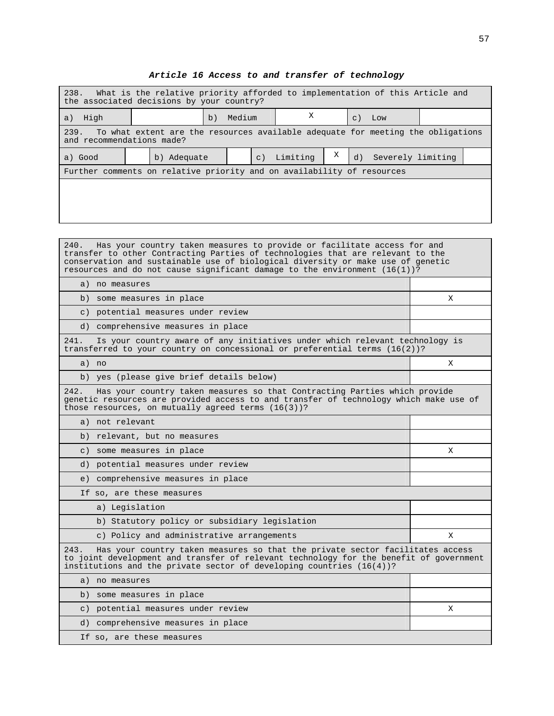| 238. What is the relative priority afforded to implementation of this Article and<br>the associated decisions by your country? |  |             |                 |          |   |             |                   |  |  |
|--------------------------------------------------------------------------------------------------------------------------------|--|-------------|-----------------|----------|---|-------------|-------------------|--|--|
| High<br>a)                                                                                                                     |  | b)          | Medium          | Χ        |   | $\subset$ ) | Low               |  |  |
| 239. To what extent are the resources available adequate for meeting the obligations<br>and recommendations made?              |  |             |                 |          |   |             |                   |  |  |
| a) Good                                                                                                                        |  | b) Adequate | $\mathcal{C}$ ) | Limiting | Χ | d)          | Severely limiting |  |  |
| Further comments on relative priority and on availability of resources                                                         |  |             |                 |          |   |             |                   |  |  |
|                                                                                                                                |  |             |                 |          |   |             |                   |  |  |
|                                                                                                                                |  |             |                 |          |   |             |                   |  |  |
|                                                                                                                                |  |             |                 |          |   |             |                   |  |  |

# **Article 16 Access to and transfer of technology**

| Has your country taken measures to provide or facilitate access for and<br>240.<br>transfer to other Contracting Parties of technologies that are relevant to the<br>conservation and sustainable use of biological diversity or make use of genetic<br>resources and do not cause significant damage to the environment $(16(1))$ ? |   |  |  |  |  |  |  |
|--------------------------------------------------------------------------------------------------------------------------------------------------------------------------------------------------------------------------------------------------------------------------------------------------------------------------------------|---|--|--|--|--|--|--|
| a) no measures                                                                                                                                                                                                                                                                                                                       |   |  |  |  |  |  |  |
| b) some measures in place                                                                                                                                                                                                                                                                                                            | X |  |  |  |  |  |  |
| c) potential measures under review                                                                                                                                                                                                                                                                                                   |   |  |  |  |  |  |  |
| d) comprehensive measures in place                                                                                                                                                                                                                                                                                                   |   |  |  |  |  |  |  |
| 241.<br>Is your country aware of any initiatives under which relevant technology is<br>transferred to your country on concessional or preferential terms $(16(2))$ ?                                                                                                                                                                 |   |  |  |  |  |  |  |
| a) no                                                                                                                                                                                                                                                                                                                                | X |  |  |  |  |  |  |
| b) yes (please give brief details below)                                                                                                                                                                                                                                                                                             |   |  |  |  |  |  |  |
| 242.<br>Has your country taken measures so that Contracting Parties which provide<br>genetic resources are provided access to and transfer of technology which make use of<br>those resources, on mutually agreed terms (16(3))?                                                                                                     |   |  |  |  |  |  |  |
| a) not relevant                                                                                                                                                                                                                                                                                                                      |   |  |  |  |  |  |  |
| b) relevant, but no measures                                                                                                                                                                                                                                                                                                         |   |  |  |  |  |  |  |
| c) some measures in place                                                                                                                                                                                                                                                                                                            | X |  |  |  |  |  |  |
| d) potential measures under review                                                                                                                                                                                                                                                                                                   |   |  |  |  |  |  |  |
| e) comprehensive measures in place                                                                                                                                                                                                                                                                                                   |   |  |  |  |  |  |  |
| If so, are these measures                                                                                                                                                                                                                                                                                                            |   |  |  |  |  |  |  |
| a) Legislation                                                                                                                                                                                                                                                                                                                       |   |  |  |  |  |  |  |
| b) Statutory policy or subsidiary legislation                                                                                                                                                                                                                                                                                        |   |  |  |  |  |  |  |
| c) Policy and administrative arrangements                                                                                                                                                                                                                                                                                            | X |  |  |  |  |  |  |
| Has your country taken measures so that the private sector facilitates access<br>243.<br>to joint development and transfer of relevant technology for the benefit of government<br>institutions and the private sector of developing countries (16(4))?                                                                              |   |  |  |  |  |  |  |
| a) no measures                                                                                                                                                                                                                                                                                                                       |   |  |  |  |  |  |  |
| b) some measures in place                                                                                                                                                                                                                                                                                                            |   |  |  |  |  |  |  |
| c) potential measures under review                                                                                                                                                                                                                                                                                                   | X |  |  |  |  |  |  |
| d) comprehensive measures in place                                                                                                                                                                                                                                                                                                   |   |  |  |  |  |  |  |
| If so, are these measures                                                                                                                                                                                                                                                                                                            |   |  |  |  |  |  |  |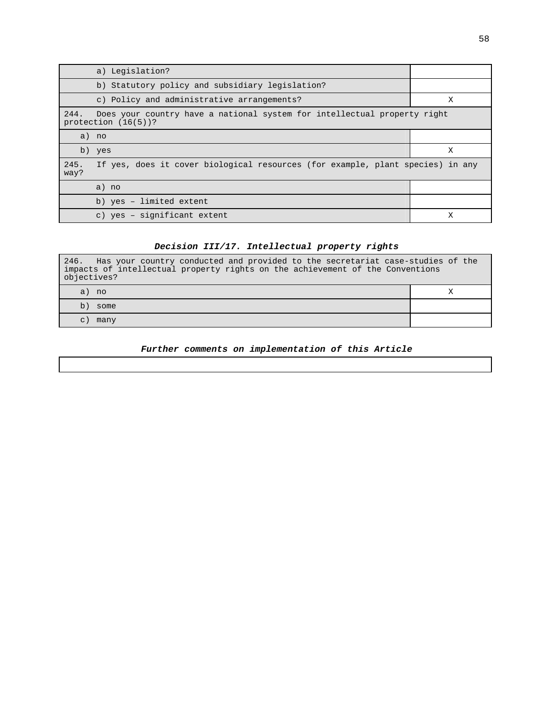| a) Legislation?                                                                                            |   |  |  |  |  |  |  |  |
|------------------------------------------------------------------------------------------------------------|---|--|--|--|--|--|--|--|
| b) Statutory policy and subsidiary legislation?                                                            |   |  |  |  |  |  |  |  |
| c) Policy and administrative arrangements?                                                                 | X |  |  |  |  |  |  |  |
| Does your country have a national system for intellectual property right<br>244.<br>protection $(16(5))$ ? |   |  |  |  |  |  |  |  |
| a) no                                                                                                      |   |  |  |  |  |  |  |  |
| b) yes                                                                                                     | X |  |  |  |  |  |  |  |
| 245.<br>If yes, does it cover biological resources (for example, plant species) in any<br>way?             |   |  |  |  |  |  |  |  |
| a) no                                                                                                      |   |  |  |  |  |  |  |  |
| b) yes - limited extent                                                                                    |   |  |  |  |  |  |  |  |
| c) yes - significant extent                                                                                | Х |  |  |  |  |  |  |  |

# **Decision III/17. Intellectual property rights**

| 246. Has your country conducted and provided to the secretariat case-studies of the<br>impacts of intellectual property rights on the achievement of the Conventions<br>objectives? |  |
|-------------------------------------------------------------------------------------------------------------------------------------------------------------------------------------|--|
| a) no                                                                                                                                                                               |  |
| b)<br>some                                                                                                                                                                          |  |
| $\mathsf{C}$<br>many                                                                                                                                                                |  |

# **Further comments on implementation of this Article**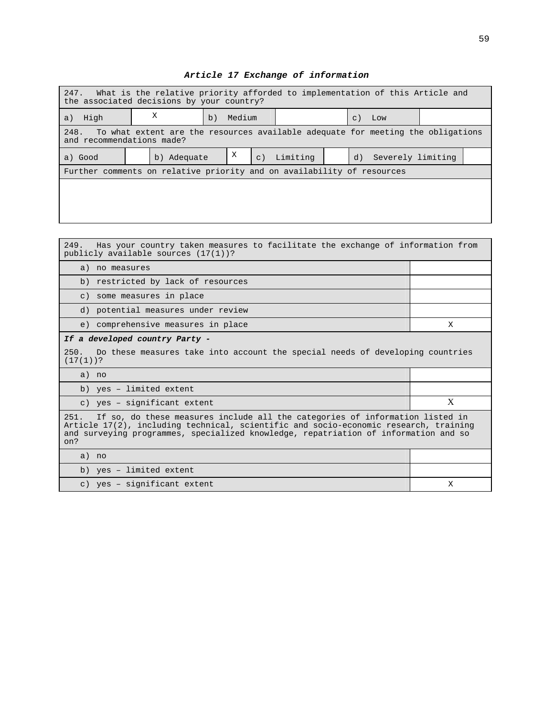| 247.<br>What is the relative priority afforded to implementation of this Article and<br>the associated decisions by your country? |  |             |    |        |                  |          |  |                 |                   |  |
|-----------------------------------------------------------------------------------------------------------------------------------|--|-------------|----|--------|------------------|----------|--|-----------------|-------------------|--|
| High<br>a)                                                                                                                        |  | X           | b) | Medium |                  |          |  | $\mathcal{C}$ ) | Low               |  |
| 248.<br>To what extent are the resources available adequate for meeting the obligations<br>and recommendations made?              |  |             |    |        |                  |          |  |                 |                   |  |
| a) Good                                                                                                                           |  | b) Adequate |    | Χ      | $\overline{c}$ ) | Limiting |  | d)              | Severely limiting |  |
| Further comments on relative priority and on availability of resources                                                            |  |             |    |        |                  |          |  |                 |                   |  |
|                                                                                                                                   |  |             |    |        |                  |          |  |                 |                   |  |
|                                                                                                                                   |  |             |    |        |                  |          |  |                 |                   |  |
|                                                                                                                                   |  |             |    |        |                  |          |  |                 |                   |  |

# **Article 17 Exchange of information**

| 249.<br>Has your country taken measures to facilitate the exchange of information from<br>publicly available sources (17(1))?                                                                                                                                              |   |  |  |  |  |  |  |
|----------------------------------------------------------------------------------------------------------------------------------------------------------------------------------------------------------------------------------------------------------------------------|---|--|--|--|--|--|--|
| a) no measures                                                                                                                                                                                                                                                             |   |  |  |  |  |  |  |
| b) restricted by lack of resources                                                                                                                                                                                                                                         |   |  |  |  |  |  |  |
| c) some measures in place                                                                                                                                                                                                                                                  |   |  |  |  |  |  |  |
| d) potential measures under review                                                                                                                                                                                                                                         |   |  |  |  |  |  |  |
| e) comprehensive measures in place                                                                                                                                                                                                                                         | X |  |  |  |  |  |  |
| If a developed country Party -                                                                                                                                                                                                                                             |   |  |  |  |  |  |  |
| 250.<br>Do these measures take into account the special needs of developing countries<br>$(17(1))$ ?                                                                                                                                                                       |   |  |  |  |  |  |  |
| $a)$ no                                                                                                                                                                                                                                                                    |   |  |  |  |  |  |  |
| b) yes - limited extent                                                                                                                                                                                                                                                    |   |  |  |  |  |  |  |
| c) yes - significant extent                                                                                                                                                                                                                                                | X |  |  |  |  |  |  |
| 251.<br>If so, do these measures include all the categories of information listed in<br>Article 17(2), including technical, scientific and socio-economic research, training<br>and surveying programmes, specialized knowledge, repatriation of information and so<br>on? |   |  |  |  |  |  |  |
| a) no                                                                                                                                                                                                                                                                      |   |  |  |  |  |  |  |
| b) yes - limited extent                                                                                                                                                                                                                                                    |   |  |  |  |  |  |  |
| c) yes - significant extent                                                                                                                                                                                                                                                | X |  |  |  |  |  |  |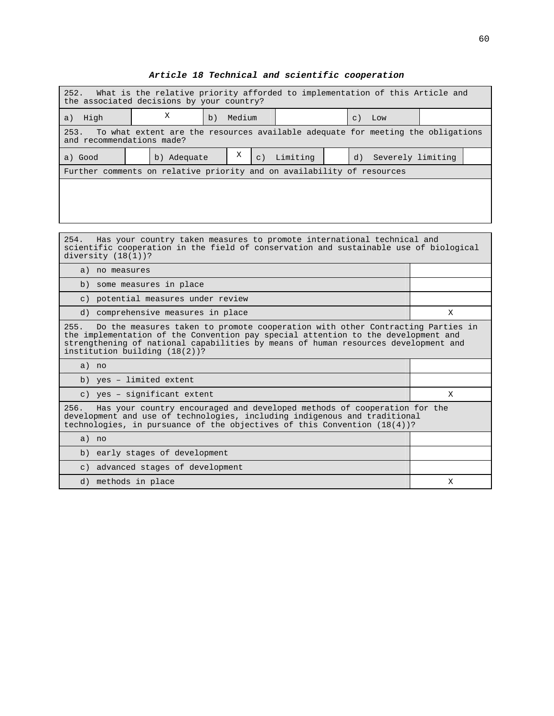| 252.<br>What is the relative priority afforded to implementation of this Article and<br>the associated decisions by your country?                                                                                                                                                                  |                                              |                                                                                                                                                                 |  |   |         |          |   |    |  |                   |  |
|----------------------------------------------------------------------------------------------------------------------------------------------------------------------------------------------------------------------------------------------------------------------------------------------------|----------------------------------------------|-----------------------------------------------------------------------------------------------------------------------------------------------------------------|--|---|---------|----------|---|----|--|-------------------|--|
| a)<br>High                                                                                                                                                                                                                                                                                         | X<br>b)<br>Medium<br>$\overline{c}$ )<br>Low |                                                                                                                                                                 |  |   |         |          |   |    |  |                   |  |
| 253.<br>and recommendations made?                                                                                                                                                                                                                                                                  |                                              | To what extent are the resources available adequate for meeting the obligations                                                                                 |  |   |         |          |   |    |  |                   |  |
| a) Good                                                                                                                                                                                                                                                                                            |                                              | b) Adequate                                                                                                                                                     |  | Χ | $\in$ ) | Limiting |   | d) |  | Severely limiting |  |
|                                                                                                                                                                                                                                                                                                    |                                              | Further comments on relative priority and on availability of resources                                                                                          |  |   |         |          |   |    |  |                   |  |
|                                                                                                                                                                                                                                                                                                    |                                              |                                                                                                                                                                 |  |   |         |          |   |    |  |                   |  |
|                                                                                                                                                                                                                                                                                                    |                                              |                                                                                                                                                                 |  |   |         |          |   |    |  |                   |  |
| 254.<br>diversity $(18(1))$ ?                                                                                                                                                                                                                                                                      |                                              | Has your country taken measures to promote international technical and<br>scientific cooperation in the field of conservation and sustainable use of biological |  |   |         |          |   |    |  |                   |  |
| a)                                                                                                                                                                                                                                                                                                 | no measures                                  |                                                                                                                                                                 |  |   |         |          |   |    |  |                   |  |
| b) some measures in place                                                                                                                                                                                                                                                                          |                                              |                                                                                                                                                                 |  |   |         |          |   |    |  |                   |  |
| c) potential measures under review                                                                                                                                                                                                                                                                 |                                              |                                                                                                                                                                 |  |   |         |          |   |    |  |                   |  |
| d) comprehensive measures in place                                                                                                                                                                                                                                                                 |                                              |                                                                                                                                                                 |  |   |         |          |   | X  |  |                   |  |
| 255.<br>Do the measures taken to promote cooperation with other Contracting Parties in<br>the implementation of the Convention pay special attention to the development and<br>strengthening of national capabilities by means of human resources development and<br>institution building (18(2))? |                                              |                                                                                                                                                                 |  |   |         |          |   |    |  |                   |  |
| a) no                                                                                                                                                                                                                                                                                              |                                              |                                                                                                                                                                 |  |   |         |          |   |    |  |                   |  |
|                                                                                                                                                                                                                                                                                                    |                                              | b) yes - limited extent                                                                                                                                         |  |   |         |          |   |    |  |                   |  |
| c) yes - significant extent                                                                                                                                                                                                                                                                        |                                              |                                                                                                                                                                 |  |   |         |          | X |    |  |                   |  |
| Has your country encouraged and developed methods of cooperation for the<br>256.<br>development and use of technologies, including indigenous and traditional<br>technologies, in pursuance of the objectives of this Convention $(18(4))$ ?                                                       |                                              |                                                                                                                                                                 |  |   |         |          |   |    |  |                   |  |
| a) no                                                                                                                                                                                                                                                                                              |                                              |                                                                                                                                                                 |  |   |         |          |   |    |  |                   |  |
| early stages of development<br>b)                                                                                                                                                                                                                                                                  |                                              |                                                                                                                                                                 |  |   |         |          |   |    |  |                   |  |
|                                                                                                                                                                                                                                                                                                    |                                              | c) advanced stages of development                                                                                                                               |  |   |         |          |   |    |  |                   |  |
| d) methods in place                                                                                                                                                                                                                                                                                |                                              |                                                                                                                                                                 |  |   |         |          |   |    |  | Χ                 |  |

# **Article 18 Technical and scientific cooperation**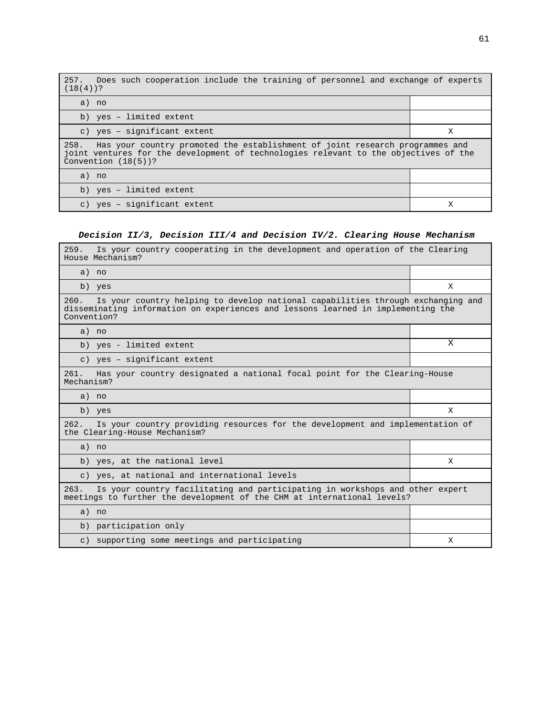| 257. Does such cooperation include the training of personnel and exchange of experts<br>$(18(4))$ ?                                                                                                 |   |
|-----------------------------------------------------------------------------------------------------------------------------------------------------------------------------------------------------|---|
| a) no                                                                                                                                                                                               |   |
| b) yes - limited extent                                                                                                                                                                             |   |
| c) yes - significant extent                                                                                                                                                                         | X |
| 258. Has your country promoted the establishment of joint research programmes and<br>joint ventures for the development of technologies relevant to the objectives of the<br>Convention $(18(5))$ ? |   |

| no no<br>a)                 |  |
|-----------------------------|--|
| b) yes - limited extent     |  |
| c) yes - significant extent |  |

# **Decision II/3, Decision III/4 and Decision IV/2. Clearing House Mechanism**

| Is your country cooperating in the development and operation of the Clearing<br>259.<br>House Mechanism?                                                                                   |   |
|--------------------------------------------------------------------------------------------------------------------------------------------------------------------------------------------|---|
| a) no                                                                                                                                                                                      |   |
| b) yes                                                                                                                                                                                     | X |
| Is your country helping to develop national capabilities through exchanging and<br>260.<br>disseminating information on experiences and lessons learned in implementing the<br>Convention? |   |
| a) no                                                                                                                                                                                      |   |
| b) yes - limited extent                                                                                                                                                                    | X |
| c) yes - significant extent                                                                                                                                                                |   |
| Has your country designated a national focal point for the Clearing-House<br>261.<br>Mechanism?                                                                                            |   |
| a) no                                                                                                                                                                                      |   |
| b) yes                                                                                                                                                                                     | X |
| 262.<br>Is your country providing resources for the development and implementation of<br>the Clearing-House Mechanism?                                                                     |   |
| a) no                                                                                                                                                                                      |   |
| b) yes, at the national level                                                                                                                                                              | X |
| c) yes, at national and international levels                                                                                                                                               |   |
| Is your country facilitating and participating in workshops and other expert<br>263.<br>meetings to further the development of the CHM at international levels?                            |   |
| a) no                                                                                                                                                                                      |   |
| b) participation only                                                                                                                                                                      |   |
| c) supporting some meetings and participating                                                                                                                                              | X |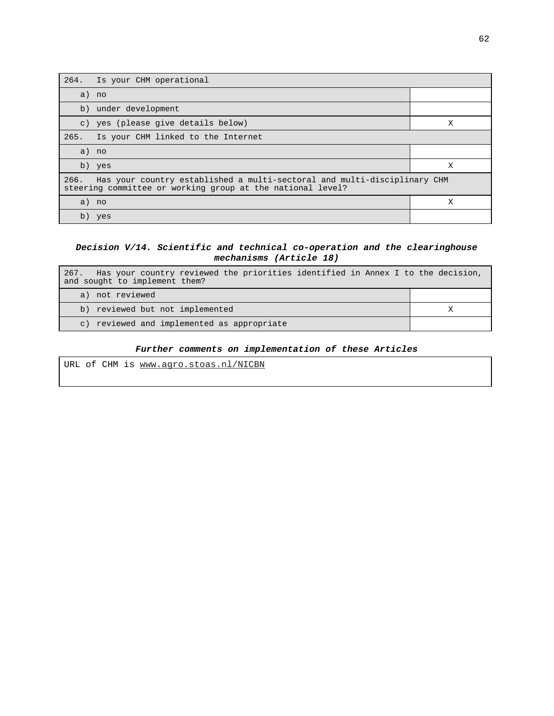| 264.                                                                                                                                           | Is your CHM operational            |   |
|------------------------------------------------------------------------------------------------------------------------------------------------|------------------------------------|---|
|                                                                                                                                                | a) no                              |   |
|                                                                                                                                                | b) under development               |   |
|                                                                                                                                                | c) yes (please give details below) | X |
| 265.                                                                                                                                           | Is your CHM linked to the Internet |   |
|                                                                                                                                                | a) no                              |   |
|                                                                                                                                                | b) yes                             | X |
| Has your country established a multi-sectoral and multi-disciplinary CHM<br>266.<br>steering committee or working group at the national level? |                                    |   |
|                                                                                                                                                | a) no                              | X |
|                                                                                                                                                | b) yes                             |   |

## **Decision V/14. Scientific and technical co-operation and the clearinghouse mechanisms (Article 18)**

| 267. Has your country reviewed the priorities identified in Annex I to the decision,<br>and sought to implement them? |  |
|-----------------------------------------------------------------------------------------------------------------------|--|
| a) not reviewed                                                                                                       |  |
| b) reviewed but not implemented                                                                                       |  |
| c) reviewed and implemented as appropriate                                                                            |  |

## **Further comments on implementation of these Articles**

URL of CHM is www.aqro.stoas.nl/NICBN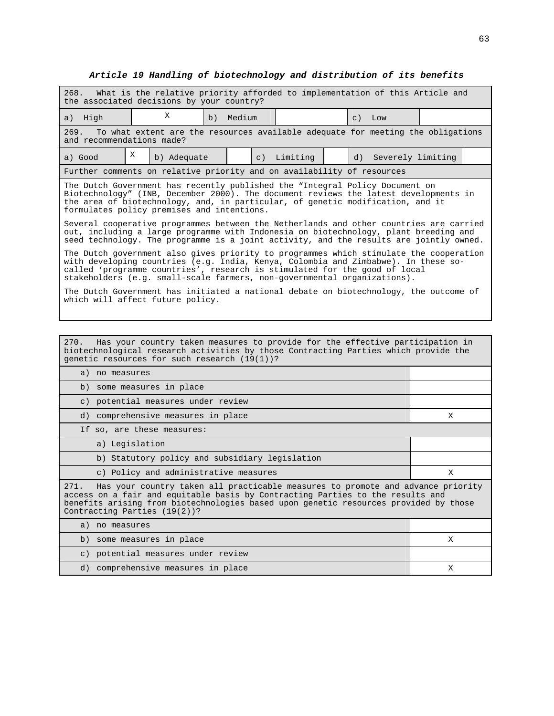# 268. What is the relative priority afforded to implementation of this Article and the associated decisions by your country? a) High  $X$  b) Medium  $\vert$  c) Low 269. To what extent are the resources available adequate for meeting the obligations and recommendations made? a) Good  $\begin{vmatrix} X & b \end{vmatrix}$  Adequate  $\begin{vmatrix} c \end{vmatrix}$  Limiting  $\begin{vmatrix} d \end{vmatrix}$  Severely limiting Further comments on relative priority and on availability of resources The Dutch Government has recently published the "Integral Policy Document on Biotechnology" (INB, December 2000). The document reviews the latest developments in the area of biotechnology, and, in particular, of genetic modification, and it formulates policy premises and intentions. Several cooperative programmes between the Netherlands and other countries are carried out, including a large programme with Indonesia on biotechnology, plant breeding and seed technology. The programme is a joint activity, and the results are jointly owned. The Dutch government also gives priority to programmes which stimulate the cooperation with developing countries (e.g. India, Kenya, Colombia and Zimbabwe). In these socalled 'programme countries', research is stimulated for the good of local stakeholders (e.g. small-scale farmers, non-governmental organizations). The Dutch Government has initiated a national debate on biotechnology, the outcome of which will affect future policy.

| 270.<br>Has your country taken measures to provide for the effective participation in<br>biotechnological research activities by those Contracting Parties which provide the<br>genetic resources for such research (19(1))?                                                                         |   |  |
|------------------------------------------------------------------------------------------------------------------------------------------------------------------------------------------------------------------------------------------------------------------------------------------------------|---|--|
| a) no measures                                                                                                                                                                                                                                                                                       |   |  |
| b) some measures in place                                                                                                                                                                                                                                                                            |   |  |
| c) potential measures under review                                                                                                                                                                                                                                                                   |   |  |
| d) comprehensive measures in place                                                                                                                                                                                                                                                                   | X |  |
| If so, are these measures:                                                                                                                                                                                                                                                                           |   |  |
| a) Legislation                                                                                                                                                                                                                                                                                       |   |  |
| b) Statutory policy and subsidiary legislation                                                                                                                                                                                                                                                       |   |  |
| c) Policy and administrative measures                                                                                                                                                                                                                                                                | X |  |
| Has your country taken all practicable measures to promote and advance priority<br>271.<br>access on a fair and equitable basis by Contracting Parties to the results and<br>benefits arising from biotechnologies based upon genetic resources provided by those<br>Contracting Parties $(19(2))$ ? |   |  |
| a) no measures                                                                                                                                                                                                                                                                                       |   |  |
| b) some measures in place                                                                                                                                                                                                                                                                            | X |  |
| c) potential measures under review                                                                                                                                                                                                                                                                   |   |  |
| d) comprehensive measures in place                                                                                                                                                                                                                                                                   | X |  |

## **Article 19 Handling of biotechnology and distribution of its benefits**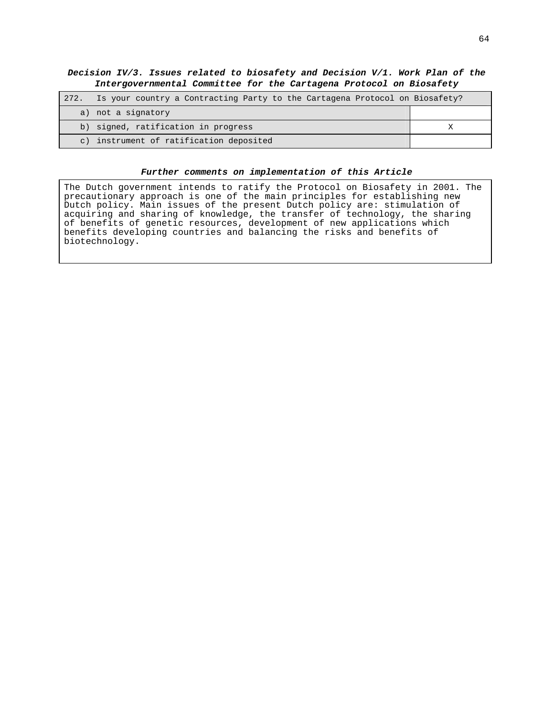**Decision IV/3. Issues related to biosafety and Decision V/1. Work Plan of the Intergovernmental Committee for the Cartagena Protocol on Biosafety**

| 272.7 | Is your country a Contracting Party to the Cartagena Protocol on Biosafety? |  |
|-------|-----------------------------------------------------------------------------|--|
|       | a) not a signatory                                                          |  |
|       | b) signed, ratification in progress                                         |  |
|       | c) instrument of ratification deposited                                     |  |

The Dutch government intends to ratify the Protocol on Biosafety in 2001. The precautionary approach is one of the main principles for establishing new Dutch policy. Main issues of the present Dutch policy are: stimulation of acquiring and sharing of knowledge, the transfer of technology, the sharing of benefits of genetic resources, development of new applications which benefits developing countries and balancing the risks and benefits of biotechnology.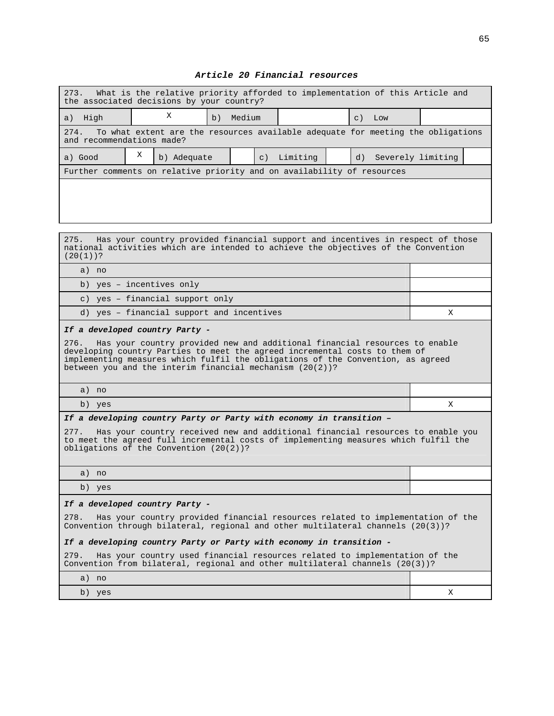## **Article 20 Financial resources**

| 273.<br>What is the relative priority afforded to implementation of this Article and<br>the associated decisions by your country? |   |                                                                                 |    |                |          |                 |                   |  |
|-----------------------------------------------------------------------------------------------------------------------------------|---|---------------------------------------------------------------------------------|----|----------------|----------|-----------------|-------------------|--|
| High<br>a)                                                                                                                        |   | X                                                                               | b) | Medium         |          | $\mathcal{C}$ ) | Low               |  |
| 274.<br>and recommendations made?                                                                                                 |   | To what extent are the resources available adequate for meeting the obligations |    |                |          |                 |                   |  |
| a) Good                                                                                                                           | Χ | b) Adequate                                                                     |    | $\mathsf{C}$ ) | Limiting | d)              | Severely limiting |  |
| Further comments on relative priority and on availability of resources                                                            |   |                                                                                 |    |                |          |                 |                   |  |
|                                                                                                                                   |   |                                                                                 |    |                |          |                 |                   |  |
|                                                                                                                                   |   |                                                                                 |    |                |          |                 |                   |  |
|                                                                                                                                   |   |                                                                                 |    |                |          |                 |                   |  |
|                                                                                                                                   |   |                                                                                 |    |                |          |                 |                   |  |

275. Has your country provided financial support and incentives in respect of those national activities which are intended to achieve the objectives of the Convention  $(20(1))^?$ 

| no no<br>a)                               |  |
|-------------------------------------------|--|
| b) yes - incentives only                  |  |
| c) yes - financial support only           |  |
| d) yes - financial support and incentives |  |

#### **If a developed country Party -**

276. Has your country provided new and additional financial resources to enable developing country Parties to meet the agreed incremental costs to them of implementing measures which fulfil the obligations of the Convention, as agreed between you and the interim financial mechanism (20(2))?

a) no

b) yes X

# **If a developing country Party or Party with economy in transition –**

277. Has your country received new and additional financial resources to enable you to meet the agreed full incremental costs of implementing measures which fulfil the obligations of the Convention (20(2))?

a) no

b) yes

### **If a developed country Party -**

278. Has your country provided financial resources related to implementation of the Convention through bilateral, regional and other multilateral channels (20(3))?

#### **If a developing country Party or Party with economy in transition -**

279. Has your country used financial resources related to implementation of the Convention from bilateral, regional and other multilateral channels (20(3))?

 $a)$ 

| a) | no  |          |
|----|-----|----------|
| b) | yes | --<br>∡⊾ |

 $\overline{\phantom{0}}$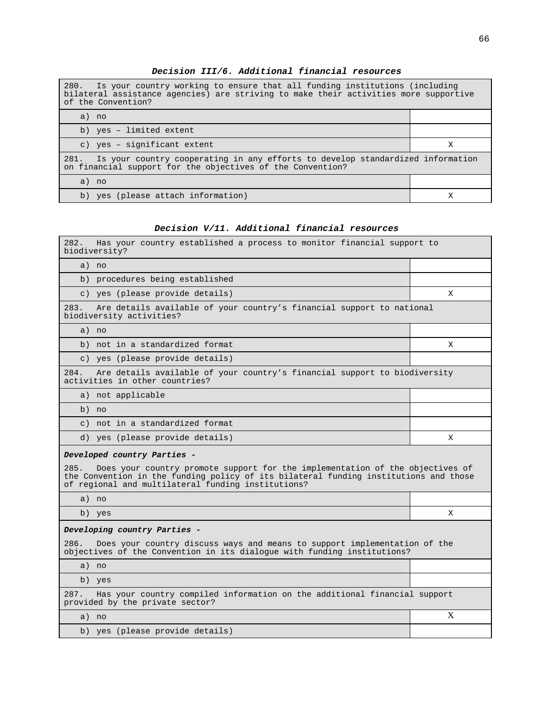| 280. Is your country working to ensure that all funding institutions (including<br>bilateral assistance agencies) are striving to make their activities more supportive<br>of the Convention? |   |
|-----------------------------------------------------------------------------------------------------------------------------------------------------------------------------------------------|---|
| a) no                                                                                                                                                                                         |   |
| b) yes - limited extent                                                                                                                                                                       |   |
| c) yes - significant extent                                                                                                                                                                   | х |
| 281. Is your country cooperating in any efforts to develop standardized information<br>on financial support for the objectives of the Convention?                                             |   |
| a) no                                                                                                                                                                                         |   |
| b) yes (please attach information)                                                                                                                                                            |   |

# **Decision III/6. Additional financial resources**

# **Decision V/11. Additional financial resources**

| Has your country established a process to monitor financial support to<br>282.<br>biodiversity?                                                                                                                                                                    |   |  |  |  |
|--------------------------------------------------------------------------------------------------------------------------------------------------------------------------------------------------------------------------------------------------------------------|---|--|--|--|
| a) no                                                                                                                                                                                                                                                              |   |  |  |  |
| b) procedures being established                                                                                                                                                                                                                                    |   |  |  |  |
| c) yes (please provide details)                                                                                                                                                                                                                                    | X |  |  |  |
| 283.<br>Are details available of your country's financial support to national<br>biodiversity activities?                                                                                                                                                          |   |  |  |  |
| a) no                                                                                                                                                                                                                                                              |   |  |  |  |
| b) not in a standardized format                                                                                                                                                                                                                                    | Χ |  |  |  |
| c) yes (please provide details)                                                                                                                                                                                                                                    |   |  |  |  |
| 284.<br>Are details available of your country's financial support to biodiversity<br>activities in other countries?                                                                                                                                                |   |  |  |  |
| a) not applicable                                                                                                                                                                                                                                                  |   |  |  |  |
| b) no                                                                                                                                                                                                                                                              |   |  |  |  |
| c) not in a standardized format                                                                                                                                                                                                                                    |   |  |  |  |
| d) yes (please provide details)                                                                                                                                                                                                                                    | Χ |  |  |  |
| Developed country Parties -<br>285.<br>Does your country promote support for the implementation of the objectives of<br>the Convention in the funding policy of its bilateral funding institutions and those<br>of regional and multilateral funding institutions? |   |  |  |  |
| a) no                                                                                                                                                                                                                                                              |   |  |  |  |
| b) yes                                                                                                                                                                                                                                                             | X |  |  |  |
| Developing country Parties -<br>286.<br>Does your country discuss ways and means to support implementation of the<br>objectives of the Convention in its dialogue with funding institutions?                                                                       |   |  |  |  |
| a) no                                                                                                                                                                                                                                                              |   |  |  |  |
| b) yes                                                                                                                                                                                                                                                             |   |  |  |  |
| 287.<br>Has your country compiled information on the additional financial support<br>provided by the private sector?                                                                                                                                               |   |  |  |  |
| a) no                                                                                                                                                                                                                                                              | X |  |  |  |
| b) yes (please provide details)                                                                                                                                                                                                                                    |   |  |  |  |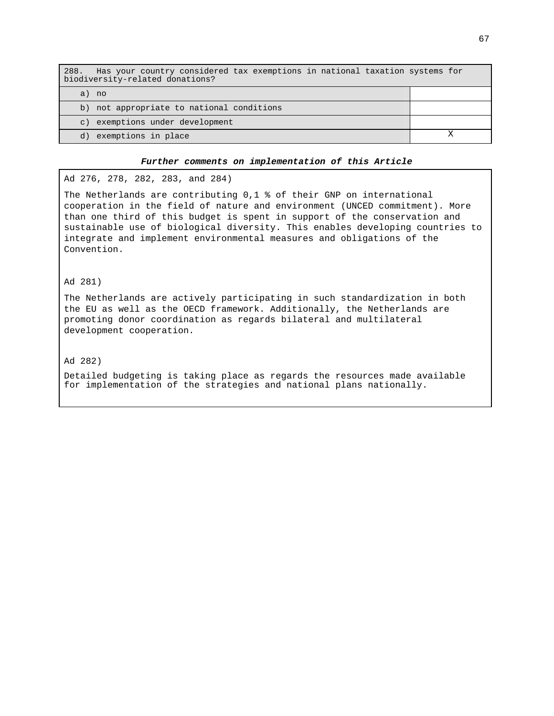| 288. Has your country considered tax exemptions in national taxation systems for<br>biodiversity-related donations? |  |
|---------------------------------------------------------------------------------------------------------------------|--|
| a) no                                                                                                               |  |
| b) not appropriate to national conditions                                                                           |  |
| exemptions under development<br>$\mathcal{C}$ )                                                                     |  |
| exemptions in place<br>d)                                                                                           |  |

### Ad 276, 278, 282, 283, and 284)

The Netherlands are contributing 0,1 % of their GNP on international cooperation in the field of nature and environment (UNCED commitment). More than one third of this budget is spent in support of the conservation and sustainable use of biological diversity. This enables developing countries to integrate and implement environmental measures and obligations of the Convention.

Ad 281)

The Netherlands are actively participating in such standardization in both the EU as well as the OECD framework. Additionally, the Netherlands are promoting donor coordination as regards bilateral and multilateral development cooperation.

Ad 282)

Detailed budgeting is taking place as regards the resources made available for implementation of the strategies and national plans nationally.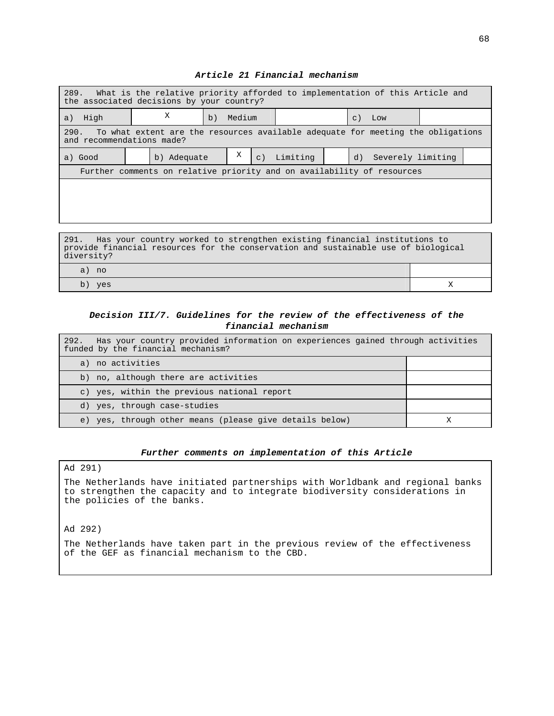| 289.<br>What is the relative priority afforded to implementation of this Article and<br>the associated decisions by your country? |                                                                                 |              |             |          |  |                         |  |
|-----------------------------------------------------------------------------------------------------------------------------------|---------------------------------------------------------------------------------|--------------|-------------|----------|--|-------------------------|--|
| High<br>a)                                                                                                                        | Χ                                                                               | Medium<br>b) |             |          |  | $\mathcal{C}$ )<br>Low  |  |
| 290.<br>and recommendations made?                                                                                                 | To what extent are the resources available adequate for meeting the obligations |              |             |          |  |                         |  |
| a) Good                                                                                                                           | b) Adequate                                                                     | Х            | $\subset$ ) | Limiting |  | d)<br>Severely limiting |  |
| Further comments on relative priority and on availability of resources                                                            |                                                                                 |              |             |          |  |                         |  |
|                                                                                                                                   |                                                                                 |              |             |          |  |                         |  |
|                                                                                                                                   |                                                                                 |              |             |          |  |                         |  |
|                                                                                                                                   |                                                                                 |              |             |          |  |                         |  |
|                                                                                                                                   |                                                                                 |              |             |          |  |                         |  |

## **Article 21 Financial mechanism**

291. Has your country worked to strengthen existing financial institutions to provide financial resources for the conservation and sustainable use of biological diversity? a) no b) yes X

## **Decision III/7. Guidelines for the review of the effectiveness of the financial mechanism**

| 292. Has your country provided information on experiences gained through activities<br>funded by the financial mechanism? |  |  |
|---------------------------------------------------------------------------------------------------------------------------|--|--|
| a) no activities                                                                                                          |  |  |
| b) no, although there are activities                                                                                      |  |  |
| c) yes, within the previous national report                                                                               |  |  |
| d) yes, through case-studies                                                                                              |  |  |
| e) yes, through other means (please give details below)                                                                   |  |  |

### **Further comments on implementation of this Article**

Ad 291)

The Netherlands have initiated partnerships with Worldbank and regional banks to strengthen the capacity and to integrate biodiversity considerations in the policies of the banks.

Ad 292)

The Netherlands have taken part in the previous review of the effectiveness of the GEF as financial mechanism to the CBD.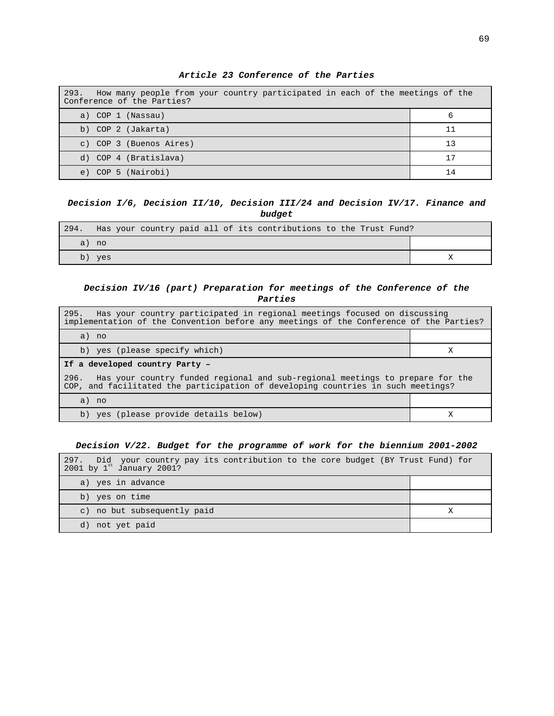| 293. How many people from your country participated in each of the meetings of the<br>Conference of the Parties? |     |  |
|------------------------------------------------------------------------------------------------------------------|-----|--|
| a) COP 1 (Nassau)                                                                                                | 6   |  |
| b) COP 2 (Jakarta)                                                                                               | 11  |  |
| c) COP 3 (Buenos Aires)                                                                                          | 1 ว |  |
| d) COP 4 (Bratislava)                                                                                            | 17  |  |
| COP 5 (Nairobi)<br>e)                                                                                            | 14  |  |

## **Article 23 Conference of the Parties**

## **Decision I/6, Decision II/10, Decision III/24 and Decision IV/17. Finance and budget**

| 294. | Has your country paid all of its contributions to the Trust Fund? |  |
|------|-------------------------------------------------------------------|--|
|      | a) no                                                             |  |
| b)   | ves                                                               |  |

## **Decision IV/16 (part) Preparation for meetings of the Conference of the Parties**

| 295. Has your country participated in regional meetings focused on discussing<br>implementation of the Convention before any meetings of the Conference of the Parties?   |  |  |  |
|---------------------------------------------------------------------------------------------------------------------------------------------------------------------------|--|--|--|
| a) no                                                                                                                                                                     |  |  |  |
| b) yes (please specify which)<br>Х                                                                                                                                        |  |  |  |
| If a developed country Party -                                                                                                                                            |  |  |  |
| Has your country funded regional and sub-regional meetings to prepare for the<br>296.<br>COP, and facilitated the participation of developing countries in such meetings? |  |  |  |
| a) no                                                                                                                                                                     |  |  |  |
| b) yes (please provide details below)                                                                                                                                     |  |  |  |

## **Decision V/22. Budget for the programme of work for the biennium 2001-2002**

| 297. Did your country pay its contribution to the core budget (BY Trust Fund) for<br>2001 by $1^{st}$ January 2001? |  |
|---------------------------------------------------------------------------------------------------------------------|--|
| a) yes in advance                                                                                                   |  |
| b) yes on time                                                                                                      |  |
| c) no but subsequently paid                                                                                         |  |
| d) not yet paid                                                                                                     |  |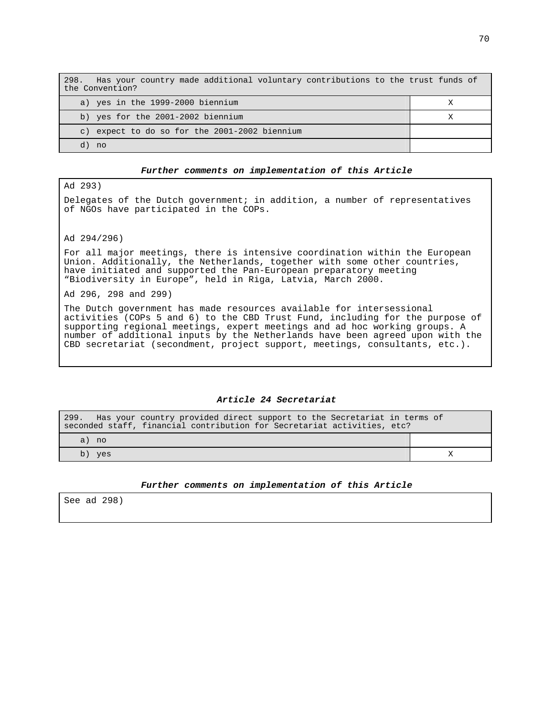| 298.<br>Has your country made additional voluntary contributions to the trust funds of<br>the Convention? |   |
|-----------------------------------------------------------------------------------------------------------|---|
| a) yes in the 1999-2000 biennium                                                                          | Х |
| b) yes for the 2001-2002 biennium                                                                         |   |
| c) expect to do so for the 2001-2002 biennium                                                             |   |
| d)<br>no no                                                                                               |   |

Ad 293)

Delegates of the Dutch government; in addition, a number of representatives of NGOs have participated in the COPs.

### Ad 294/296)

For all major meetings, there is intensive coordination within the European Union. Additionally, the Netherlands, together with some other countries, have initiated and supported the Pan-European preparatory meeting "Biodiversity in Europe", held in Riga, Latvia, March 2000.

Ad 296, 298 and 299)

The Dutch government has made resources available for intersessional activities (COPs 5 and 6) to the CBD Trust Fund, including for the purpose of supporting regional meetings, expert meetings and ad hoc working groups. A number of additional inputs by the Netherlands have been agreed upon with the CBD secretariat (secondment, project support, meetings, consultants, etc.).

## **Article 24 Secretariat**

| 299.<br>Has your country provided direct support to the Secretariat in terms of<br>seconded staff, financial contribution for Secretariat activities, etc? |  |
|------------------------------------------------------------------------------------------------------------------------------------------------------------|--|
| a) no                                                                                                                                                      |  |
| b) ves                                                                                                                                                     |  |

#### **Further comments on implementation of this Article**

See ad 298)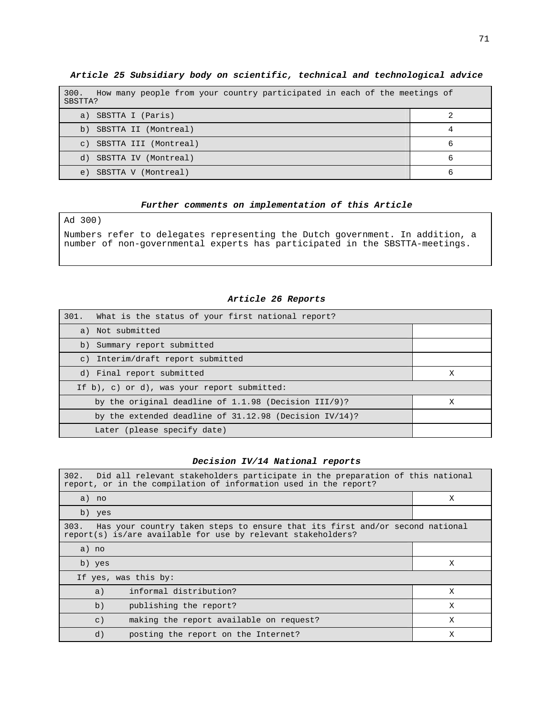| How many people from your country participated in each of the meetings of<br>300.<br>SBSTTA? |   |
|----------------------------------------------------------------------------------------------|---|
| a) SBSTTA I (Paris)                                                                          |   |
| SBSTTA II (Montreal)<br>b)                                                                   |   |
| SBSTTA III (Montreal)<br>$\mathcal{C}$ )                                                     | 6 |
| SBSTTA IV (Montreal)<br>d)                                                                   | 6 |
| SBSTTA V (Montreal)<br>e)                                                                    | 6 |

**Article 25 Subsidiary body on scientific, technical and technological advice**

Ad 300)

Numbers refer to delegates representing the Dutch government. In addition, a number of non-governmental experts has participated in the SBSTTA-meetings.

## **Article 26 Reports**

| What is the status of your first national report?<br>301. |   |
|-----------------------------------------------------------|---|
| a) Not submitted                                          |   |
| b) Summary report submitted                               |   |
| c) Interim/draft report submitted                         |   |
| d) Final report submitted                                 | Х |
| If b), c) or d), was your report submitted:               |   |
| by the original deadline of $1.1.98$ (Decision III/9)?    | Х |
| by the extended deadline of $31.12.98$ (Decision IV/14)?  |   |
| Later (please specify date)                               |   |

## **Decision IV/14 National reports**

| 302. Did all relevant stakeholders participate in the preparation of this national<br>report, or in the compilation of information used in the report? |   |  |  |  |
|--------------------------------------------------------------------------------------------------------------------------------------------------------|---|--|--|--|
| a) no                                                                                                                                                  | X |  |  |  |
| b) yes                                                                                                                                                 |   |  |  |  |
| 303.<br>Has your country taken steps to ensure that its first and/or second national<br>report(s) is/are available for use by relevant stakeholders?   |   |  |  |  |
| a) no                                                                                                                                                  |   |  |  |  |
| b) yes                                                                                                                                                 | X |  |  |  |
| If yes, was this by:                                                                                                                                   |   |  |  |  |
| informal distribution?<br>a)                                                                                                                           | X |  |  |  |
| b)<br>publishing the report?                                                                                                                           | X |  |  |  |
| making the report available on request?<br>$\circ$ )                                                                                                   | X |  |  |  |
| d)<br>posting the report on the Internet?                                                                                                              | X |  |  |  |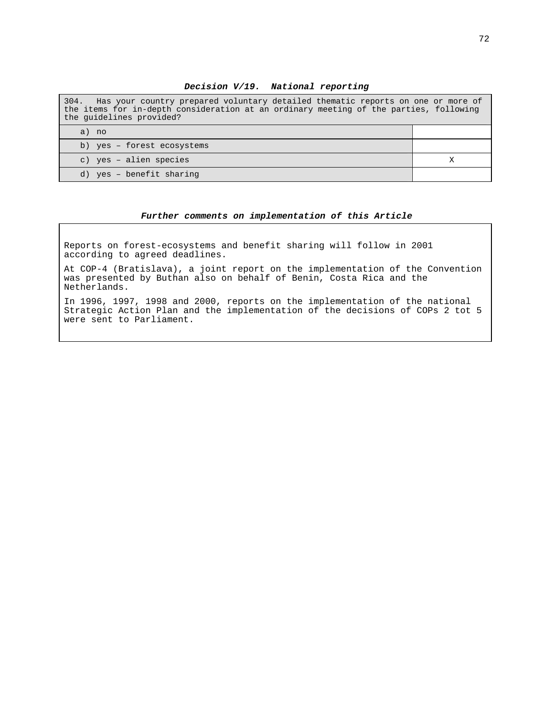|  |  |  | Decision V/19. National reporting |
|--|--|--|-----------------------------------|
|--|--|--|-----------------------------------|

| 304. Has your country prepared voluntary detailed thematic reports on one or more of<br>the items for in-depth consideration at an ordinary meeting of the parties, following<br>the quidelines provided? |  |
|-----------------------------------------------------------------------------------------------------------------------------------------------------------------------------------------------------------|--|
| a) no                                                                                                                                                                                                     |  |
| b) yes - forest ecosystems                                                                                                                                                                                |  |
| c) yes - alien species                                                                                                                                                                                    |  |
| d) yes - benefit sharing                                                                                                                                                                                  |  |

Reports on forest-ecosystems and benefit sharing will follow in 2001 according to agreed deadlines.

At COP-4 (Bratislava), a joint report on the implementation of the Convention was presented by Buthan also on behalf of Benin, Costa Rica and the Netherlands.

In 1996, 1997, 1998 and 2000, reports on the implementation of the national Strategic Action Plan and the implementation of the decisions of COPs 2 tot 5 were sent to Parliament.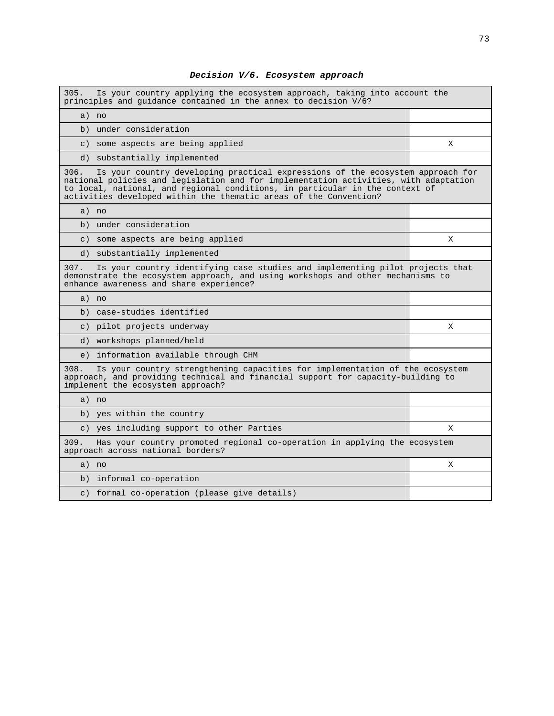# **Decision V/6. Ecosystem approach**

| Is your country applying the ecosystem approach, taking into account the<br>305.<br>principles and quidance contained in the annex to decision V/6?                                                                                                                                                                                 |   |
|-------------------------------------------------------------------------------------------------------------------------------------------------------------------------------------------------------------------------------------------------------------------------------------------------------------------------------------|---|
| a) no                                                                                                                                                                                                                                                                                                                               |   |
| b) under consideration                                                                                                                                                                                                                                                                                                              |   |
| c) some aspects are being applied                                                                                                                                                                                                                                                                                                   | X |
| d) substantially implemented                                                                                                                                                                                                                                                                                                        |   |
| Is your country developing practical expressions of the ecosystem approach for<br>306.<br>national policies and legislation and for implementation activities, with adaptation<br>to local, national, and regional conditions, in particular in the context of<br>activities developed within the thematic areas of the Convention? |   |
| a) no                                                                                                                                                                                                                                                                                                                               |   |
| b) under consideration                                                                                                                                                                                                                                                                                                              |   |
| c) some aspects are being applied                                                                                                                                                                                                                                                                                                   | X |
| d) substantially implemented                                                                                                                                                                                                                                                                                                        |   |
| Is your country identifying case studies and implementing pilot projects that<br>307.<br>demonstrate the ecosystem approach, and using workshops and other mechanisms to<br>enhance awareness and share experience?                                                                                                                 |   |
| a) no                                                                                                                                                                                                                                                                                                                               |   |
| b) case-studies identified                                                                                                                                                                                                                                                                                                          |   |
| c) pilot projects underway                                                                                                                                                                                                                                                                                                          | X |
| d) workshops planned/held                                                                                                                                                                                                                                                                                                           |   |
| e) information available through CHM                                                                                                                                                                                                                                                                                                |   |
| 308.<br>Is your country strengthening capacities for implementation of the ecosystem<br>approach, and providing technical and financial support for capacity-building to<br>implement the ecosystem approach?                                                                                                                       |   |
| a) no                                                                                                                                                                                                                                                                                                                               |   |
| b) yes within the country                                                                                                                                                                                                                                                                                                           |   |
| c) yes including support to other Parties                                                                                                                                                                                                                                                                                           | X |
| 309.<br>Has your country promoted regional co-operation in applying the ecosystem<br>approach across national borders?                                                                                                                                                                                                              |   |
| a) no                                                                                                                                                                                                                                                                                                                               | X |
| b) informal co-operation                                                                                                                                                                                                                                                                                                            |   |
| c) formal co-operation (please give details)                                                                                                                                                                                                                                                                                        |   |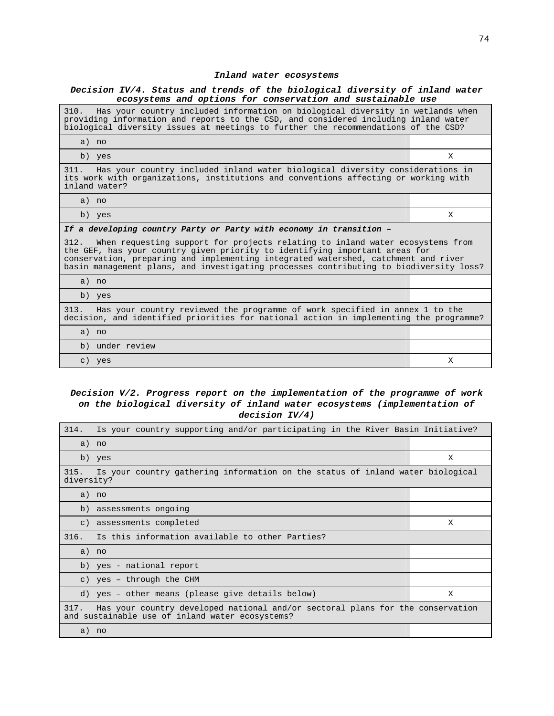### **Inland water ecosystems**

### **Decision IV/4. Status and trends of the biological diversity of inland water ecosystems and options for conservation and sustainable use**

| 310. Has your country included information on biological diversity in wetlands when<br>providing information and reports to the CSD, and considered including inland water<br>biological diversity issues at meetings to further the recommendations of the CSD?                                                                                     |   |
|------------------------------------------------------------------------------------------------------------------------------------------------------------------------------------------------------------------------------------------------------------------------------------------------------------------------------------------------------|---|
| a) no                                                                                                                                                                                                                                                                                                                                                |   |
| b) yes                                                                                                                                                                                                                                                                                                                                               | X |
| 311. Has your country included inland water biological diversity considerations in<br>its work with organizations, institutions and conventions affecting or working with<br>inland water?                                                                                                                                                           |   |
| a) no                                                                                                                                                                                                                                                                                                                                                |   |
| b) yes                                                                                                                                                                                                                                                                                                                                               | X |
| If a developing country Party or Party with economy in transition -                                                                                                                                                                                                                                                                                  |   |
| When requesting support for projects relating to inland water ecosystems from<br>312.<br>the GEF, has your country given priority to identifying important areas for<br>conservation, preparing and implementing integrated watershed, catchment and river<br>basin management plans, and investigating processes contributing to biodiversity loss? |   |
| a) no                                                                                                                                                                                                                                                                                                                                                |   |
| b) yes                                                                                                                                                                                                                                                                                                                                               |   |
| 313. Has your country reviewed the programme of work specified in annex 1 to the<br>decision, and identified priorities for national action in implementing the programme?                                                                                                                                                                           |   |
|                                                                                                                                                                                                                                                                                                                                                      |   |
| a) no                                                                                                                                                                                                                                                                                                                                                |   |
| b) under review                                                                                                                                                                                                                                                                                                                                      |   |

## **Decision V/2. Progress report on the implementation of the programme of work on the biological diversity of inland water ecosystems (implementation of decision IV/4)**

| Is your country supporting and/or participating in the River Basin Initiative?<br>314.                                                    |              |
|-------------------------------------------------------------------------------------------------------------------------------------------|--------------|
| a) no                                                                                                                                     |              |
| b) yes                                                                                                                                    | X            |
| Is your country gathering information on the status of inland water biological<br>315.<br>diversity?                                      |              |
| a) no                                                                                                                                     |              |
| b) assessments ongoing                                                                                                                    |              |
| c) assessments completed                                                                                                                  | X            |
|                                                                                                                                           |              |
| 316.<br>Is this information available to other Parties?                                                                                   |              |
| a) no                                                                                                                                     |              |
| b) yes - national report                                                                                                                  |              |
| c) yes - through the CHM                                                                                                                  |              |
| d) yes - other means (please give details below)                                                                                          | $\mathbf{x}$ |
| Has your country developed national and/or sectoral plans for the conservation<br>317.<br>and sustainable use of inland water ecosystems? |              |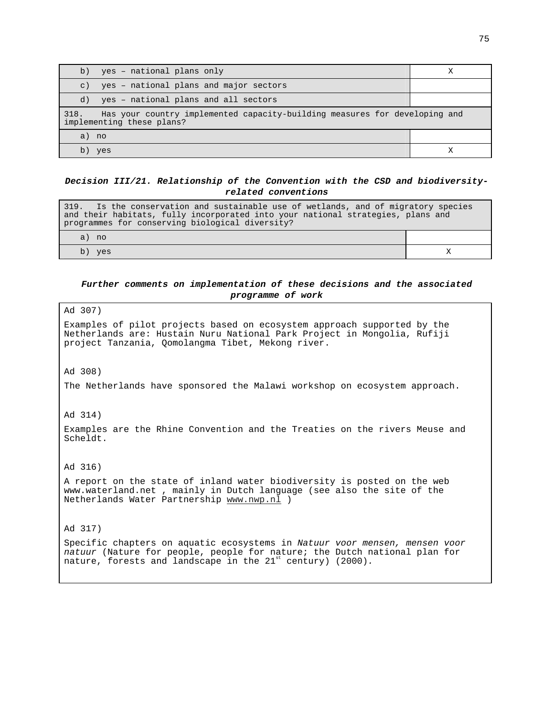|       | b) yes - national plans only                                                                            |  |
|-------|---------------------------------------------------------------------------------------------------------|--|
|       | c) yes - national plans and major sectors                                                               |  |
|       | d) yes - national plans and all sectors                                                                 |  |
| 318.  | Has your country implemented capacity-building measures for developing and<br>implementing these plans? |  |
| a) no |                                                                                                         |  |
|       | yes                                                                                                     |  |

### **Decision III/21. Relationship of the Convention with the CSD and biodiversityrelated conventions**

| Is the conservation and sustainable use of wetlands, and of migratory species<br>319.7<br>and their habitats, fully incorporated into your national strategies, plans and<br>programmes for conserving biological diversity? |  |
|------------------------------------------------------------------------------------------------------------------------------------------------------------------------------------------------------------------------------|--|
| a) no                                                                                                                                                                                                                        |  |
| b) yes                                                                                                                                                                                                                       |  |

### **Further comments on implementation of these decisions and the associated programme of work**

Ad 307)

Examples of pilot projects based on ecosystem approach supported by the Netherlands are: Hustain Nuru National Park Project in Mongolia, Rufiji project Tanzania, Qomolangma Tibet, Mekong river.

Ad 308)

The Netherlands have sponsored the Malawi workshop on ecosystem approach.

Ad 314)

Examples are the Rhine Convention and the Treaties on the rivers Meuse and Scheldt.

Ad 316)

A report on the state of inland water biodiversity is posted on the web www.waterland.net , mainly in Dutch language (see also the site of the Netherlands Water Partnership www.nwp.nl )

Ad 317)

Specific chapters on aquatic ecosystems in Natuur voor mensen, mensen voor natuur (Nature for people, people for nature; the Dutch national plan for nature, forests and landscape in the  $21^{st}$  century) (2000).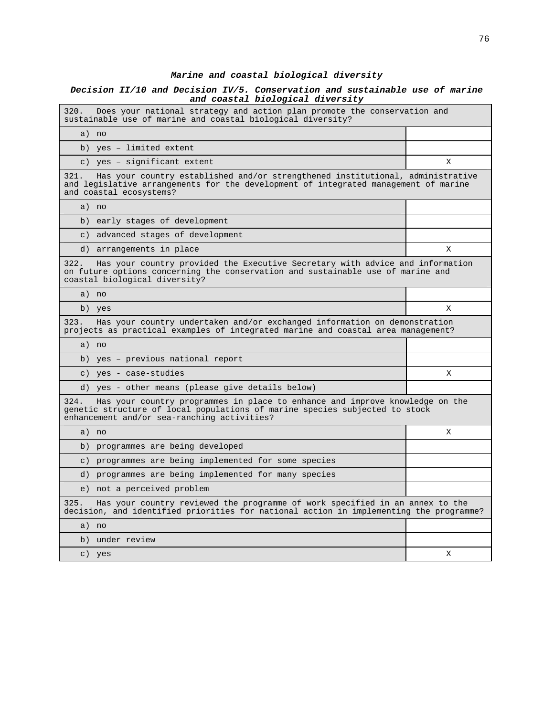## **Marine and coastal biological diversity**

#### **Decision II/10 and Decision IV/5. Conservation and sustainable use of marine and coastal biological diversity**

| Does your national strategy and action plan promote the conservation and<br>320.<br>sustainable use of marine and coastal biological diversity?                                                                    |   |
|--------------------------------------------------------------------------------------------------------------------------------------------------------------------------------------------------------------------|---|
| a) no                                                                                                                                                                                                              |   |
| yes - limited extent<br>b)                                                                                                                                                                                         |   |
| c) yes - significant extent                                                                                                                                                                                        | X |
| 321.<br>Has your country established and/or strengthened institutional, administrative<br>and legislative arrangements for the development of integrated management of marine<br>and coastal ecosystems?           |   |
| a) no                                                                                                                                                                                                              |   |
| b)<br>early stages of development                                                                                                                                                                                  |   |
| c) advanced stages of development                                                                                                                                                                                  |   |
| d) arrangements in place                                                                                                                                                                                           | Χ |
| Has your country provided the Executive Secretary with advice and information<br>322.<br>on future options concerning the conservation and sustainable use of marine and<br>coastal biological diversity?          |   |
| a) no                                                                                                                                                                                                              |   |
| b) yes                                                                                                                                                                                                             | X |
| Has your country undertaken and/or exchanged information on demonstration<br>323.<br>projects as practical examples of integrated marine and coastal area management?                                              |   |
| a) no                                                                                                                                                                                                              |   |
|                                                                                                                                                                                                                    |   |
| b) yes - previous national report                                                                                                                                                                                  |   |
| c) yes - case-studies                                                                                                                                                                                              | х |
| d) yes - other means (please give details below)                                                                                                                                                                   |   |
| 324.<br>Has your country programmes in place to enhance and improve knowledge on the<br>genetic structure of local populations of marine species subjected to stock<br>enhancement and/or sea-ranching activities? |   |
| a) no                                                                                                                                                                                                              | Χ |
| b) programmes are being developed                                                                                                                                                                                  |   |
| c) programmes are being implemented for some species                                                                                                                                                               |   |
| d) programmes are being implemented for many species                                                                                                                                                               |   |
| e) not a perceived problem                                                                                                                                                                                         |   |
| 325.<br>Has your country reviewed the programme of work specified in an annex to the<br>decision, and identified priorities for national action in implementing the programme?                                     |   |
| a) no                                                                                                                                                                                                              |   |
| b) under review                                                                                                                                                                                                    |   |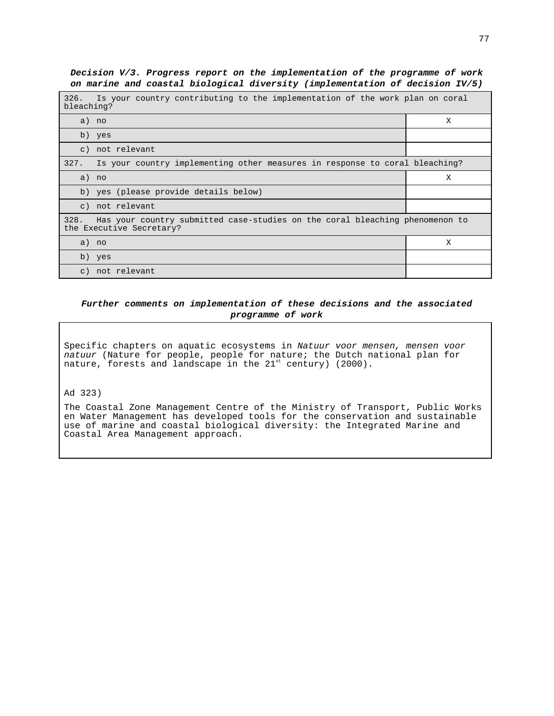**Decision V/3. Progress report on the implementation of the programme of work on marine and coastal biological diversity (implementation of decision IV/5)**

| Is your country contributing to the implementation of the work plan on coral<br>326.<br>bleaching?               |   |
|------------------------------------------------------------------------------------------------------------------|---|
| a) no                                                                                                            | X |
| b) yes                                                                                                           |   |
| c) not relevant                                                                                                  |   |
| Is your country implementing other measures in response to coral bleaching?<br>327.                              |   |
| a) no                                                                                                            | X |
| b) yes (please provide details below)                                                                            |   |
| c) not relevant                                                                                                  |   |
| Has your country submitted case-studies on the coral bleaching phenomenon to<br>328.<br>the Executive Secretary? |   |
| a) no                                                                                                            | X |
| b) yes                                                                                                           |   |
| not relevant<br>$\overline{C}$ )                                                                                 |   |

## **Further comments on implementation of these decisions and the associated programme of work**

Specific chapters on aquatic ecosystems in Natuur voor mensen, mensen voor natuur (Nature for people, people for nature; the Dutch national plan for nature, forests and landscape in the  $21<sup>st</sup>$  century) (2000).

#### Ad 323)

The Coastal Zone Management Centre of the Ministry of Transport, Public Works en Water Management has developed tools for the conservation and sustainable use of marine and coastal biological diversity: the Integrated Marine and Coastal Area Management approach.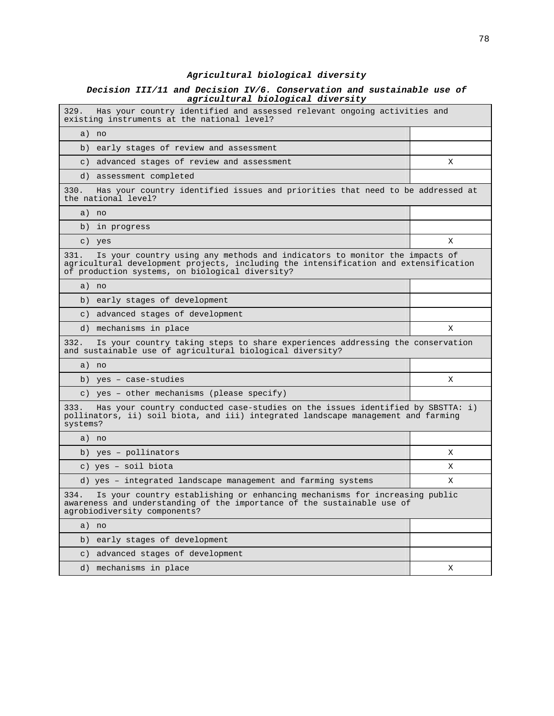# **Agricultural biological diversity**

## **Decision III/11 and Decision IV/6. Conservation and sustainable use of agricultural biological diversity**

| Has your country identified and assessed relevant ongoing activities and<br>329.<br>existing instruments at the national level?                                                                                               |   |
|-------------------------------------------------------------------------------------------------------------------------------------------------------------------------------------------------------------------------------|---|
| a) no                                                                                                                                                                                                                         |   |
| early stages of review and assessment<br>b)                                                                                                                                                                                   |   |
| $\circ$ )<br>advanced stages of review and assessment                                                                                                                                                                         | Χ |
| d)<br>assessment completed                                                                                                                                                                                                    |   |
| Has your country identified issues and priorities that need to be addressed at<br>330.<br>the national level?                                                                                                                 |   |
| a)<br>no                                                                                                                                                                                                                      |   |
| b)<br>in progress                                                                                                                                                                                                             |   |
| c) yes                                                                                                                                                                                                                        | X |
| Is your country using any methods and indicators to monitor the impacts of<br>331.<br>agricultural development projects, including the intensification and extensification<br>of production systems, on biological diversity? |   |
| a)<br>no                                                                                                                                                                                                                      |   |
| early stages of development<br>b)                                                                                                                                                                                             |   |
| advanced stages of development<br>$\mathsf{C}$ )                                                                                                                                                                              |   |
| d)<br>mechanisms in place                                                                                                                                                                                                     | X |
| Is your country taking steps to share experiences addressing the conservation<br>332.<br>and sustainable use of agricultural biological diversity?                                                                            |   |
| a)<br>no                                                                                                                                                                                                                      |   |
| yes - case-studies<br>b)                                                                                                                                                                                                      | X |
| yes - other mechanisms (please specify)<br>$\subset$ )                                                                                                                                                                        |   |
| Has your country conducted case-studies on the issues identified by SBSTTA: i)<br>333.<br>pollinators, ii) soil biota, and iii) integrated landscape management and farming<br>systems?                                       |   |
| a)<br>no                                                                                                                                                                                                                      |   |
|                                                                                                                                                                                                                               |   |
| yes - pollinators<br>b)                                                                                                                                                                                                       | X |
| c) yes – soil biota                                                                                                                                                                                                           | X |
| d) yes - integrated landscape management and farming systems                                                                                                                                                                  | X |
| Is your country establishing or enhancing mechanisms for increasing public<br>334.<br>awareness and understanding of the importance of the sustainable use of<br>agrobiodiversity components?                                 |   |
| a)<br>no                                                                                                                                                                                                                      |   |
| b)<br>early stages of development                                                                                                                                                                                             |   |
| $\subset$ )<br>advanced stages of development                                                                                                                                                                                 |   |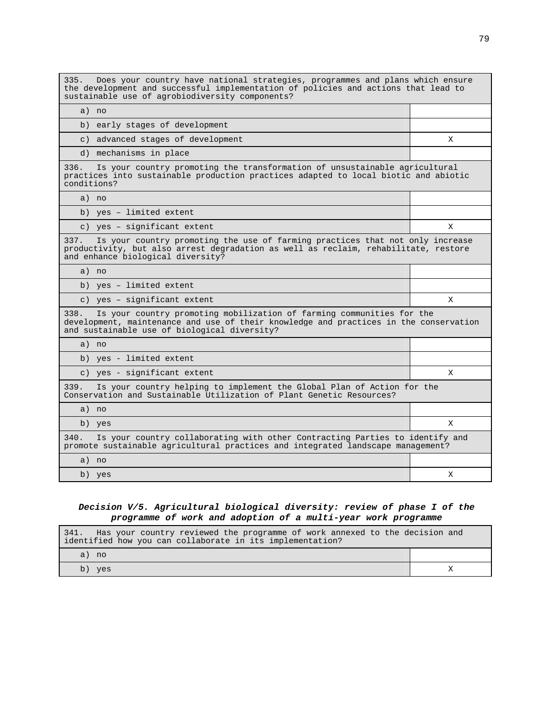| Does your country have national strategies, programmes and plans which ensure<br>335.<br>the development and successful implementation of policies and actions that lead to<br>sustainable use of agrobiodiversity components? |   |
|--------------------------------------------------------------------------------------------------------------------------------------------------------------------------------------------------------------------------------|---|
| a) no                                                                                                                                                                                                                          |   |
| b) early stages of development                                                                                                                                                                                                 |   |
| c) advanced stages of development                                                                                                                                                                                              | X |
| d) mechanisms in place                                                                                                                                                                                                         |   |
| 336.<br>Is your country promoting the transformation of unsustainable agricultural<br>practices into sustainable production practices adapted to local biotic and abiotic<br>conditions?                                       |   |
| a) no                                                                                                                                                                                                                          |   |
| b) yes - limited extent                                                                                                                                                                                                        |   |
| c) yes - significant extent                                                                                                                                                                                                    | X |
| Is your country promoting the use of farming practices that not only increase<br>337.<br>productivity, but also arrest degradation as well as reclaim, rehabilitate, restore<br>and enhance biological diversity?              |   |
| $a)$ no                                                                                                                                                                                                                        |   |
| b) yes - limited extent                                                                                                                                                                                                        |   |
| c) yes - significant extent                                                                                                                                                                                                    | Χ |
| 338.<br>Is your country promoting mobilization of farming communities for the<br>development, maintenance and use of their knowledge and practices in the conservation<br>and sustainable use of biological diversity?         |   |
| a) no                                                                                                                                                                                                                          |   |
| b) yes - limited extent                                                                                                                                                                                                        |   |
| c) yes - significant extent                                                                                                                                                                                                    | X |
| Is your country helping to implement the Global Plan of Action for the<br>339.<br>Conservation and Sustainable Utilization of Plant Genetic Resources?                                                                         |   |
| a) no                                                                                                                                                                                                                          |   |
| b) yes                                                                                                                                                                                                                         | X |
| Is your country collaborating with other Contracting Parties to identify and<br>340.<br>promote sustainable agricultural practices and integrated landscape management?                                                        |   |
| a) no                                                                                                                                                                                                                          |   |
| b) yes                                                                                                                                                                                                                         | X |

# **Decision V/5. Agricultural biological diversity: review of phase I of the programme of work and adoption of a multi-year work programme**

| Has your country reviewed the programme of work annexed to the decision and<br>341.<br>identified how you can collaborate in its implementation? |  |
|--------------------------------------------------------------------------------------------------------------------------------------------------|--|
| a) no                                                                                                                                            |  |
| b)<br>ves                                                                                                                                        |  |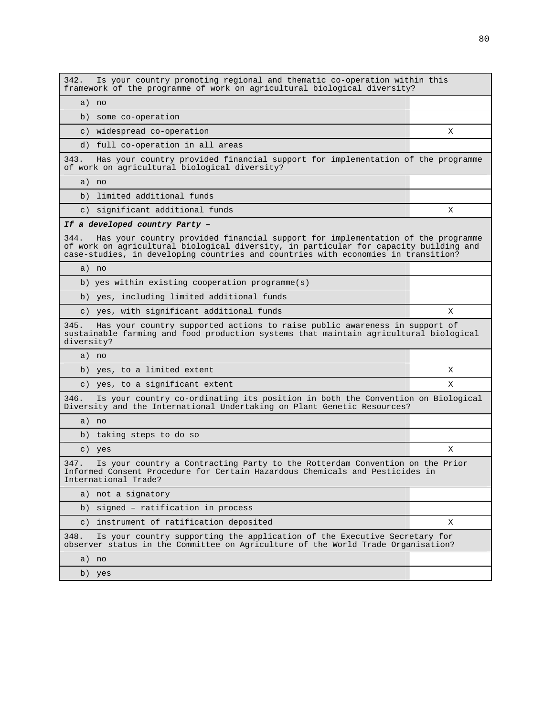| Is your country promoting regional and thematic co-operation within this<br>342.<br>framework of the programme of work on agricultural biological diversity?                                                                                                          |   |
|-----------------------------------------------------------------------------------------------------------------------------------------------------------------------------------------------------------------------------------------------------------------------|---|
| a) no                                                                                                                                                                                                                                                                 |   |
| b)<br>some co-operation                                                                                                                                                                                                                                               |   |
| widespread co-operation<br>$\subset$ )                                                                                                                                                                                                                                | Χ |
| full co-operation in all areas<br>d)                                                                                                                                                                                                                                  |   |
| 343.<br>Has your country provided financial support for implementation of the programme<br>of work on agricultural biological diversity?                                                                                                                              |   |
| a)<br>no                                                                                                                                                                                                                                                              |   |
| limited additional funds<br>b)                                                                                                                                                                                                                                        |   |
| significant additional funds<br>$\circ$ )                                                                                                                                                                                                                             | Χ |
| If a developed country Party -                                                                                                                                                                                                                                        |   |
| Has your country provided financial support for implementation of the programme<br>344.<br>of work on agricultural biological diversity, in particular for capacity building and<br>case-studies, in developing countries and countries with economies in transition? |   |
| a) no                                                                                                                                                                                                                                                                 |   |
| b) yes within existing cooperation programme(s)                                                                                                                                                                                                                       |   |
| yes, including limited additional funds<br>b)                                                                                                                                                                                                                         |   |
| c) yes, with significant additional funds                                                                                                                                                                                                                             | Χ |
| Has your country supported actions to raise public awareness in support of<br>345.<br>sustainable farming and food production systems that maintain agricultural biological<br>diversity?                                                                             |   |
| a) no                                                                                                                                                                                                                                                                 |   |
| b) yes, to a limited extent                                                                                                                                                                                                                                           | Χ |
| c) yes, to a significant extent                                                                                                                                                                                                                                       | Χ |
| Is your country co-ordinating its position in both the Convention on Biological<br>346.<br>Diversity and the International Undertaking on Plant Genetic Resources?                                                                                                    |   |
| a) no                                                                                                                                                                                                                                                                 |   |
| taking steps to do so<br>b)                                                                                                                                                                                                                                           |   |
| c) yes                                                                                                                                                                                                                                                                | Χ |
| Is your country a Contracting Party to the Rotterdam Convention on the Prior<br>347.<br>Informed Consent Procedure for Certain Hazardous Chemicals and Pesticides in<br>International Trade?                                                                          |   |
| not a signatory<br>a)                                                                                                                                                                                                                                                 |   |
| signed - ratification in process<br>b)                                                                                                                                                                                                                                |   |
| $\circ$ )<br>instrument of ratification deposited                                                                                                                                                                                                                     | Χ |
| 348.<br>Is your country supporting the application of the Executive Secretary for<br>observer status in the Committee on Agriculture of the World Trade Organisation?                                                                                                 |   |
| a) no                                                                                                                                                                                                                                                                 |   |
| b) yes                                                                                                                                                                                                                                                                |   |
|                                                                                                                                                                                                                                                                       |   |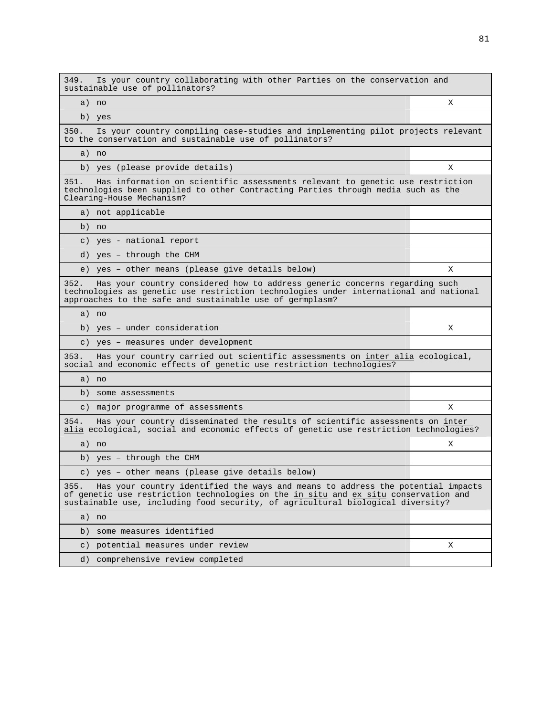| 349.<br>Is your country collaborating with other Parties on the conservation and<br>sustainable use of pollinators?                                                                                                                                               |   |
|-------------------------------------------------------------------------------------------------------------------------------------------------------------------------------------------------------------------------------------------------------------------|---|
| a) no                                                                                                                                                                                                                                                             | X |
| b) yes                                                                                                                                                                                                                                                            |   |
| 350.<br>Is your country compiling case-studies and implementing pilot projects relevant<br>to the conservation and sustainable use of pollinators?                                                                                                                |   |
| a) no                                                                                                                                                                                                                                                             |   |
| b) yes (please provide details)                                                                                                                                                                                                                                   | х |
| 351.<br>Has information on scientific assessments relevant to genetic use restriction<br>technologies been supplied to other Contracting Parties through media such as the<br>Clearing-House Mechanism?                                                           |   |
| a) not applicable                                                                                                                                                                                                                                                 |   |
| b) no                                                                                                                                                                                                                                                             |   |
| c) yes - national report                                                                                                                                                                                                                                          |   |
| d) yes - through the CHM                                                                                                                                                                                                                                          |   |
| e) yes - other means (please give details below)                                                                                                                                                                                                                  | X |
| Has your country considered how to address generic concerns regarding such<br>352.<br>technologies as genetic use restriction technologies under international and national<br>approaches to the safe and sustainable use of germplasm?                           |   |
| a) no                                                                                                                                                                                                                                                             |   |
| b) yes - under consideration                                                                                                                                                                                                                                      | X |
| c) yes - measures under development                                                                                                                                                                                                                               |   |
| Has your country carried out scientific assessments on <i>inter alia</i> ecological,<br>353.<br>social and economic effects of genetic use restriction technologies?                                                                                              |   |
| a) no                                                                                                                                                                                                                                                             |   |
| b) some assessments                                                                                                                                                                                                                                               |   |
| c) major programme of assessments                                                                                                                                                                                                                                 | X |
| Has your country disseminated the results of scientific assessments on inter<br>354.<br>alia ecological, social and economic effects of genetic use restriction technologies?                                                                                     |   |
| a) no                                                                                                                                                                                                                                                             | X |
| b) yes - through the CHM                                                                                                                                                                                                                                          |   |
| c) yes - other means (please give details below)                                                                                                                                                                                                                  |   |
| 355.<br>Has your country identified the ways and means to address the potential impacts<br>of genetic use restriction technologies on the in situ and ex situ conservation and<br>sustainable use, including food security, of agricultural biological diversity? |   |
| a) no                                                                                                                                                                                                                                                             |   |
| some measures identified<br>b)                                                                                                                                                                                                                                    |   |
|                                                                                                                                                                                                                                                                   |   |
| c) potential measures under review                                                                                                                                                                                                                                | Х |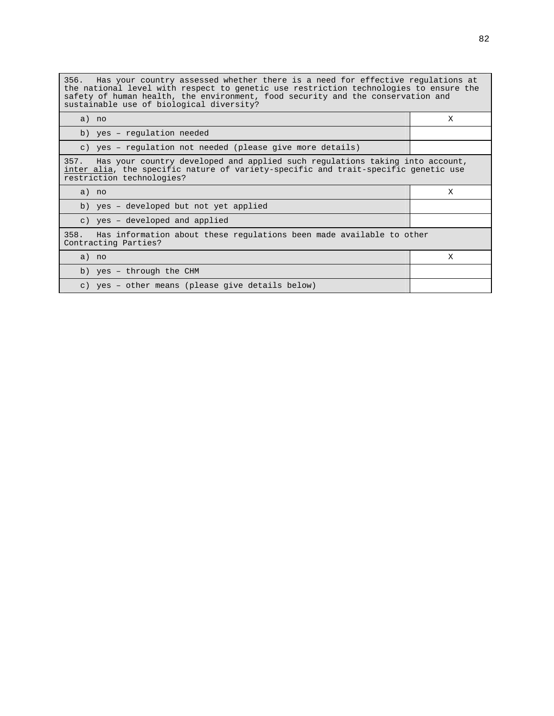| 356. Has your country assessed whether there is a need for effective regulations at<br>the national level with respect to genetic use restriction technologies to ensure the<br>safety of human health, the environment, food security and the conservation and<br>sustainable use of biological diversity? |   |  |  |  |  |
|-------------------------------------------------------------------------------------------------------------------------------------------------------------------------------------------------------------------------------------------------------------------------------------------------------------|---|--|--|--|--|
| a) no                                                                                                                                                                                                                                                                                                       | X |  |  |  |  |
| b) yes - regulation needed                                                                                                                                                                                                                                                                                  |   |  |  |  |  |
| c) yes - regulation not needed (please give more details)                                                                                                                                                                                                                                                   |   |  |  |  |  |
| 357. Has your country developed and applied such requiations taking into account,<br>inter alia, the specific nature of variety-specific and trait-specific genetic use<br>restriction technologies?                                                                                                        |   |  |  |  |  |
| a) no                                                                                                                                                                                                                                                                                                       | X |  |  |  |  |
| b) yes - developed but not yet applied                                                                                                                                                                                                                                                                      |   |  |  |  |  |
| c) yes - developed and applied                                                                                                                                                                                                                                                                              |   |  |  |  |  |
| 358.<br>Has information about these regulations been made available to other<br>Contracting Parties?                                                                                                                                                                                                        |   |  |  |  |  |
| a) no                                                                                                                                                                                                                                                                                                       | X |  |  |  |  |
| b) yes - through the CHM                                                                                                                                                                                                                                                                                    |   |  |  |  |  |
| c) yes - other means (please give details below)                                                                                                                                                                                                                                                            |   |  |  |  |  |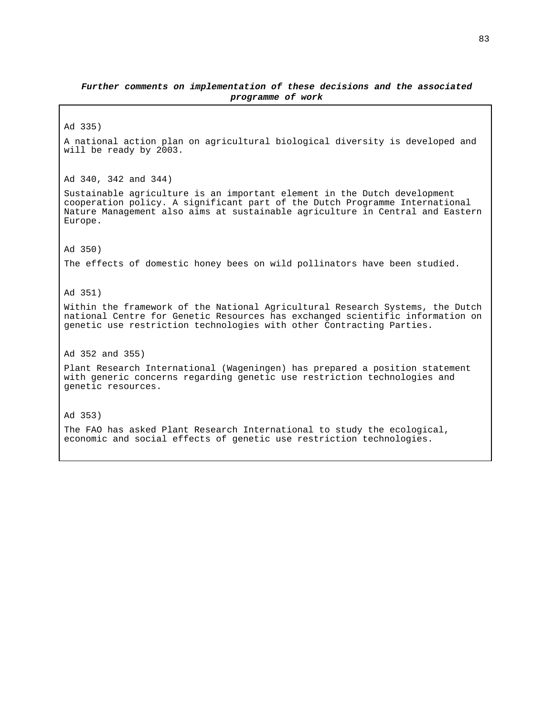### **Further comments on implementation of these decisions and the associated programme of work**

Ad 335) A national action plan on agricultural biological diversity is developed and will be ready by 2003. Ad 340, 342 and 344) Sustainable agriculture is an important element in the Dutch development cooperation policy. A significant part of the Dutch Programme International Nature Management also aims at sustainable agriculture in Central and Eastern Europe. Ad 350) The effects of domestic honey bees on wild pollinators have been studied. Ad 351) Within the framework of the National Agricultural Research Systems, the Dutch national Centre for Genetic Resources has exchanged scientific information on genetic use restriction technologies with other Contracting Parties. Ad 352 and 355) Plant Research International (Wageningen) has prepared a position statement with generic concerns regarding genetic use restriction technologies and genetic resources. Ad 353) The FAO has asked Plant Research International to study the ecological, economic and social effects of genetic use restriction technologies.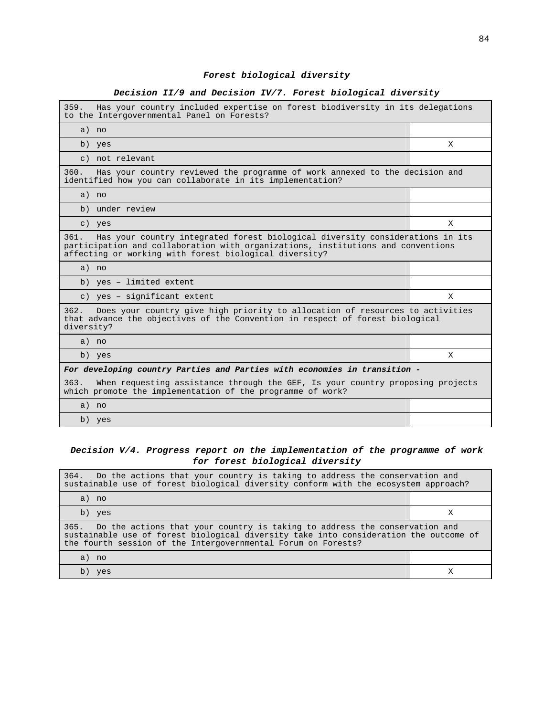# **Forest biological diversity**

# **Decision II/9 and Decision IV/7. Forest biological diversity**

| 359.<br>Has your country included expertise on forest biodiversity in its delegations<br>to the Intergovernmental Panel on Forests?                                                                                                 |   |  |  |  |  |  |
|-------------------------------------------------------------------------------------------------------------------------------------------------------------------------------------------------------------------------------------|---|--|--|--|--|--|
| a) no                                                                                                                                                                                                                               |   |  |  |  |  |  |
| b) yes                                                                                                                                                                                                                              | X |  |  |  |  |  |
| c) not relevant                                                                                                                                                                                                                     |   |  |  |  |  |  |
| Has your country reviewed the programme of work annexed to the decision and<br>360.<br>identified how you can collaborate in its implementation?                                                                                    |   |  |  |  |  |  |
| $a)$ no                                                                                                                                                                                                                             |   |  |  |  |  |  |
| b) under review                                                                                                                                                                                                                     |   |  |  |  |  |  |
| c) yes                                                                                                                                                                                                                              | X |  |  |  |  |  |
| Has your country integrated forest biological diversity considerations in its<br>361.<br>participation and collaboration with organizations, institutions and conventions<br>affecting or working with forest biological diversity? |   |  |  |  |  |  |
| a) no                                                                                                                                                                                                                               |   |  |  |  |  |  |
| b) yes - limited extent                                                                                                                                                                                                             |   |  |  |  |  |  |
| c) yes - significant extent                                                                                                                                                                                                         | X |  |  |  |  |  |
| Does your country give high priority to allocation of resources to activities<br>362.<br>that advance the objectives of the Convention in respect of forest biological<br>diversity?                                                |   |  |  |  |  |  |
| a) no                                                                                                                                                                                                                               |   |  |  |  |  |  |
| b) yes                                                                                                                                                                                                                              | X |  |  |  |  |  |
| For developing country Parties and Parties with economies in transition -                                                                                                                                                           |   |  |  |  |  |  |
| 363.<br>When requesting assistance through the GEF, Is your country proposing projects<br>which promote the implementation of the programme of work?                                                                                |   |  |  |  |  |  |
| a) no                                                                                                                                                                                                                               |   |  |  |  |  |  |
| b) yes                                                                                                                                                                                                                              |   |  |  |  |  |  |

## **Decision V/4. Progress report on the implementation of the programme of work for forest biological diversity**

| 364. Do the actions that your country is taking to address the conservation and<br>sustainable use of forest biological diversity conform with the ecosystem approach?                                                                    |   |  |  |  |  |
|-------------------------------------------------------------------------------------------------------------------------------------------------------------------------------------------------------------------------------------------|---|--|--|--|--|
| a) no                                                                                                                                                                                                                                     |   |  |  |  |  |
| b) yes                                                                                                                                                                                                                                    | Х |  |  |  |  |
| 365. Do the actions that your country is taking to address the conservation and<br>sustainable use of forest biological diversity take into consideration the outcome of<br>the fourth session of the Intergovernmental Forum on Forests? |   |  |  |  |  |
| a) no                                                                                                                                                                                                                                     |   |  |  |  |  |
| b)<br>yes                                                                                                                                                                                                                                 |   |  |  |  |  |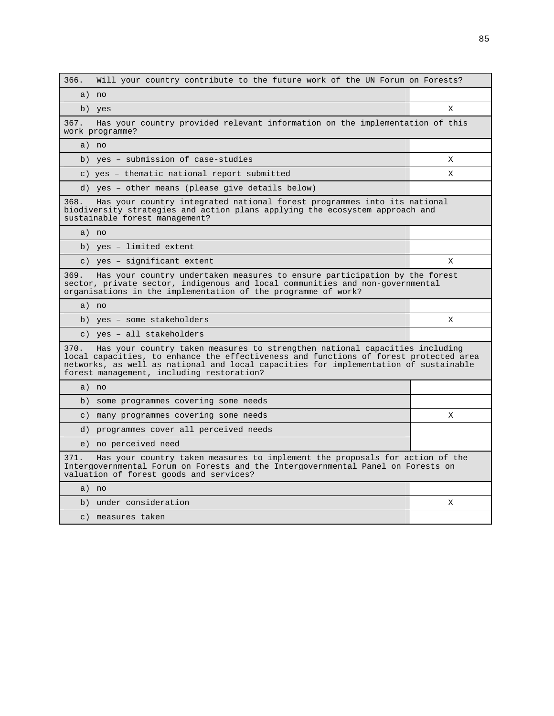| Will your country contribute to the future work of the UN Forum on Forests?<br>366.                                                                                                                                                                                                                               |   |  |  |  |  |  |
|-------------------------------------------------------------------------------------------------------------------------------------------------------------------------------------------------------------------------------------------------------------------------------------------------------------------|---|--|--|--|--|--|
| a) no                                                                                                                                                                                                                                                                                                             |   |  |  |  |  |  |
| b) yes                                                                                                                                                                                                                                                                                                            | X |  |  |  |  |  |
| Has your country provided relevant information on the implementation of this<br>367.<br>work programme?                                                                                                                                                                                                           |   |  |  |  |  |  |
| a) no                                                                                                                                                                                                                                                                                                             |   |  |  |  |  |  |
| b) yes - submission of case-studies                                                                                                                                                                                                                                                                               | х |  |  |  |  |  |
| c) yes - thematic national report submitted                                                                                                                                                                                                                                                                       | X |  |  |  |  |  |
| d) yes - other means (please give details below)                                                                                                                                                                                                                                                                  |   |  |  |  |  |  |
| Has your country integrated national forest programmes into its national<br>368.<br>biodiversity strategies and action plans applying the ecosystem approach and<br>sustainable forest management?                                                                                                                |   |  |  |  |  |  |
| a) no                                                                                                                                                                                                                                                                                                             |   |  |  |  |  |  |
| b) yes - limited extent                                                                                                                                                                                                                                                                                           |   |  |  |  |  |  |
| c) yes - significant extent                                                                                                                                                                                                                                                                                       | X |  |  |  |  |  |
| 369.<br>Has your country undertaken measures to ensure participation by the forest<br>sector, private sector, indigenous and local communities and non-governmental<br>organisations in the implementation of the programme of work?                                                                              |   |  |  |  |  |  |
| a) no                                                                                                                                                                                                                                                                                                             |   |  |  |  |  |  |
| b) yes - some stakeholders                                                                                                                                                                                                                                                                                        | X |  |  |  |  |  |
| c) yes - all stakeholders                                                                                                                                                                                                                                                                                         |   |  |  |  |  |  |
| Has your country taken measures to strengthen national capacities including<br>370.<br>local capacities, to enhance the effectiveness and functions of forest protected area<br>networks, as well as national and local capacities for implementation of sustainable<br>forest management, including restoration? |   |  |  |  |  |  |
| a) no                                                                                                                                                                                                                                                                                                             |   |  |  |  |  |  |
| b) some programmes covering some needs                                                                                                                                                                                                                                                                            |   |  |  |  |  |  |
| c) many programmes covering some needs                                                                                                                                                                                                                                                                            | X |  |  |  |  |  |
| d) programmes cover all perceived needs                                                                                                                                                                                                                                                                           |   |  |  |  |  |  |
| e) no perceived need                                                                                                                                                                                                                                                                                              |   |  |  |  |  |  |
| Has your country taken measures to implement the proposals for action of the<br>371.<br>Intergovernmental Forum on Forests and the Intergovernmental Panel on Forests on<br>valuation of forest goods and services?                                                                                               |   |  |  |  |  |  |
| a) no                                                                                                                                                                                                                                                                                                             |   |  |  |  |  |  |
| b) under consideration                                                                                                                                                                                                                                                                                            | X |  |  |  |  |  |
| c) measures taken                                                                                                                                                                                                                                                                                                 |   |  |  |  |  |  |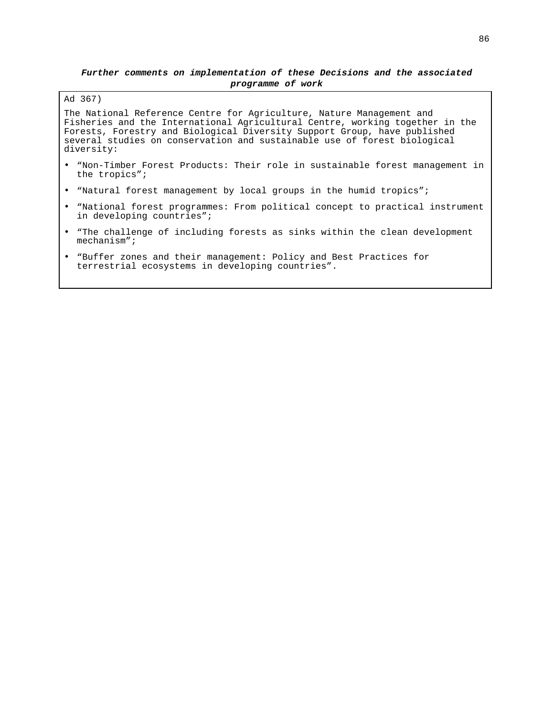### **Further comments on implementation of these Decisions and the associated programme of work**

### Ad 367)

The National Reference Centre for Agriculture, Nature Management and Fisheries and the International Agricultural Centre, working together in the Forests, Forestry and Biological Diversity Support Group, have published several studies on conservation and sustainable use of forest biological diversity:

- "Non-Timber Forest Products: Their role in sustainable forest management in the tropics";
- "Natural forest management by local groups in the humid tropics";
- "National forest programmes: From political concept to practical instrument in developing countries";
- "The challenge of including forests as sinks within the clean development mechanism";
- "Buffer zones and their management: Policy and Best Practices for terrestrial ecosystems in developing countries".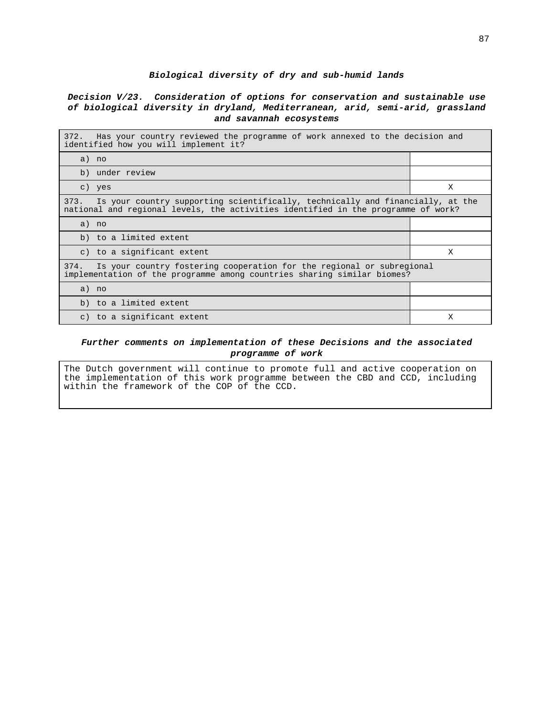### **Biological diversity of dry and sub-humid lands**

## **Decision V/23. Consideration of options for conservation and sustainable use of biological diversity in dryland, Mediterranean, arid, semi-arid, grassland and savannah ecosystems**

| Has your country reviewed the programme of work annexed to the decision and<br>372.<br>identified how you will implement it?                                                |   |  |  |  |  |
|-----------------------------------------------------------------------------------------------------------------------------------------------------------------------------|---|--|--|--|--|
| a) no                                                                                                                                                                       |   |  |  |  |  |
| b) under review                                                                                                                                                             |   |  |  |  |  |
| X<br>c) yes                                                                                                                                                                 |   |  |  |  |  |
| Is your country supporting scientifically, technically and financially, at the<br>373.<br>national and regional levels, the activities identified in the programme of work? |   |  |  |  |  |
| a) no                                                                                                                                                                       |   |  |  |  |  |
| b) to a limited extent                                                                                                                                                      |   |  |  |  |  |
| c) to a significant extent                                                                                                                                                  | X |  |  |  |  |
| Is your country fostering cooperation for the regional or subregional<br>374.<br>implementation of the programme among countries sharing similar biomes?                    |   |  |  |  |  |
| a) no                                                                                                                                                                       |   |  |  |  |  |
| b) to a limited extent                                                                                                                                                      |   |  |  |  |  |
| c) to a significant extent                                                                                                                                                  | X |  |  |  |  |

## **Further comments on implementation of these Decisions and the associated programme of work**

The Dutch government will continue to promote full and active cooperation on the implementation of this work programme between the CBD and CCD, including within the framework of the COP of the CCD.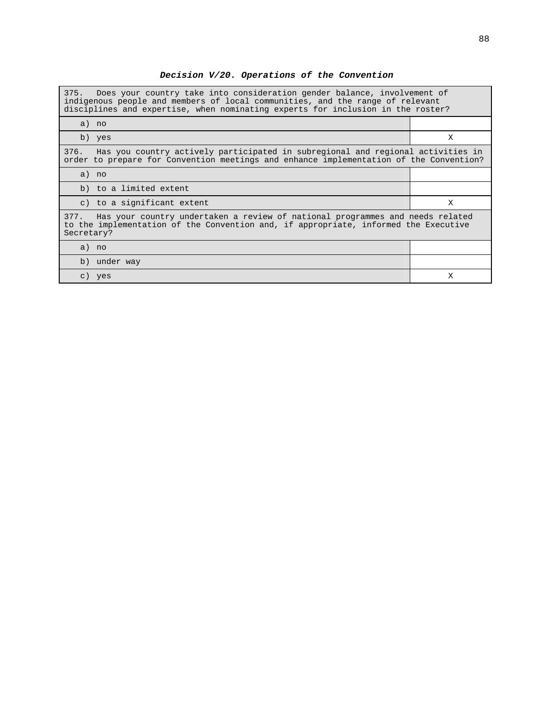#### **Decision V/20. Operations of the Convention**

375. Does your country take into consideration gender balance, involvement of indigenous people and members of local communities, and the range of relevant disciplines and expertise, when nominating experts for inclusion in the roster? a) no b) yes X 376. Has you country actively participated in subregional and regional activities in order to prepare for Convention meetings and enhance implementation of the Convention? a) no b) to a limited extent c) to a significant extent  $X$ 377. Has your country undertaken a review of national programmes and needs related to the implementation of the Convention and, if appropriate, informed the Executive Secretary? a) no b) under way c) yes X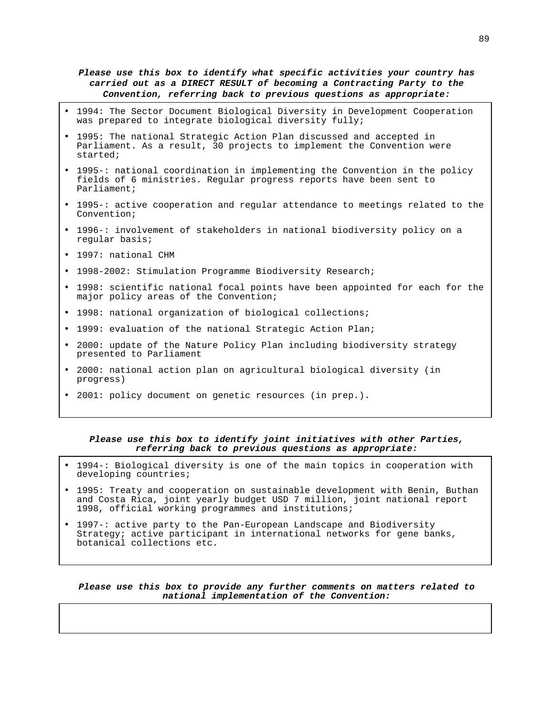**Please use this box to identify what specific activities your country has carried out as a DIRECT RESULT of becoming a Contracting Party to the Convention, referring back to previous questions as appropriate:**

- 1994: The Sector Document Biological Diversity in Development Cooperation was prepared to integrate biological diversity fully;
- 1995: The national Strategic Action Plan discussed and accepted in Parliament. As a result, 30 projects to implement the Convention were started;
- 1995-: national coordination in implementing the Convention in the policy fields of 6 ministries. Regular progress reports have been sent to Parliament;
- 1995-: active cooperation and regular attendance to meetings related to the Convention;
- 1996-: involvement of stakeholders in national biodiversity policy on a regular basis;
- 1997: national CHM
- 1998-2002: Stimulation Programme Biodiversity Research;
- 1998: scientific national focal points have been appointed for each for the major policy areas of the Convention;
- 1998: national organization of biological collections;
- 1999: evaluation of the national Strategic Action Plan;
- 2000: update of the Nature Policy Plan including biodiversity strategy presented to Parliament
- 2000: national action plan on agricultural biological diversity (in progress)
- 2001: policy document on genetic resources (in prep.).

#### **Please use this box to identify joint initiatives with other Parties, referring back to previous questions as appropriate:**

- 1994-: Biological diversity is one of the main topics in cooperation with developing countries;
- 1995: Treaty and cooperation on sustainable development with Benin, Buthan and Costa Rica, joint yearly budget USD 7 million, joint national report 1998, official working programmes and institutions;
- 1997-: active party to the Pan-European Landscape and Biodiversity Strategy; active participant in international networks for gene banks, botanical collections etc.

#### **Please use this box to provide any further comments on matters related to national implementation of the Convention:**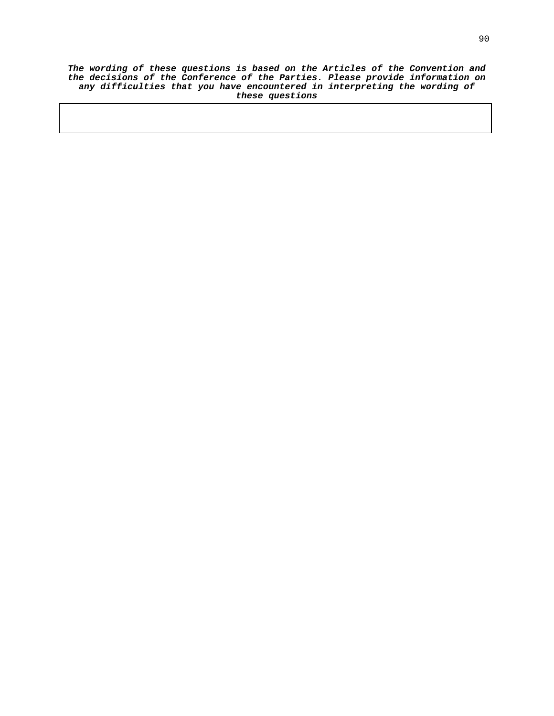**The wording of these questions is based on the Articles of the Convention and the decisions of the Conference of the Parties. Please provide information on any difficulties that you have encountered in interpreting the wording of these questions**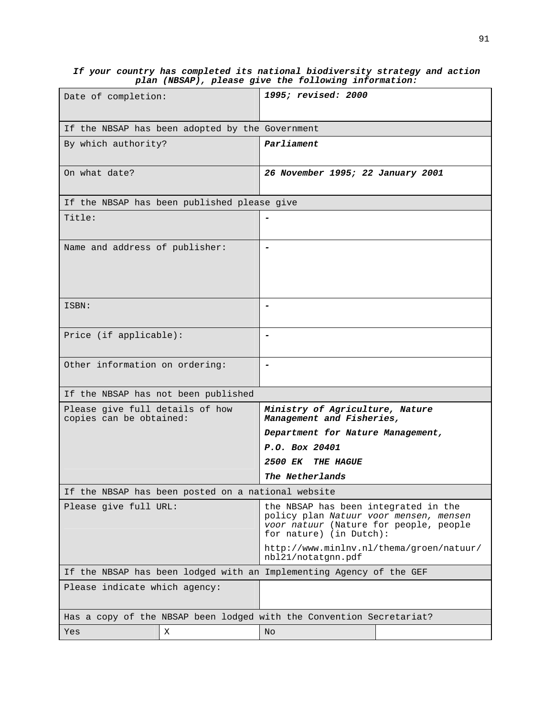|  |  |  |  |  |  | If your country has completed its national biodiversity strategy and action |  |
|--|--|--|--|--|--|-----------------------------------------------------------------------------|--|
|  |  |  |  |  |  | plan (NBSAP), please give the following information:                        |  |

| Date of completion:                                                 |                                                    | 1995; revised: 2000                                                                                                                                 |  |  |  |  |
|---------------------------------------------------------------------|----------------------------------------------------|-----------------------------------------------------------------------------------------------------------------------------------------------------|--|--|--|--|
|                                                                     | If the NBSAP has been adopted by the Government    |                                                                                                                                                     |  |  |  |  |
| By which authority?                                                 |                                                    | Parliament                                                                                                                                          |  |  |  |  |
| On what date?                                                       |                                                    | 26 November 1995; 22 January 2001                                                                                                                   |  |  |  |  |
|                                                                     | If the NBSAP has been published please give        |                                                                                                                                                     |  |  |  |  |
| Title:                                                              |                                                    |                                                                                                                                                     |  |  |  |  |
| Name and address of publisher:                                      |                                                    |                                                                                                                                                     |  |  |  |  |
| ISBN:                                                               |                                                    |                                                                                                                                                     |  |  |  |  |
| Price (if applicable):                                              |                                                    |                                                                                                                                                     |  |  |  |  |
| Other information on ordering:                                      |                                                    |                                                                                                                                                     |  |  |  |  |
| If the NBSAP has not been published                                 |                                                    |                                                                                                                                                     |  |  |  |  |
| Please give full details of how<br>copies can be obtained:          |                                                    | Ministry of Agriculture, Nature<br>Management and Fisheries,                                                                                        |  |  |  |  |
|                                                                     |                                                    | Department for Nature Management,                                                                                                                   |  |  |  |  |
|                                                                     |                                                    | P.O. Box 20401                                                                                                                                      |  |  |  |  |
|                                                                     |                                                    | <i><b>2500 EK THE HAGUE</b></i>                                                                                                                     |  |  |  |  |
|                                                                     |                                                    | The Netherlands                                                                                                                                     |  |  |  |  |
|                                                                     | If the NBSAP has been posted on a national website |                                                                                                                                                     |  |  |  |  |
| Please give full URL:                                               |                                                    | the NBSAP has been integrated in the<br>policy plan Natuur voor mensen, mensen<br>voor natuur (Nature for people, people<br>for nature) (in Dutch): |  |  |  |  |
|                                                                     |                                                    | http://www.minlnv.nl/thema/groen/natuur/<br>nbl21/notatgnn.pdf                                                                                      |  |  |  |  |
| If the NBSAP has been lodged with an Implementing Agency of the GEF |                                                    |                                                                                                                                                     |  |  |  |  |
| Please indicate which agency:                                       |                                                    |                                                                                                                                                     |  |  |  |  |
|                                                                     |                                                    | Has a copy of the NBSAP been lodged with the Convention Secretariat?                                                                                |  |  |  |  |
| Yes                                                                 | Χ                                                  | No                                                                                                                                                  |  |  |  |  |